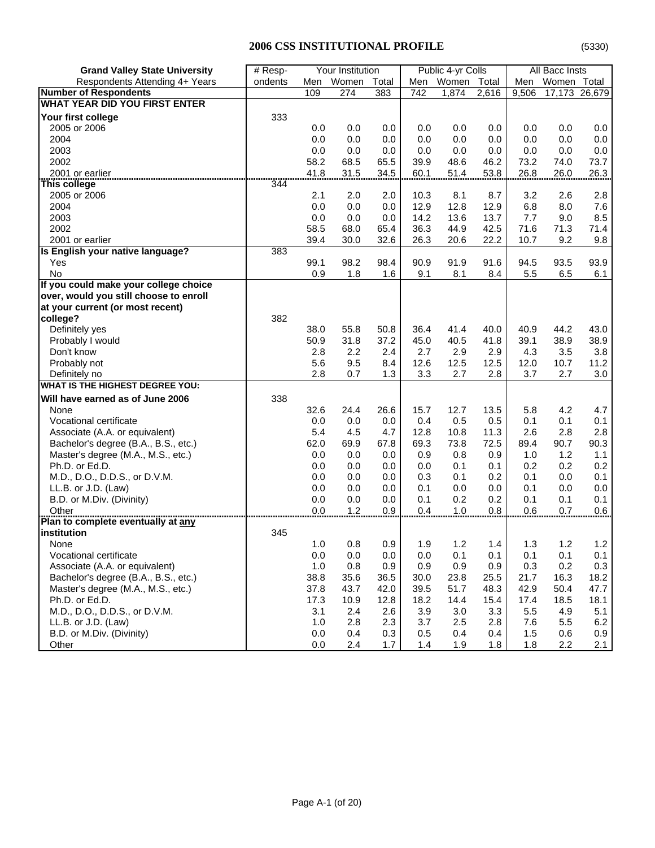| <b>Grand Valley State University</b>   | Your Institution<br># Resp- |       |       | Public 4-yr Colls |      | All Bacc Insts |       |       |               |         |
|----------------------------------------|-----------------------------|-------|-------|-------------------|------|----------------|-------|-------|---------------|---------|
| Respondents Attending 4+ Years         | ondents                     | Men   | Women | Total             | Men  | Women          | Total | Men   | Women Total   |         |
| <b>Number of Respondents</b>           |                             | 109   | 274   | 383               | 742  | 1,874          | 2,616 | 9,506 | 17,173 26,679 |         |
| <b>WHAT YEAR DID YOU FIRST ENTER</b>   |                             |       |       |                   |      |                |       |       |               |         |
| Your first college                     | 333                         |       |       |                   |      |                |       |       |               |         |
| 2005 or 2006                           |                             | 0.0   | 0.0   | 0.0               | 0.0  | 0.0            | 0.0   | 0.0   | 0.0           | 0.0     |
| 2004                                   |                             | 0.0   | 0.0   | 0.0               | 0.0  | 0.0            | 0.0   | 0.0   | 0.0           | 0.0     |
| 2003                                   |                             | 0.0   | 0.0   | 0.0               | 0.0  | 0.0            | 0.0   | 0.0   | 0.0           | 0.0     |
| 2002                                   |                             | 58.2  | 68.5  | 65.5              | 39.9 | 48.6           | 46.2  | 73.2  | 74.0          | 73.7    |
| 2001 or earlier                        | ,,,,,,,,,,                  | 41.8  | 31.5  | 34.5              | 60.1 | 51.4           | 53.8  | 26.8  | 26.0          | 26.3    |
| This college                           | 344                         |       |       |                   |      |                |       |       |               |         |
| 2005 or 2006                           |                             | 2.1   | 2.0   | 2.0               | 10.3 | 8.1            | 8.7   | 3.2   | 2.6           | 2.8     |
| 2004                                   |                             | 0.0   | 0.0   | 0.0               | 12.9 | 12.8           | 12.9  | 6.8   | 8.0           | 7.6     |
| 2003                                   |                             | 0.0   | 0.0   | 0.0               | 14.2 | 13.6           | 13.7  | 7.7   | 9.0           | 8.5     |
| 2002                                   |                             | 58.5  | 68.0  | 65.4              | 36.3 | 44.9           | 42.5  | 71.6  | 71.3          | 71.4    |
| 2001 or earlier                        |                             | 39.4  | 30.0  | 32.6              | 26.3 | 20.6           | 22.2  | 10.7  | 9.2           | 9.8     |
| Is English your native language?       | 383                         |       |       |                   |      |                |       |       |               |         |
| Yes                                    |                             | 99.1  | 98.2  | 98.4              | 90.9 | 91.9           | 91.6  | 94.5  | 93.5          | 93.9    |
| <b>No</b>                              |                             | 0.9   | 1.8   | 1.6               | 9.1  | 8.1            | 8.4   | 5.5   | 6.5           | 6.1     |
| If you could make your college choice  |                             |       |       |                   |      |                |       |       |               |         |
| over, would you still choose to enroll |                             |       |       |                   |      |                |       |       |               |         |
| at your current (or most recent)       |                             |       |       |                   |      |                |       |       |               |         |
| college?                               | 382                         |       |       |                   |      |                |       |       |               |         |
| Definitely yes                         |                             | 38.0  | 55.8  | 50.8              | 36.4 | 41.4           | 40.0  | 40.9  | 44.2          | 43.0    |
| Probably I would                       |                             | 50.9  | 31.8  | 37.2              | 45.0 | 40.5           | 41.8  | 39.1  | 38.9          | 38.9    |
| Don't know                             |                             | 2.8   | 2.2   | 2.4               | 2.7  | 2.9            | 2.9   | 4.3   | 3.5           | 3.8     |
| Probably not                           |                             | 5.6   | 9.5   | 8.4               | 12.6 | 12.5           | 12.5  | 12.0  | 10.7          | 11.2    |
| Definitely no                          |                             | 2.8   | 0.7   | 1.3               | 3.3  | 2.7            | 2.8   | 3.7   | 2.7           | 3.0     |
| <b>WHAT IS THE HIGHEST DEGREE YOU:</b> |                             |       |       |                   |      |                |       |       |               |         |
| Will have earned as of June 2006       | 338                         |       |       |                   |      |                |       |       |               |         |
| None                                   |                             | 32.6  | 24.4  | 26.6              | 15.7 | 12.7           | 13.5  | 5.8   | 4.2           | 4.7     |
| Vocational certificate                 |                             | 0.0   | 0.0   | 0.0               | 0.4  | 0.5            | 0.5   | 0.1   | 0.1           | 0.1     |
| Associate (A.A. or equivalent)         |                             | 5.4   | 4.5   | 4.7               | 12.8 | 10.8           | 11.3  | 2.6   | 2.8           | 2.8     |
| Bachelor's degree (B.A., B.S., etc.)   |                             | 62.0  | 69.9  | 67.8              | 69.3 | 73.8           | 72.5  | 89.4  | 90.7          | 90.3    |
| Master's degree (M.A., M.S., etc.)     |                             | 0.0   | 0.0   | 0.0               | 0.9  | 0.8            | 0.9   | 1.0   | 1.2           | 1.1     |
| Ph.D. or Ed.D.                         |                             | 0.0   | 0.0   | 0.0               | 0.0  | 0.1            | 0.1   | 0.2   | 0.2           | 0.2     |
| M.D., D.O., D.D.S., or D.V.M.          |                             | 0.0   | 0.0   | 0.0               | 0.3  | 0.1            | 0.2   | 0.1   | 0.0           | 0.1     |
| LL.B. or J.D. (Law)                    |                             | 0.0   | 0.0   | 0.0               | 0.1  | 0.0            | 0.0   | 0.1   | 0.0           | 0.0     |
| B.D. or M.Div. (Divinity)              |                             | 0.0   | 0.0   | 0.0               | 0.1  | 0.2            | 0.2   | 0.1   | 0.1           | 0.1     |
| Other                                  |                             | 0.0   | 1.2   | 0.9               | 0.4  | 1.0            | 0.8   | 0.6   | 0.7           | 0.6     |
| Plan to complete eventually at any     |                             |       |       |                   |      |                |       |       |               |         |
| institution                            | 345                         |       |       |                   |      |                |       |       |               |         |
| None                                   |                             | 1.0   | 0.8   | 0.9               | 1.9  | 1.2            | $1.4$ | 1.3   | 1.2           | $1.2\,$ |
| Vocational certificate                 |                             | 0.0   | 0.0   | 0.0               | 0.0  | 0.1            | 0.1   | 0.1   | 0.1           | 0.1     |
| Associate (A.A. or equivalent)         |                             | $1.0$ | 0.8   | 0.9               | 0.9  | 0.9            | 0.9   | 0.3   | 0.2           | 0.3     |
| Bachelor's degree (B.A., B.S., etc.)   |                             | 38.8  | 35.6  | 36.5              | 30.0 | 23.8           | 25.5  | 21.7  | 16.3          | 18.2    |
| Master's degree (M.A., M.S., etc.)     |                             | 37.8  | 43.7  | 42.0              | 39.5 | 51.7           | 48.3  | 42.9  | 50.4          | 47.7    |
| Ph.D. or Ed.D.                         |                             | 17.3  | 10.9  | 12.8              | 18.2 | 14.4           | 15.4  | 17.4  | 18.5          | 18.1    |
| M.D., D.O., D.D.S., or D.V.M.          |                             | 3.1   | 2.4   | 2.6               | 3.9  | 3.0            | 3.3   | 5.5   | 4.9           | 5.1     |
| LL.B. or J.D. (Law)                    |                             | 1.0   | 2.8   | 2.3               | 3.7  | 2.5            | 2.8   | 7.6   | 5.5           | 6.2     |
| B.D. or M.Div. (Divinity)              |                             | 0.0   | 0.4   | 0.3               | 0.5  | 0.4            | 0.4   | 1.5   | 0.6           | 0.9     |
| Other                                  |                             | 0.0   | 2.4   | 1.7               | 1.4  | 1.9            | 1.8   | 1.8   | 2.2           | 2.1     |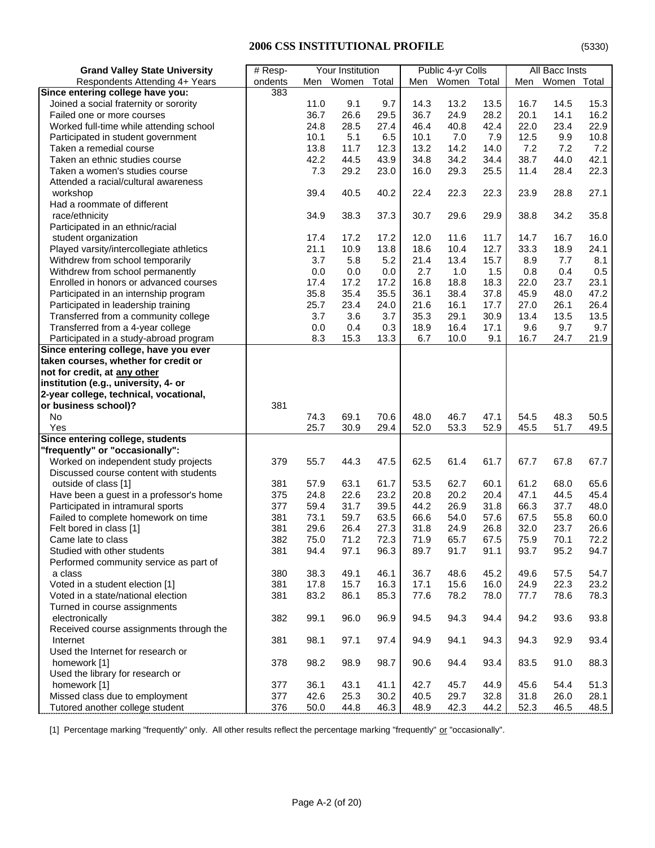| <b>Grand Valley State University</b>     | $#$ Resp- |          | Your Institution |       |      | Public 4-yr Colls |      |      | All Bacc Insts |      |
|------------------------------------------|-----------|----------|------------------|-------|------|-------------------|------|------|----------------|------|
| Respondents Attending 4+ Years           | ondents   |          | Men Women        | Total |      | Men Women Total   |      | Men  | Women Total    |      |
| Since entering college have you:         | 383       |          |                  |       |      |                   |      |      |                |      |
| Joined a social fraternity or sorority   |           | 11.0     | 9.1              | 9.7   | 14.3 | 13.2              | 13.5 | 16.7 | 14.5           | 15.3 |
| Failed one or more courses               |           | 36.7     | 26.6             | 29.5  | 36.7 | 24.9              | 28.2 | 20.1 | 14.1           | 16.2 |
| Worked full-time while attending school  |           | 24.8     | 28.5             | 27.4  | 46.4 | 40.8              | 42.4 | 22.0 | 23.4           | 22.9 |
| Participated in student government       |           | 10.1     | 5.1              | 6.5   | 10.1 | 7.0               | 7.9  | 12.5 | 9.9            | 10.8 |
| Taken a remedial course                  |           | 13.8     | 11.7             | 12.3  | 13.2 | 14.2              | 14.0 | 7.2  | 7.2            | 7.2  |
| Taken an ethnic studies course           |           | 42.2     | 44.5             | 43.9  | 34.8 | 34.2              | 34.4 | 38.7 | 44.0           | 42.1 |
| Taken a women's studies course           |           | 7.3      | 29.2             | 23.0  | 16.0 | 29.3              | 25.5 | 11.4 | 28.4           | 22.3 |
| Attended a racial/cultural awareness     |           |          |                  |       |      |                   |      |      |                |      |
| workshop                                 |           | 39.4     | 40.5             | 40.2  | 22.4 | 22.3              | 22.3 | 23.9 | 28.8           | 27.1 |
| Had a roommate of different              |           |          |                  |       |      |                   |      |      |                |      |
| race/ethnicity                           |           | 34.9     | 38.3             | 37.3  | 30.7 | 29.6              | 29.9 | 38.8 | 34.2           | 35.8 |
| Participated in an ethnic/racial         |           |          |                  |       |      |                   |      |      |                |      |
| student organization                     |           | 17.4     | 17.2             | 17.2  | 12.0 | 11.6              | 11.7 | 14.7 | 16.7           | 16.0 |
| Played varsity/intercollegiate athletics |           | 21.1     | 10.9             | 13.8  | 18.6 | 10.4              | 12.7 | 33.3 | 18.9           | 24.1 |
| Withdrew from school temporarily         |           | 3.7      | 5.8              | 5.2   | 21.4 | 13.4              | 15.7 | 8.9  | 7.7            | 8.1  |
| Withdrew from school permanently         |           | 0.0      | 0.0              | 0.0   | 2.7  | 1.0               | 1.5  | 0.8  | 0.4            | 0.5  |
| Enrolled in honors or advanced courses   |           | 17.4     | 17.2             | 17.2  | 16.8 | 18.8              | 18.3 | 22.0 | 23.7           | 23.1 |
| Participated in an internship program    |           | 35.8     | 35.4             | 35.5  | 36.1 | 38.4              | 37.8 | 45.9 | 48.0           | 47.2 |
| Participated in leadership training      |           | 25.7     | 23.4             | 24.0  | 21.6 | 16.1              | 17.7 | 27.0 | 26.1           | 26.4 |
| Transferred from a community college     |           | 3.7      | 3.6              | 3.7   | 35.3 | 29.1              | 30.9 | 13.4 | 13.5           | 13.5 |
| Transferred from a 4-year college        |           | 0.0      | 0.4              | 0.3   | 18.9 | 16.4              | 17.1 | 9.6  | 9.7            | 9.7  |
| Participated in a study-abroad program   |           | 8.3      | 15.3             | 13.3  | 6.7  | 10.0              | 9.1  | 16.7 | 24.7           | 21.9 |
| Since entering college, have you ever    |           |          |                  |       |      |                   |      |      |                |      |
| taken courses, whether for credit or     |           |          |                  |       |      |                   |      |      |                |      |
| not for credit, at any other             |           |          |                  |       |      |                   |      |      |                |      |
| institution (e.g., university, 4- or     |           |          |                  |       |      |                   |      |      |                |      |
| 2-year college, technical, vocational,   |           |          |                  |       |      |                   |      |      |                |      |
| or business school)?                     | 381       |          |                  |       |      |                   |      |      |                |      |
| No.                                      |           | 74.3     | 69.1             | 70.6  | 48.0 | 46.7              | 47.1 | 54.5 | 48.3           | 50.5 |
| Yes                                      |           | 25.7     | 30.9             | 29.4  | 52.0 | 53.3              | 52.9 | 45.5 | 51.7           | 49.5 |
| Since entering college, students         |           |          |                  |       |      |                   |      |      |                |      |
| "frequently" or "occasionally":          |           |          |                  |       |      |                   |      |      |                |      |
| Worked on independent study projects     | 379       | 55.7     | 44.3             | 47.5  | 62.5 | 61.4              | 61.7 | 67.7 | 67.8           | 67.7 |
| Discussed course content with students   |           |          |                  |       |      |                   |      |      |                |      |
| outside of class [1]                     | 381       | 57.9     | 63.1             | 61.7  | 53.5 | 62.7              | 60.1 | 61.2 | 68.0           | 65.6 |
| Have been a guest in a professor's home  | 375       | 24.8     | 22.6             | 23.2  | 20.8 | 20.2              | 20.4 | 47.1 | 44.5           | 45.4 |
| Participated in intramural sports        | 377       | 59.4     | 31.7             | 39.5  | 44.2 | 26.9              | 31.8 | 66.3 | 37.7           | 48.0 |
| Failed to complete homework on time      | 381       | 73.1     | 59.7             | 63.5  | 66.6 | 54.0              | 57.6 | 67.5 | 55.8           | 60.0 |
| Felt bored in class [1]                  | 381       | 29.6     | 26.4             | 27.3  | 31.8 | 24.9              | 26.8 | 32.0 | 23.7           | 26.6 |
| Came late to class                       | 382       | 75.0     | 71.2             | 72.3  | 71.9 | 65.7              | 67.5 | 75.9 | 70.1           | 72.2 |
| Studied with other students              | 381       | 94.4     | 97.1             | 96.3  | 89.7 | 91.7              | 91.1 | 93.7 | 95.2           | 94.7 |
| Performed community service as part of   |           |          |                  |       |      |                   |      |      |                |      |
| a class                                  | 380       | 38.3     | 49.1             | 46.1  | 36.7 | 48.6              | 45.2 | 49.6 | 57.5           | 54.7 |
| Voted in a student election [1]          | 381       | 17.8     | 15.7             | 16.3  | 17.1 | 15.6              | 16.0 | 24.9 | 22.3           | 23.2 |
| Voted in a state/national election       | 381       | 83.2     | 86.1             | 85.3  | 77.6 | 78.2              | 78.0 | 77.7 | 78.6           | 78.3 |
| Turned in course assignments             |           |          |                  |       |      |                   |      |      |                |      |
| electronically                           | 382       | 99.1     | 96.0             | 96.9  | 94.5 | 94.3              | 94.4 | 94.2 | 93.6           | 93.8 |
| Received course assignments through the  |           |          |                  |       |      |                   |      |      |                |      |
| Internet                                 | 381       | 98.1     | 97.1             | 97.4  | 94.9 | 94.1              | 94.3 | 94.3 | 92.9           | 93.4 |
| Used the Internet for research or        |           |          |                  |       |      |                   |      |      |                |      |
| homework [1]                             | 378       | 98.2     | 98.9             | 98.7  | 90.6 | 94.4              | 93.4 | 83.5 | 91.0           | 88.3 |
| Used the library for research or         |           |          |                  |       |      |                   |      |      |                |      |
| homework [1]                             | 377       | 36.1     | 43.1             | 41.1  | 42.7 | 45.7              | 44.9 | 45.6 | 54.4           | 51.3 |
| Missed class due to employment           | 377       | 42.6     | 25.3             | 30.2  | 40.5 | 29.7              | 32.8 | 31.8 | 26.0           | 28.1 |
| Tutored another college student          | 376       | $50.0\,$ | 44.8             | 46.3  | 48.9 | 42.3              | 44.2 | 52.3 | 46.5           | 48.5 |

[1] Percentage marking "frequently" only. All other results reflect the percentage marking "frequently" or "occasionally".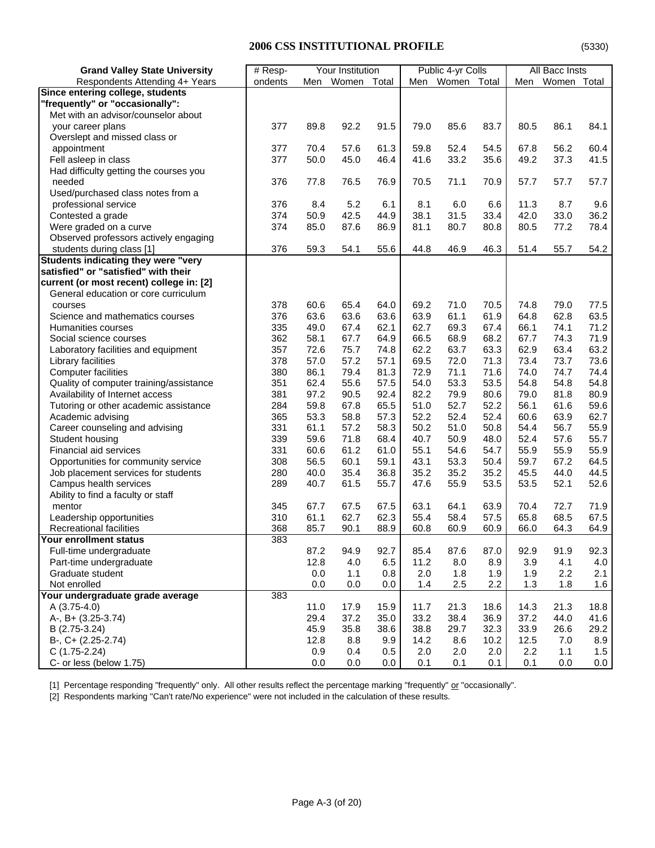| Men Women Total<br>Men Women Total<br>Women Total<br>Respondents Attending 4+ Years<br>ondents<br>Men<br>Since entering college, students<br>"frequently" or "occasionally":<br>Met with an advisor/counselor about<br>377<br>89.8<br>91.5<br>79.0<br>85.6<br>83.7<br>80.5<br>86.1<br>84.1<br>your career plans<br>92.2<br>Overslept and missed class or<br>377<br>70.4<br>61.3<br>52.4<br>54.5<br>56.2<br>60.4<br>appointment<br>57.6<br>59.8<br>67.8<br>377<br>50.0<br>46.4<br>35.6<br>37.3<br>Fell asleep in class<br>45.0<br>41.6<br>33.2<br>49.2<br>41.5<br>Had difficulty getting the courses you<br>needed<br>376<br>77.8<br>76.5<br>70.5<br>71.1<br>70.9<br>57.7<br>57.7<br>57.7<br>76.9<br>Used/purchased class notes from a<br>professional service<br>376<br>5.2<br>6.1<br>6.6<br>11.3<br>8.7<br>9.6<br>8.4<br>8.1<br>6.0<br>42.0<br>33.0<br>36.2<br>374<br>50.9<br>42.5<br>44.9<br>38.1<br>31.5<br>33.4<br>Contested a grade<br>Were graded on a curve<br>374<br>85.0<br>87.6<br>86.9<br>81.1<br>80.7<br>80.8<br>80.5<br>77.2<br>78.4<br>Observed professors actively engaging<br>376<br>59.3<br>54.1<br>55.6<br>46.9<br>46.3<br>55.7<br>54.2<br>students during class [1]<br>44.8<br>51.4<br>Students indicating they were "very<br>satisfied" or "satisfied" with their<br>current (or most recent) college in: [2]<br>General education or core curriculum<br>378<br>60.6<br>65.4<br>64.0<br>69.2<br>71.0<br>70.5<br>74.8<br>79.0<br>77.5<br>courses<br>63.5<br>376<br>63.6<br>63.6<br>63.6<br>63.9<br>61.1<br>61.9<br>64.8<br>62.8<br>Science and mathematics courses<br>62.1<br>335<br>49.0<br>67.4<br>62.7<br>69.3<br>67.4<br>66.1<br>74.1<br>71.2<br>Humanities courses<br>68.2<br>362<br>58.1<br>67.7<br>64.9<br>66.5<br>68.9<br>67.7<br>74.3<br>71.9<br>Social science courses<br>75.7<br>63.2<br>357<br>72.6<br>74.8<br>62.2<br>63.7<br>63.3<br>62.9<br>63.4<br>Laboratory facilities and equipment<br>73.6<br>378<br>57.2<br>57.1<br>69.5<br>72.0<br>71.3<br>73.4<br>73.7<br>Library facilities<br>57.0<br>74.4<br><b>Computer facilities</b><br>380<br>86.1<br>79.4<br>81.3<br>72.9<br>71.1<br>71.6<br>74.0<br>74.7<br>57.5<br>54.8<br>Quality of computer training/assistance<br>351<br>62.4<br>55.6<br>54.0<br>53.3<br>53.5<br>54.8<br>54.8<br>80.9<br>Availability of Internet access<br>381<br>97.2<br>90.5<br>92.4<br>82.2<br>79.9<br>80.6<br>79.0<br>81.8<br>Tutoring or other academic assistance<br>284<br>59.8<br>67.8<br>65.5<br>51.0<br>52.7<br>52.2<br>56.1<br>59.6<br>61.6<br>Academic advising<br>365<br>53.3<br>58.8<br>57.3<br>52.2<br>52.4<br>52.4<br>60.6<br>63.9<br>62.7<br>58.3<br>55.9<br>Career counseling and advising<br>331<br>61.1<br>57.2<br>50.2<br>51.0<br>50.8<br>54.4<br>56.7<br>40.7<br>55.7<br>Student housing<br>339<br>59.6<br>71.8<br>68.4<br>50.9<br>48.0<br>52.4<br>57.6<br>55.9<br>Financial aid services<br>331<br>61.2<br>61.0<br>55.1<br>54.7<br>55.9<br>55.9<br>60.6<br>54.6<br>67.2<br>308<br>56.5<br>60.1<br>59.1<br>43.1<br>53.3<br>50.4<br>59.7<br>64.5<br>Opportunities for community service<br>36.8<br>35.2<br>44.5<br>280<br>40.0<br>35.4<br>35.2<br>35.2<br>45.5<br>44.0<br>Job placement services for students<br>289<br>40.7<br>61.5<br>55.7<br>47.6<br>55.9<br>53.5<br>53.5<br>52.1<br>52.6<br>Campus health services<br>Ability to find a faculty or staff<br>67.7<br>67.5<br>67.5<br>63.1<br>63.9<br>72.7<br>71.9<br>mentor<br>345<br>64.1<br>70.4<br>62.3<br>55.4<br>65.8<br>68.5<br>67.5<br>Leadership opportunities<br>310<br>61.1<br>62.7<br>58.4<br>57.5<br>Recreational facilities<br>368<br>85.7<br>90.1<br>88.9<br>60.8<br>60.9<br>60.9<br>66.0<br>64.3<br>64.9<br>383<br><b>Your enrollment status</b><br>92.7<br>87.2<br>94.9<br>85.4<br>87.6<br>92.9<br>91.9<br>92.3<br>Full-time undergraduate<br>87.0<br>12.8<br>Part-time undergraduate<br>4.0<br>6.5<br>11.2<br>8.0<br>8.9<br>3.9<br>4.1<br>4.0<br>Graduate student<br>2.0<br>2.1<br>0.0<br>1.1<br>0.8<br>1.8<br>1.9<br>1.9<br>2.2<br>Not enrolled<br>0.0<br>2.2<br>1.3<br>1.6<br>0.0<br>0.0<br>1.4<br>2.5<br>1.8<br>Your undergraduate grade average<br>383<br>$A(3.75-4.0)$<br>11.0<br>15.9<br>11.7<br>18.8<br>17.9<br>21.3<br>18.6<br>14.3<br>21.3<br>A-, B+ (3.25-3.74)<br>29.4<br>37.2<br>35.0<br>33.2<br>38.4<br>36.9<br>37.2<br>44.0<br>41.6<br>38.6<br>32.3<br>B (2.75-3.24)<br>45.9<br>35.8<br>38.8<br>29.7<br>33.9<br>26.6<br>29.2<br>12.8<br>9.9<br>14.2<br>8.6<br>12.5<br>B-, C+ (2.25-2.74)<br>8.8<br>10.2<br>7.0<br>8.9<br>$C(1.75-2.24)$<br>0.9<br>0.4<br>2.0<br>2.0<br>2.0<br>2.2<br>1.5<br>0.5<br>1.1 | <b>Grand Valley State University</b> | $#$ Resp- | Your Institution |  | Public 4-yr Colls |  | All Bacc Insts |  |
|------------------------------------------------------------------------------------------------------------------------------------------------------------------------------------------------------------------------------------------------------------------------------------------------------------------------------------------------------------------------------------------------------------------------------------------------------------------------------------------------------------------------------------------------------------------------------------------------------------------------------------------------------------------------------------------------------------------------------------------------------------------------------------------------------------------------------------------------------------------------------------------------------------------------------------------------------------------------------------------------------------------------------------------------------------------------------------------------------------------------------------------------------------------------------------------------------------------------------------------------------------------------------------------------------------------------------------------------------------------------------------------------------------------------------------------------------------------------------------------------------------------------------------------------------------------------------------------------------------------------------------------------------------------------------------------------------------------------------------------------------------------------------------------------------------------------------------------------------------------------------------------------------------------------------------------------------------------------------------------------------------------------------------------------------------------------------------------------------------------------------------------------------------------------------------------------------------------------------------------------------------------------------------------------------------------------------------------------------------------------------------------------------------------------------------------------------------------------------------------------------------------------------------------------------------------------------------------------------------------------------------------------------------------------------------------------------------------------------------------------------------------------------------------------------------------------------------------------------------------------------------------------------------------------------------------------------------------------------------------------------------------------------------------------------------------------------------------------------------------------------------------------------------------------------------------------------------------------------------------------------------------------------------------------------------------------------------------------------------------------------------------------------------------------------------------------------------------------------------------------------------------------------------------------------------------------------------------------------------------------------------------------------------------------------------------------------------------------------------------------------------------------------------------------------------------------------------------------------------------------------------------------------------------------------------------------------------------------------------------------------------------------------------------------------------------------------------------------------------------------------------------------------------------------------------------------------------------------------------------------------------------------------------------------------------------------------------------------------------------------------------------------------------------------------------------------------------------------------------------------------------------------------------------------------------------------|--------------------------------------|-----------|------------------|--|-------------------|--|----------------|--|
|                                                                                                                                                                                                                                                                                                                                                                                                                                                                                                                                                                                                                                                                                                                                                                                                                                                                                                                                                                                                                                                                                                                                                                                                                                                                                                                                                                                                                                                                                                                                                                                                                                                                                                                                                                                                                                                                                                                                                                                                                                                                                                                                                                                                                                                                                                                                                                                                                                                                                                                                                                                                                                                                                                                                                                                                                                                                                                                                                                                                                                                                                                                                                                                                                                                                                                                                                                                                                                                                                                                                                                                                                                                                                                                                                                                                                                                                                                                                                                                                                                                                                                                                                                                                                                                                                                                                                                                                                                                                                                                                                                        |                                      |           |                  |  |                   |  |                |  |
|                                                                                                                                                                                                                                                                                                                                                                                                                                                                                                                                                                                                                                                                                                                                                                                                                                                                                                                                                                                                                                                                                                                                                                                                                                                                                                                                                                                                                                                                                                                                                                                                                                                                                                                                                                                                                                                                                                                                                                                                                                                                                                                                                                                                                                                                                                                                                                                                                                                                                                                                                                                                                                                                                                                                                                                                                                                                                                                                                                                                                                                                                                                                                                                                                                                                                                                                                                                                                                                                                                                                                                                                                                                                                                                                                                                                                                                                                                                                                                                                                                                                                                                                                                                                                                                                                                                                                                                                                                                                                                                                                                        |                                      |           |                  |  |                   |  |                |  |
|                                                                                                                                                                                                                                                                                                                                                                                                                                                                                                                                                                                                                                                                                                                                                                                                                                                                                                                                                                                                                                                                                                                                                                                                                                                                                                                                                                                                                                                                                                                                                                                                                                                                                                                                                                                                                                                                                                                                                                                                                                                                                                                                                                                                                                                                                                                                                                                                                                                                                                                                                                                                                                                                                                                                                                                                                                                                                                                                                                                                                                                                                                                                                                                                                                                                                                                                                                                                                                                                                                                                                                                                                                                                                                                                                                                                                                                                                                                                                                                                                                                                                                                                                                                                                                                                                                                                                                                                                                                                                                                                                                        |                                      |           |                  |  |                   |  |                |  |
|                                                                                                                                                                                                                                                                                                                                                                                                                                                                                                                                                                                                                                                                                                                                                                                                                                                                                                                                                                                                                                                                                                                                                                                                                                                                                                                                                                                                                                                                                                                                                                                                                                                                                                                                                                                                                                                                                                                                                                                                                                                                                                                                                                                                                                                                                                                                                                                                                                                                                                                                                                                                                                                                                                                                                                                                                                                                                                                                                                                                                                                                                                                                                                                                                                                                                                                                                                                                                                                                                                                                                                                                                                                                                                                                                                                                                                                                                                                                                                                                                                                                                                                                                                                                                                                                                                                                                                                                                                                                                                                                                                        |                                      |           |                  |  |                   |  |                |  |
|                                                                                                                                                                                                                                                                                                                                                                                                                                                                                                                                                                                                                                                                                                                                                                                                                                                                                                                                                                                                                                                                                                                                                                                                                                                                                                                                                                                                                                                                                                                                                                                                                                                                                                                                                                                                                                                                                                                                                                                                                                                                                                                                                                                                                                                                                                                                                                                                                                                                                                                                                                                                                                                                                                                                                                                                                                                                                                                                                                                                                                                                                                                                                                                                                                                                                                                                                                                                                                                                                                                                                                                                                                                                                                                                                                                                                                                                                                                                                                                                                                                                                                                                                                                                                                                                                                                                                                                                                                                                                                                                                                        |                                      |           |                  |  |                   |  |                |  |
|                                                                                                                                                                                                                                                                                                                                                                                                                                                                                                                                                                                                                                                                                                                                                                                                                                                                                                                                                                                                                                                                                                                                                                                                                                                                                                                                                                                                                                                                                                                                                                                                                                                                                                                                                                                                                                                                                                                                                                                                                                                                                                                                                                                                                                                                                                                                                                                                                                                                                                                                                                                                                                                                                                                                                                                                                                                                                                                                                                                                                                                                                                                                                                                                                                                                                                                                                                                                                                                                                                                                                                                                                                                                                                                                                                                                                                                                                                                                                                                                                                                                                                                                                                                                                                                                                                                                                                                                                                                                                                                                                                        |                                      |           |                  |  |                   |  |                |  |
|                                                                                                                                                                                                                                                                                                                                                                                                                                                                                                                                                                                                                                                                                                                                                                                                                                                                                                                                                                                                                                                                                                                                                                                                                                                                                                                                                                                                                                                                                                                                                                                                                                                                                                                                                                                                                                                                                                                                                                                                                                                                                                                                                                                                                                                                                                                                                                                                                                                                                                                                                                                                                                                                                                                                                                                                                                                                                                                                                                                                                                                                                                                                                                                                                                                                                                                                                                                                                                                                                                                                                                                                                                                                                                                                                                                                                                                                                                                                                                                                                                                                                                                                                                                                                                                                                                                                                                                                                                                                                                                                                                        |                                      |           |                  |  |                   |  |                |  |
|                                                                                                                                                                                                                                                                                                                                                                                                                                                                                                                                                                                                                                                                                                                                                                                                                                                                                                                                                                                                                                                                                                                                                                                                                                                                                                                                                                                                                                                                                                                                                                                                                                                                                                                                                                                                                                                                                                                                                                                                                                                                                                                                                                                                                                                                                                                                                                                                                                                                                                                                                                                                                                                                                                                                                                                                                                                                                                                                                                                                                                                                                                                                                                                                                                                                                                                                                                                                                                                                                                                                                                                                                                                                                                                                                                                                                                                                                                                                                                                                                                                                                                                                                                                                                                                                                                                                                                                                                                                                                                                                                                        |                                      |           |                  |  |                   |  |                |  |
|                                                                                                                                                                                                                                                                                                                                                                                                                                                                                                                                                                                                                                                                                                                                                                                                                                                                                                                                                                                                                                                                                                                                                                                                                                                                                                                                                                                                                                                                                                                                                                                                                                                                                                                                                                                                                                                                                                                                                                                                                                                                                                                                                                                                                                                                                                                                                                                                                                                                                                                                                                                                                                                                                                                                                                                                                                                                                                                                                                                                                                                                                                                                                                                                                                                                                                                                                                                                                                                                                                                                                                                                                                                                                                                                                                                                                                                                                                                                                                                                                                                                                                                                                                                                                                                                                                                                                                                                                                                                                                                                                                        |                                      |           |                  |  |                   |  |                |  |
|                                                                                                                                                                                                                                                                                                                                                                                                                                                                                                                                                                                                                                                                                                                                                                                                                                                                                                                                                                                                                                                                                                                                                                                                                                                                                                                                                                                                                                                                                                                                                                                                                                                                                                                                                                                                                                                                                                                                                                                                                                                                                                                                                                                                                                                                                                                                                                                                                                                                                                                                                                                                                                                                                                                                                                                                                                                                                                                                                                                                                                                                                                                                                                                                                                                                                                                                                                                                                                                                                                                                                                                                                                                                                                                                                                                                                                                                                                                                                                                                                                                                                                                                                                                                                                                                                                                                                                                                                                                                                                                                                                        |                                      |           |                  |  |                   |  |                |  |
|                                                                                                                                                                                                                                                                                                                                                                                                                                                                                                                                                                                                                                                                                                                                                                                                                                                                                                                                                                                                                                                                                                                                                                                                                                                                                                                                                                                                                                                                                                                                                                                                                                                                                                                                                                                                                                                                                                                                                                                                                                                                                                                                                                                                                                                                                                                                                                                                                                                                                                                                                                                                                                                                                                                                                                                                                                                                                                                                                                                                                                                                                                                                                                                                                                                                                                                                                                                                                                                                                                                                                                                                                                                                                                                                                                                                                                                                                                                                                                                                                                                                                                                                                                                                                                                                                                                                                                                                                                                                                                                                                                        |                                      |           |                  |  |                   |  |                |  |
|                                                                                                                                                                                                                                                                                                                                                                                                                                                                                                                                                                                                                                                                                                                                                                                                                                                                                                                                                                                                                                                                                                                                                                                                                                                                                                                                                                                                                                                                                                                                                                                                                                                                                                                                                                                                                                                                                                                                                                                                                                                                                                                                                                                                                                                                                                                                                                                                                                                                                                                                                                                                                                                                                                                                                                                                                                                                                                                                                                                                                                                                                                                                                                                                                                                                                                                                                                                                                                                                                                                                                                                                                                                                                                                                                                                                                                                                                                                                                                                                                                                                                                                                                                                                                                                                                                                                                                                                                                                                                                                                                                        |                                      |           |                  |  |                   |  |                |  |
|                                                                                                                                                                                                                                                                                                                                                                                                                                                                                                                                                                                                                                                                                                                                                                                                                                                                                                                                                                                                                                                                                                                                                                                                                                                                                                                                                                                                                                                                                                                                                                                                                                                                                                                                                                                                                                                                                                                                                                                                                                                                                                                                                                                                                                                                                                                                                                                                                                                                                                                                                                                                                                                                                                                                                                                                                                                                                                                                                                                                                                                                                                                                                                                                                                                                                                                                                                                                                                                                                                                                                                                                                                                                                                                                                                                                                                                                                                                                                                                                                                                                                                                                                                                                                                                                                                                                                                                                                                                                                                                                                                        |                                      |           |                  |  |                   |  |                |  |
|                                                                                                                                                                                                                                                                                                                                                                                                                                                                                                                                                                                                                                                                                                                                                                                                                                                                                                                                                                                                                                                                                                                                                                                                                                                                                                                                                                                                                                                                                                                                                                                                                                                                                                                                                                                                                                                                                                                                                                                                                                                                                                                                                                                                                                                                                                                                                                                                                                                                                                                                                                                                                                                                                                                                                                                                                                                                                                                                                                                                                                                                                                                                                                                                                                                                                                                                                                                                                                                                                                                                                                                                                                                                                                                                                                                                                                                                                                                                                                                                                                                                                                                                                                                                                                                                                                                                                                                                                                                                                                                                                                        |                                      |           |                  |  |                   |  |                |  |
|                                                                                                                                                                                                                                                                                                                                                                                                                                                                                                                                                                                                                                                                                                                                                                                                                                                                                                                                                                                                                                                                                                                                                                                                                                                                                                                                                                                                                                                                                                                                                                                                                                                                                                                                                                                                                                                                                                                                                                                                                                                                                                                                                                                                                                                                                                                                                                                                                                                                                                                                                                                                                                                                                                                                                                                                                                                                                                                                                                                                                                                                                                                                                                                                                                                                                                                                                                                                                                                                                                                                                                                                                                                                                                                                                                                                                                                                                                                                                                                                                                                                                                                                                                                                                                                                                                                                                                                                                                                                                                                                                                        |                                      |           |                  |  |                   |  |                |  |
|                                                                                                                                                                                                                                                                                                                                                                                                                                                                                                                                                                                                                                                                                                                                                                                                                                                                                                                                                                                                                                                                                                                                                                                                                                                                                                                                                                                                                                                                                                                                                                                                                                                                                                                                                                                                                                                                                                                                                                                                                                                                                                                                                                                                                                                                                                                                                                                                                                                                                                                                                                                                                                                                                                                                                                                                                                                                                                                                                                                                                                                                                                                                                                                                                                                                                                                                                                                                                                                                                                                                                                                                                                                                                                                                                                                                                                                                                                                                                                                                                                                                                                                                                                                                                                                                                                                                                                                                                                                                                                                                                                        |                                      |           |                  |  |                   |  |                |  |
|                                                                                                                                                                                                                                                                                                                                                                                                                                                                                                                                                                                                                                                                                                                                                                                                                                                                                                                                                                                                                                                                                                                                                                                                                                                                                                                                                                                                                                                                                                                                                                                                                                                                                                                                                                                                                                                                                                                                                                                                                                                                                                                                                                                                                                                                                                                                                                                                                                                                                                                                                                                                                                                                                                                                                                                                                                                                                                                                                                                                                                                                                                                                                                                                                                                                                                                                                                                                                                                                                                                                                                                                                                                                                                                                                                                                                                                                                                                                                                                                                                                                                                                                                                                                                                                                                                                                                                                                                                                                                                                                                                        |                                      |           |                  |  |                   |  |                |  |
|                                                                                                                                                                                                                                                                                                                                                                                                                                                                                                                                                                                                                                                                                                                                                                                                                                                                                                                                                                                                                                                                                                                                                                                                                                                                                                                                                                                                                                                                                                                                                                                                                                                                                                                                                                                                                                                                                                                                                                                                                                                                                                                                                                                                                                                                                                                                                                                                                                                                                                                                                                                                                                                                                                                                                                                                                                                                                                                                                                                                                                                                                                                                                                                                                                                                                                                                                                                                                                                                                                                                                                                                                                                                                                                                                                                                                                                                                                                                                                                                                                                                                                                                                                                                                                                                                                                                                                                                                                                                                                                                                                        |                                      |           |                  |  |                   |  |                |  |
|                                                                                                                                                                                                                                                                                                                                                                                                                                                                                                                                                                                                                                                                                                                                                                                                                                                                                                                                                                                                                                                                                                                                                                                                                                                                                                                                                                                                                                                                                                                                                                                                                                                                                                                                                                                                                                                                                                                                                                                                                                                                                                                                                                                                                                                                                                                                                                                                                                                                                                                                                                                                                                                                                                                                                                                                                                                                                                                                                                                                                                                                                                                                                                                                                                                                                                                                                                                                                                                                                                                                                                                                                                                                                                                                                                                                                                                                                                                                                                                                                                                                                                                                                                                                                                                                                                                                                                                                                                                                                                                                                                        |                                      |           |                  |  |                   |  |                |  |
|                                                                                                                                                                                                                                                                                                                                                                                                                                                                                                                                                                                                                                                                                                                                                                                                                                                                                                                                                                                                                                                                                                                                                                                                                                                                                                                                                                                                                                                                                                                                                                                                                                                                                                                                                                                                                                                                                                                                                                                                                                                                                                                                                                                                                                                                                                                                                                                                                                                                                                                                                                                                                                                                                                                                                                                                                                                                                                                                                                                                                                                                                                                                                                                                                                                                                                                                                                                                                                                                                                                                                                                                                                                                                                                                                                                                                                                                                                                                                                                                                                                                                                                                                                                                                                                                                                                                                                                                                                                                                                                                                                        |                                      |           |                  |  |                   |  |                |  |
|                                                                                                                                                                                                                                                                                                                                                                                                                                                                                                                                                                                                                                                                                                                                                                                                                                                                                                                                                                                                                                                                                                                                                                                                                                                                                                                                                                                                                                                                                                                                                                                                                                                                                                                                                                                                                                                                                                                                                                                                                                                                                                                                                                                                                                                                                                                                                                                                                                                                                                                                                                                                                                                                                                                                                                                                                                                                                                                                                                                                                                                                                                                                                                                                                                                                                                                                                                                                                                                                                                                                                                                                                                                                                                                                                                                                                                                                                                                                                                                                                                                                                                                                                                                                                                                                                                                                                                                                                                                                                                                                                                        |                                      |           |                  |  |                   |  |                |  |
|                                                                                                                                                                                                                                                                                                                                                                                                                                                                                                                                                                                                                                                                                                                                                                                                                                                                                                                                                                                                                                                                                                                                                                                                                                                                                                                                                                                                                                                                                                                                                                                                                                                                                                                                                                                                                                                                                                                                                                                                                                                                                                                                                                                                                                                                                                                                                                                                                                                                                                                                                                                                                                                                                                                                                                                                                                                                                                                                                                                                                                                                                                                                                                                                                                                                                                                                                                                                                                                                                                                                                                                                                                                                                                                                                                                                                                                                                                                                                                                                                                                                                                                                                                                                                                                                                                                                                                                                                                                                                                                                                                        |                                      |           |                  |  |                   |  |                |  |
|                                                                                                                                                                                                                                                                                                                                                                                                                                                                                                                                                                                                                                                                                                                                                                                                                                                                                                                                                                                                                                                                                                                                                                                                                                                                                                                                                                                                                                                                                                                                                                                                                                                                                                                                                                                                                                                                                                                                                                                                                                                                                                                                                                                                                                                                                                                                                                                                                                                                                                                                                                                                                                                                                                                                                                                                                                                                                                                                                                                                                                                                                                                                                                                                                                                                                                                                                                                                                                                                                                                                                                                                                                                                                                                                                                                                                                                                                                                                                                                                                                                                                                                                                                                                                                                                                                                                                                                                                                                                                                                                                                        |                                      |           |                  |  |                   |  |                |  |
|                                                                                                                                                                                                                                                                                                                                                                                                                                                                                                                                                                                                                                                                                                                                                                                                                                                                                                                                                                                                                                                                                                                                                                                                                                                                                                                                                                                                                                                                                                                                                                                                                                                                                                                                                                                                                                                                                                                                                                                                                                                                                                                                                                                                                                                                                                                                                                                                                                                                                                                                                                                                                                                                                                                                                                                                                                                                                                                                                                                                                                                                                                                                                                                                                                                                                                                                                                                                                                                                                                                                                                                                                                                                                                                                                                                                                                                                                                                                                                                                                                                                                                                                                                                                                                                                                                                                                                                                                                                                                                                                                                        |                                      |           |                  |  |                   |  |                |  |
|                                                                                                                                                                                                                                                                                                                                                                                                                                                                                                                                                                                                                                                                                                                                                                                                                                                                                                                                                                                                                                                                                                                                                                                                                                                                                                                                                                                                                                                                                                                                                                                                                                                                                                                                                                                                                                                                                                                                                                                                                                                                                                                                                                                                                                                                                                                                                                                                                                                                                                                                                                                                                                                                                                                                                                                                                                                                                                                                                                                                                                                                                                                                                                                                                                                                                                                                                                                                                                                                                                                                                                                                                                                                                                                                                                                                                                                                                                                                                                                                                                                                                                                                                                                                                                                                                                                                                                                                                                                                                                                                                                        |                                      |           |                  |  |                   |  |                |  |
|                                                                                                                                                                                                                                                                                                                                                                                                                                                                                                                                                                                                                                                                                                                                                                                                                                                                                                                                                                                                                                                                                                                                                                                                                                                                                                                                                                                                                                                                                                                                                                                                                                                                                                                                                                                                                                                                                                                                                                                                                                                                                                                                                                                                                                                                                                                                                                                                                                                                                                                                                                                                                                                                                                                                                                                                                                                                                                                                                                                                                                                                                                                                                                                                                                                                                                                                                                                                                                                                                                                                                                                                                                                                                                                                                                                                                                                                                                                                                                                                                                                                                                                                                                                                                                                                                                                                                                                                                                                                                                                                                                        |                                      |           |                  |  |                   |  |                |  |
|                                                                                                                                                                                                                                                                                                                                                                                                                                                                                                                                                                                                                                                                                                                                                                                                                                                                                                                                                                                                                                                                                                                                                                                                                                                                                                                                                                                                                                                                                                                                                                                                                                                                                                                                                                                                                                                                                                                                                                                                                                                                                                                                                                                                                                                                                                                                                                                                                                                                                                                                                                                                                                                                                                                                                                                                                                                                                                                                                                                                                                                                                                                                                                                                                                                                                                                                                                                                                                                                                                                                                                                                                                                                                                                                                                                                                                                                                                                                                                                                                                                                                                                                                                                                                                                                                                                                                                                                                                                                                                                                                                        |                                      |           |                  |  |                   |  |                |  |
|                                                                                                                                                                                                                                                                                                                                                                                                                                                                                                                                                                                                                                                                                                                                                                                                                                                                                                                                                                                                                                                                                                                                                                                                                                                                                                                                                                                                                                                                                                                                                                                                                                                                                                                                                                                                                                                                                                                                                                                                                                                                                                                                                                                                                                                                                                                                                                                                                                                                                                                                                                                                                                                                                                                                                                                                                                                                                                                                                                                                                                                                                                                                                                                                                                                                                                                                                                                                                                                                                                                                                                                                                                                                                                                                                                                                                                                                                                                                                                                                                                                                                                                                                                                                                                                                                                                                                                                                                                                                                                                                                                        |                                      |           |                  |  |                   |  |                |  |
|                                                                                                                                                                                                                                                                                                                                                                                                                                                                                                                                                                                                                                                                                                                                                                                                                                                                                                                                                                                                                                                                                                                                                                                                                                                                                                                                                                                                                                                                                                                                                                                                                                                                                                                                                                                                                                                                                                                                                                                                                                                                                                                                                                                                                                                                                                                                                                                                                                                                                                                                                                                                                                                                                                                                                                                                                                                                                                                                                                                                                                                                                                                                                                                                                                                                                                                                                                                                                                                                                                                                                                                                                                                                                                                                                                                                                                                                                                                                                                                                                                                                                                                                                                                                                                                                                                                                                                                                                                                                                                                                                                        |                                      |           |                  |  |                   |  |                |  |
|                                                                                                                                                                                                                                                                                                                                                                                                                                                                                                                                                                                                                                                                                                                                                                                                                                                                                                                                                                                                                                                                                                                                                                                                                                                                                                                                                                                                                                                                                                                                                                                                                                                                                                                                                                                                                                                                                                                                                                                                                                                                                                                                                                                                                                                                                                                                                                                                                                                                                                                                                                                                                                                                                                                                                                                                                                                                                                                                                                                                                                                                                                                                                                                                                                                                                                                                                                                                                                                                                                                                                                                                                                                                                                                                                                                                                                                                                                                                                                                                                                                                                                                                                                                                                                                                                                                                                                                                                                                                                                                                                                        |                                      |           |                  |  |                   |  |                |  |
|                                                                                                                                                                                                                                                                                                                                                                                                                                                                                                                                                                                                                                                                                                                                                                                                                                                                                                                                                                                                                                                                                                                                                                                                                                                                                                                                                                                                                                                                                                                                                                                                                                                                                                                                                                                                                                                                                                                                                                                                                                                                                                                                                                                                                                                                                                                                                                                                                                                                                                                                                                                                                                                                                                                                                                                                                                                                                                                                                                                                                                                                                                                                                                                                                                                                                                                                                                                                                                                                                                                                                                                                                                                                                                                                                                                                                                                                                                                                                                                                                                                                                                                                                                                                                                                                                                                                                                                                                                                                                                                                                                        |                                      |           |                  |  |                   |  |                |  |
|                                                                                                                                                                                                                                                                                                                                                                                                                                                                                                                                                                                                                                                                                                                                                                                                                                                                                                                                                                                                                                                                                                                                                                                                                                                                                                                                                                                                                                                                                                                                                                                                                                                                                                                                                                                                                                                                                                                                                                                                                                                                                                                                                                                                                                                                                                                                                                                                                                                                                                                                                                                                                                                                                                                                                                                                                                                                                                                                                                                                                                                                                                                                                                                                                                                                                                                                                                                                                                                                                                                                                                                                                                                                                                                                                                                                                                                                                                                                                                                                                                                                                                                                                                                                                                                                                                                                                                                                                                                                                                                                                                        |                                      |           |                  |  |                   |  |                |  |
|                                                                                                                                                                                                                                                                                                                                                                                                                                                                                                                                                                                                                                                                                                                                                                                                                                                                                                                                                                                                                                                                                                                                                                                                                                                                                                                                                                                                                                                                                                                                                                                                                                                                                                                                                                                                                                                                                                                                                                                                                                                                                                                                                                                                                                                                                                                                                                                                                                                                                                                                                                                                                                                                                                                                                                                                                                                                                                                                                                                                                                                                                                                                                                                                                                                                                                                                                                                                                                                                                                                                                                                                                                                                                                                                                                                                                                                                                                                                                                                                                                                                                                                                                                                                                                                                                                                                                                                                                                                                                                                                                                        |                                      |           |                  |  |                   |  |                |  |
|                                                                                                                                                                                                                                                                                                                                                                                                                                                                                                                                                                                                                                                                                                                                                                                                                                                                                                                                                                                                                                                                                                                                                                                                                                                                                                                                                                                                                                                                                                                                                                                                                                                                                                                                                                                                                                                                                                                                                                                                                                                                                                                                                                                                                                                                                                                                                                                                                                                                                                                                                                                                                                                                                                                                                                                                                                                                                                                                                                                                                                                                                                                                                                                                                                                                                                                                                                                                                                                                                                                                                                                                                                                                                                                                                                                                                                                                                                                                                                                                                                                                                                                                                                                                                                                                                                                                                                                                                                                                                                                                                                        |                                      |           |                  |  |                   |  |                |  |
|                                                                                                                                                                                                                                                                                                                                                                                                                                                                                                                                                                                                                                                                                                                                                                                                                                                                                                                                                                                                                                                                                                                                                                                                                                                                                                                                                                                                                                                                                                                                                                                                                                                                                                                                                                                                                                                                                                                                                                                                                                                                                                                                                                                                                                                                                                                                                                                                                                                                                                                                                                                                                                                                                                                                                                                                                                                                                                                                                                                                                                                                                                                                                                                                                                                                                                                                                                                                                                                                                                                                                                                                                                                                                                                                                                                                                                                                                                                                                                                                                                                                                                                                                                                                                                                                                                                                                                                                                                                                                                                                                                        |                                      |           |                  |  |                   |  |                |  |
|                                                                                                                                                                                                                                                                                                                                                                                                                                                                                                                                                                                                                                                                                                                                                                                                                                                                                                                                                                                                                                                                                                                                                                                                                                                                                                                                                                                                                                                                                                                                                                                                                                                                                                                                                                                                                                                                                                                                                                                                                                                                                                                                                                                                                                                                                                                                                                                                                                                                                                                                                                                                                                                                                                                                                                                                                                                                                                                                                                                                                                                                                                                                                                                                                                                                                                                                                                                                                                                                                                                                                                                                                                                                                                                                                                                                                                                                                                                                                                                                                                                                                                                                                                                                                                                                                                                                                                                                                                                                                                                                                                        |                                      |           |                  |  |                   |  |                |  |
|                                                                                                                                                                                                                                                                                                                                                                                                                                                                                                                                                                                                                                                                                                                                                                                                                                                                                                                                                                                                                                                                                                                                                                                                                                                                                                                                                                                                                                                                                                                                                                                                                                                                                                                                                                                                                                                                                                                                                                                                                                                                                                                                                                                                                                                                                                                                                                                                                                                                                                                                                                                                                                                                                                                                                                                                                                                                                                                                                                                                                                                                                                                                                                                                                                                                                                                                                                                                                                                                                                                                                                                                                                                                                                                                                                                                                                                                                                                                                                                                                                                                                                                                                                                                                                                                                                                                                                                                                                                                                                                                                                        |                                      |           |                  |  |                   |  |                |  |
|                                                                                                                                                                                                                                                                                                                                                                                                                                                                                                                                                                                                                                                                                                                                                                                                                                                                                                                                                                                                                                                                                                                                                                                                                                                                                                                                                                                                                                                                                                                                                                                                                                                                                                                                                                                                                                                                                                                                                                                                                                                                                                                                                                                                                                                                                                                                                                                                                                                                                                                                                                                                                                                                                                                                                                                                                                                                                                                                                                                                                                                                                                                                                                                                                                                                                                                                                                                                                                                                                                                                                                                                                                                                                                                                                                                                                                                                                                                                                                                                                                                                                                                                                                                                                                                                                                                                                                                                                                                                                                                                                                        |                                      |           |                  |  |                   |  |                |  |
|                                                                                                                                                                                                                                                                                                                                                                                                                                                                                                                                                                                                                                                                                                                                                                                                                                                                                                                                                                                                                                                                                                                                                                                                                                                                                                                                                                                                                                                                                                                                                                                                                                                                                                                                                                                                                                                                                                                                                                                                                                                                                                                                                                                                                                                                                                                                                                                                                                                                                                                                                                                                                                                                                                                                                                                                                                                                                                                                                                                                                                                                                                                                                                                                                                                                                                                                                                                                                                                                                                                                                                                                                                                                                                                                                                                                                                                                                                                                                                                                                                                                                                                                                                                                                                                                                                                                                                                                                                                                                                                                                                        |                                      |           |                  |  |                   |  |                |  |
|                                                                                                                                                                                                                                                                                                                                                                                                                                                                                                                                                                                                                                                                                                                                                                                                                                                                                                                                                                                                                                                                                                                                                                                                                                                                                                                                                                                                                                                                                                                                                                                                                                                                                                                                                                                                                                                                                                                                                                                                                                                                                                                                                                                                                                                                                                                                                                                                                                                                                                                                                                                                                                                                                                                                                                                                                                                                                                                                                                                                                                                                                                                                                                                                                                                                                                                                                                                                                                                                                                                                                                                                                                                                                                                                                                                                                                                                                                                                                                                                                                                                                                                                                                                                                                                                                                                                                                                                                                                                                                                                                                        |                                      |           |                  |  |                   |  |                |  |
|                                                                                                                                                                                                                                                                                                                                                                                                                                                                                                                                                                                                                                                                                                                                                                                                                                                                                                                                                                                                                                                                                                                                                                                                                                                                                                                                                                                                                                                                                                                                                                                                                                                                                                                                                                                                                                                                                                                                                                                                                                                                                                                                                                                                                                                                                                                                                                                                                                                                                                                                                                                                                                                                                                                                                                                                                                                                                                                                                                                                                                                                                                                                                                                                                                                                                                                                                                                                                                                                                                                                                                                                                                                                                                                                                                                                                                                                                                                                                                                                                                                                                                                                                                                                                                                                                                                                                                                                                                                                                                                                                                        |                                      |           |                  |  |                   |  |                |  |
|                                                                                                                                                                                                                                                                                                                                                                                                                                                                                                                                                                                                                                                                                                                                                                                                                                                                                                                                                                                                                                                                                                                                                                                                                                                                                                                                                                                                                                                                                                                                                                                                                                                                                                                                                                                                                                                                                                                                                                                                                                                                                                                                                                                                                                                                                                                                                                                                                                                                                                                                                                                                                                                                                                                                                                                                                                                                                                                                                                                                                                                                                                                                                                                                                                                                                                                                                                                                                                                                                                                                                                                                                                                                                                                                                                                                                                                                                                                                                                                                                                                                                                                                                                                                                                                                                                                                                                                                                                                                                                                                                                        |                                      |           |                  |  |                   |  |                |  |
|                                                                                                                                                                                                                                                                                                                                                                                                                                                                                                                                                                                                                                                                                                                                                                                                                                                                                                                                                                                                                                                                                                                                                                                                                                                                                                                                                                                                                                                                                                                                                                                                                                                                                                                                                                                                                                                                                                                                                                                                                                                                                                                                                                                                                                                                                                                                                                                                                                                                                                                                                                                                                                                                                                                                                                                                                                                                                                                                                                                                                                                                                                                                                                                                                                                                                                                                                                                                                                                                                                                                                                                                                                                                                                                                                                                                                                                                                                                                                                                                                                                                                                                                                                                                                                                                                                                                                                                                                                                                                                                                                                        |                                      |           |                  |  |                   |  |                |  |
|                                                                                                                                                                                                                                                                                                                                                                                                                                                                                                                                                                                                                                                                                                                                                                                                                                                                                                                                                                                                                                                                                                                                                                                                                                                                                                                                                                                                                                                                                                                                                                                                                                                                                                                                                                                                                                                                                                                                                                                                                                                                                                                                                                                                                                                                                                                                                                                                                                                                                                                                                                                                                                                                                                                                                                                                                                                                                                                                                                                                                                                                                                                                                                                                                                                                                                                                                                                                                                                                                                                                                                                                                                                                                                                                                                                                                                                                                                                                                                                                                                                                                                                                                                                                                                                                                                                                                                                                                                                                                                                                                                        |                                      |           |                  |  |                   |  |                |  |
|                                                                                                                                                                                                                                                                                                                                                                                                                                                                                                                                                                                                                                                                                                                                                                                                                                                                                                                                                                                                                                                                                                                                                                                                                                                                                                                                                                                                                                                                                                                                                                                                                                                                                                                                                                                                                                                                                                                                                                                                                                                                                                                                                                                                                                                                                                                                                                                                                                                                                                                                                                                                                                                                                                                                                                                                                                                                                                                                                                                                                                                                                                                                                                                                                                                                                                                                                                                                                                                                                                                                                                                                                                                                                                                                                                                                                                                                                                                                                                                                                                                                                                                                                                                                                                                                                                                                                                                                                                                                                                                                                                        |                                      |           |                  |  |                   |  |                |  |
|                                                                                                                                                                                                                                                                                                                                                                                                                                                                                                                                                                                                                                                                                                                                                                                                                                                                                                                                                                                                                                                                                                                                                                                                                                                                                                                                                                                                                                                                                                                                                                                                                                                                                                                                                                                                                                                                                                                                                                                                                                                                                                                                                                                                                                                                                                                                                                                                                                                                                                                                                                                                                                                                                                                                                                                                                                                                                                                                                                                                                                                                                                                                                                                                                                                                                                                                                                                                                                                                                                                                                                                                                                                                                                                                                                                                                                                                                                                                                                                                                                                                                                                                                                                                                                                                                                                                                                                                                                                                                                                                                                        |                                      |           |                  |  |                   |  |                |  |
|                                                                                                                                                                                                                                                                                                                                                                                                                                                                                                                                                                                                                                                                                                                                                                                                                                                                                                                                                                                                                                                                                                                                                                                                                                                                                                                                                                                                                                                                                                                                                                                                                                                                                                                                                                                                                                                                                                                                                                                                                                                                                                                                                                                                                                                                                                                                                                                                                                                                                                                                                                                                                                                                                                                                                                                                                                                                                                                                                                                                                                                                                                                                                                                                                                                                                                                                                                                                                                                                                                                                                                                                                                                                                                                                                                                                                                                                                                                                                                                                                                                                                                                                                                                                                                                                                                                                                                                                                                                                                                                                                                        |                                      |           |                  |  |                   |  |                |  |
|                                                                                                                                                                                                                                                                                                                                                                                                                                                                                                                                                                                                                                                                                                                                                                                                                                                                                                                                                                                                                                                                                                                                                                                                                                                                                                                                                                                                                                                                                                                                                                                                                                                                                                                                                                                                                                                                                                                                                                                                                                                                                                                                                                                                                                                                                                                                                                                                                                                                                                                                                                                                                                                                                                                                                                                                                                                                                                                                                                                                                                                                                                                                                                                                                                                                                                                                                                                                                                                                                                                                                                                                                                                                                                                                                                                                                                                                                                                                                                                                                                                                                                                                                                                                                                                                                                                                                                                                                                                                                                                                                                        |                                      |           |                  |  |                   |  |                |  |
|                                                                                                                                                                                                                                                                                                                                                                                                                                                                                                                                                                                                                                                                                                                                                                                                                                                                                                                                                                                                                                                                                                                                                                                                                                                                                                                                                                                                                                                                                                                                                                                                                                                                                                                                                                                                                                                                                                                                                                                                                                                                                                                                                                                                                                                                                                                                                                                                                                                                                                                                                                                                                                                                                                                                                                                                                                                                                                                                                                                                                                                                                                                                                                                                                                                                                                                                                                                                                                                                                                                                                                                                                                                                                                                                                                                                                                                                                                                                                                                                                                                                                                                                                                                                                                                                                                                                                                                                                                                                                                                                                                        |                                      |           |                  |  |                   |  |                |  |
|                                                                                                                                                                                                                                                                                                                                                                                                                                                                                                                                                                                                                                                                                                                                                                                                                                                                                                                                                                                                                                                                                                                                                                                                                                                                                                                                                                                                                                                                                                                                                                                                                                                                                                                                                                                                                                                                                                                                                                                                                                                                                                                                                                                                                                                                                                                                                                                                                                                                                                                                                                                                                                                                                                                                                                                                                                                                                                                                                                                                                                                                                                                                                                                                                                                                                                                                                                                                                                                                                                                                                                                                                                                                                                                                                                                                                                                                                                                                                                                                                                                                                                                                                                                                                                                                                                                                                                                                                                                                                                                                                                        |                                      |           |                  |  |                   |  |                |  |
|                                                                                                                                                                                                                                                                                                                                                                                                                                                                                                                                                                                                                                                                                                                                                                                                                                                                                                                                                                                                                                                                                                                                                                                                                                                                                                                                                                                                                                                                                                                                                                                                                                                                                                                                                                                                                                                                                                                                                                                                                                                                                                                                                                                                                                                                                                                                                                                                                                                                                                                                                                                                                                                                                                                                                                                                                                                                                                                                                                                                                                                                                                                                                                                                                                                                                                                                                                                                                                                                                                                                                                                                                                                                                                                                                                                                                                                                                                                                                                                                                                                                                                                                                                                                                                                                                                                                                                                                                                                                                                                                                                        |                                      |           |                  |  |                   |  |                |  |
| C- or less (below 1.75)<br>0.0<br>0.0<br>0.0<br>0.1<br>0.1<br>0.1<br>0.1<br>0.0<br>0.0                                                                                                                                                                                                                                                                                                                                                                                                                                                                                                                                                                                                                                                                                                                                                                                                                                                                                                                                                                                                                                                                                                                                                                                                                                                                                                                                                                                                                                                                                                                                                                                                                                                                                                                                                                                                                                                                                                                                                                                                                                                                                                                                                                                                                                                                                                                                                                                                                                                                                                                                                                                                                                                                                                                                                                                                                                                                                                                                                                                                                                                                                                                                                                                                                                                                                                                                                                                                                                                                                                                                                                                                                                                                                                                                                                                                                                                                                                                                                                                                                                                                                                                                                                                                                                                                                                                                                                                                                                                                                 |                                      |           |                  |  |                   |  |                |  |

[1] Percentage responding "frequently" only. All other results reflect the percentage marking "frequently" or "occasionally".

[2] Respondents marking "Can't rate/No experience" were not included in the calculation of these results.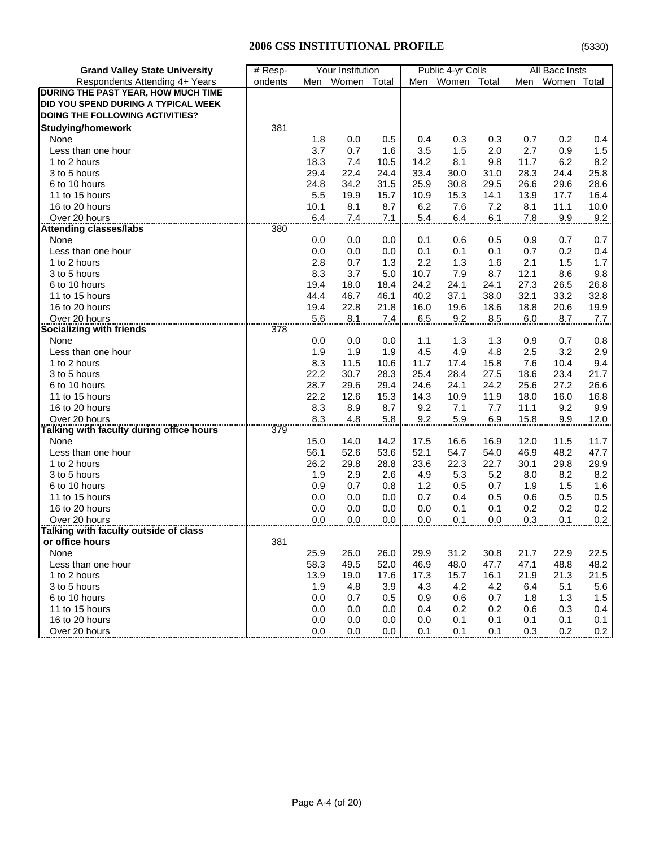| <b>Grand Valley State University</b>     | # Resp-                    | Your Institution |              |              | Public 4-yr Colls |             | All Bacc Insts |              |              |             |
|------------------------------------------|----------------------------|------------------|--------------|--------------|-------------------|-------------|----------------|--------------|--------------|-------------|
| Respondents Attending 4+ Years           | ondents                    | Men              | Women        | Total        | Men               | Women Total |                | Men          | Women Total  |             |
| DURING THE PAST YEAR, HOW MUCH TIME      |                            |                  |              |              |                   |             |                |              |              |             |
| DID YOU SPEND DURING A TYPICAL WEEK      |                            |                  |              |              |                   |             |                |              |              |             |
| DOING THE FOLLOWING ACTIVITIES?          |                            |                  |              |              |                   |             |                |              |              |             |
| <b>Studying/homework</b>                 | 381                        |                  |              |              |                   |             |                |              |              |             |
| None                                     |                            | 1.8              | 0.0          | 0.5          | 0.4               | 0.3         | 0.3            | 0.7          | 0.2          | 0.4         |
| Less than one hour                       |                            | 3.7              | 0.7          | 1.6          | 3.5               | 1.5         | 2.0            | 2.7          | 0.9          | 1.5         |
| 1 to 2 hours                             |                            | 18.3             | 7.4          | 10.5         | 14.2              | 8.1         | 9.8            | 11.7         | 6.2          | 8.2         |
| 3 to 5 hours                             |                            | 29.4             | 22.4         | 24.4         | 33.4              | 30.0        | 31.0           | 28.3         | 24.4         | 25.8        |
| 6 to 10 hours                            |                            | 24.8             | 34.2         | 31.5         | 25.9              | 30.8        | 29.5           | 26.6         | 29.6         | 28.6        |
| 11 to 15 hours                           |                            | 5.5              | 19.9         | 15.7         | 10.9              | 15.3        | 14.1           | 13.9         | 17.7         | 16.4        |
| 16 to 20 hours                           |                            | 10.1             | 8.1          | 8.7          | 6.2               | 7.6         | 7.2            | 8.1          | 11.1         | 10.0        |
| Over 20 hours                            |                            | 6.4              | 7.4          | 7.1          | 5.4               | 6.4         | 6.1            | 7.8          | 9.9          | 9.2         |
| <b>Attending classes/labs</b>            | 380                        |                  |              |              |                   |             |                |              |              |             |
| None                                     |                            | 0.0              | 0.0          | 0.0          | 0.1               | 0.6         | 0.5            | 0.9          | 0.7          | 0.7         |
| Less than one hour                       |                            | 0.0              | 0.0          | 0.0          | 0.1               | 0.1         | 0.1            | 0.7          | 0.2          | 0.4         |
| 1 to 2 hours                             |                            | 2.8              | 0.7          | 1.3          | 2.2               | 1.3         | 1.6            | 2.1          | 1.5          | 1.7         |
| 3 to 5 hours                             |                            | 8.3              | 3.7          | 5.0          | 10.7              | 7.9         | 8.7            |              | 8.6          |             |
| 6 to 10 hours                            |                            | 19.4             | 18.0         | 18.4         | 24.2              | 24.1        | 24.1           | 12.1<br>27.3 | 26.5         | 9.8<br>26.8 |
|                                          |                            | 44.4             |              |              |                   |             |                |              |              |             |
| 11 to 15 hours<br>16 to 20 hours         |                            | 19.4             | 46.7<br>22.8 | 46.1<br>21.8 | 40.2<br>16.0      | 37.1        | 38.0<br>18.6   | 32.1<br>18.8 | 33.2<br>20.6 | 32.8        |
|                                          |                            |                  |              |              |                   | 19.6        |                |              |              | 19.9        |
| Over 20 hours                            | 378                        | 5.6              | 8.1          | 7.4          | 6.5               | 9.2         | 8.5            | 6.0          | 8.7          | 7.7         |
| Socializing with friends                 |                            |                  |              |              |                   |             |                |              |              |             |
| None                                     |                            | 0.0              | 0.0          | 0.0          | 1.1               | 1.3         | 1.3            | 0.9          | 0.7          | 0.8         |
| Less than one hour                       |                            | 1.9              | 1.9          | 1.9          | 4.5               | 4.9         | 4.8            | 2.5          | 3.2          | 2.9         |
| 1 to 2 hours                             |                            | 8.3              | 11.5         | 10.6         | 11.7              | 17.4        | 15.8           | 7.6          | 10.4         | 9.4         |
| 3 to 5 hours                             |                            | 22.2             | 30.7         | 28.3         | 25.4              | 28.4        | 27.5           | 18.6         | 23.4         | 21.7        |
| 6 to 10 hours                            |                            | 28.7             | 29.6         | 29.4         | 24.6              | 24.1        | 24.2           | 25.6         | 27.2         | 26.6        |
| 11 to 15 hours                           |                            | 22.2             | 12.6         | 15.3         | 14.3              | 10.9        | 11.9           | 18.0         | 16.0         | 16.8        |
| 16 to 20 hours                           |                            | 8.3              | 8.9          | 8.7          | 9.2               | 7.1         | 7.7            | 11.1         | 9.2          | 9.9         |
| Over 20 hours                            |                            | 8.3              | 4.8          | 5.8          | 9.2               | 5.9         | 6.9            | 15.8         | 9.9          | 12.0        |
| Talking with faculty during office hours | 379                        |                  |              |              |                   |             |                |              |              |             |
| None                                     |                            | 15.0             | 14.0         | 14.2         | 17.5              | 16.6        | 16.9           | 12.0         | 11.5         | 11.7        |
| Less than one hour                       |                            | 56.1             | 52.6         | 53.6         | 52.1              | 54.7        | 54.0           | 46.9         | 48.2         | 47.7        |
| 1 to 2 hours                             |                            | 26.2             | 29.8         | 28.8         | 23.6              | 22.3        | 22.7           | 30.1         | 29.8         | 29.9        |
| 3 to 5 hours                             |                            | 1.9              | 2.9          | 2.6          | 4.9               | 5.3         | 5.2            | 8.0          | 8.2          | 8.2         |
| 6 to 10 hours                            |                            | 0.9              | 0.7          | 0.8          | 1.2               | 0.5         | 0.7            | 1.9          | 1.5          | 1.6         |
| 11 to 15 hours                           |                            | 0.0              | 0.0          | 0.0          | 0.7               | 0.4         | 0.5            | 0.6          | 0.5          | 0.5         |
| 16 to 20 hours                           |                            | 0.0              | 0.0          | 0.0          | 0.0               | 0.1         | 0.1            | 0.2          | 0.2          | 0.2         |
| Over 20 hours                            | ,,,,,,,,,,,,,,,,,,,,,,,,,, | 0.0              | 0.0          | 0.0          | 0.0               | 0.1         | 0.0            | 0.3          | 0.1          | 0.2         |
| Talking with faculty outside of class    |                            |                  |              |              |                   |             |                |              |              |             |
| or office hours                          | 381                        |                  |              |              |                   |             |                |              |              |             |
| None                                     |                            | 25.9             | 26.0         | 26.0         | 29.9              | 31.2        | 30.8           | 21.7         | 22.9         | 22.5        |
| Less than one hour                       |                            | 58.3             | 49.5         | 52.0         | 46.9              | 48.0        | 47.7           | 47.1         | 48.8         | 48.2        |
| 1 to 2 hours                             |                            | 13.9             | 19.0         | 17.6         | 17.3              | 15.7        | 16.1           | 21.9         | 21.3         | 21.5        |
| 3 to 5 hours                             |                            | 1.9              | 4.8          | 3.9          | 4.3               | 4.2         | 4.2            | 6.4          | 5.1          | 5.6         |
| 6 to 10 hours                            |                            | 0.0              | 0.7          | 0.5          | 0.9               | 0.6         | 0.7            | 1.8          | 1.3          | 1.5         |
| 11 to 15 hours                           |                            | 0.0              | 0.0          | 0.0          | 0.4               | 0.2         | 0.2            | 0.6          | 0.3          | 0.4         |
| 16 to 20 hours                           |                            | 0.0              | 0.0          | 0.0          | 0.0               | 0.1         | 0.1            | 0.1          | 0.1          | 0.1         |
| Over 20 hours                            |                            | 0.0              | 0.0          | 0.0          | 0.1               | 0.1         | 0.1            | 0.3          | 0.2          | 0.2         |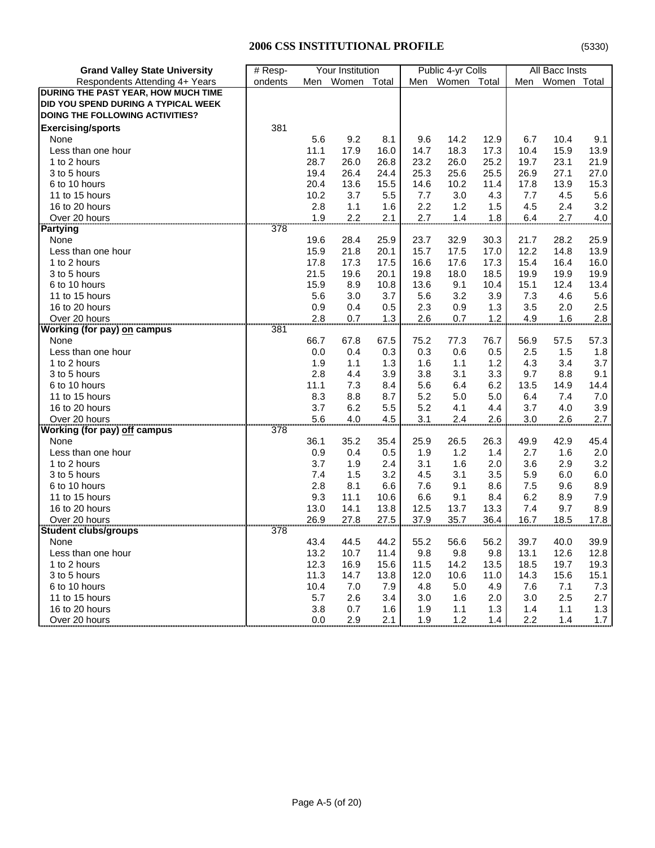| <b>Grand Valley State University</b> | # Resp- | Your Institution |           |       | Public 4-yr Colls |       | All Bacc Insts |      |             |      |
|--------------------------------------|---------|------------------|-----------|-------|-------------------|-------|----------------|------|-------------|------|
| Respondents Attending 4+ Years       | ondents |                  | Men Women | Total | Men               | Women | Total          | Men  | Women Total |      |
| DURING THE PAST YEAR, HOW MUCH TIME  |         |                  |           |       |                   |       |                |      |             |      |
| DID YOU SPEND DURING A TYPICAL WEEK  |         |                  |           |       |                   |       |                |      |             |      |
| DOING THE FOLLOWING ACTIVITIES?      |         |                  |           |       |                   |       |                |      |             |      |
| <b>Exercising/sports</b>             | 381     |                  |           |       |                   |       |                |      |             |      |
| None                                 |         | 5.6              | 9.2       | 8.1   | 9.6               | 14.2  | 12.9           | 6.7  | 10.4        | 9.1  |
| Less than one hour                   |         | 11.1             | 17.9      | 16.0  | 14.7              | 18.3  | 17.3           | 10.4 | 15.9        | 13.9 |
| 1 to 2 hours                         |         | 28.7             | 26.0      | 26.8  | 23.2              | 26.0  | 25.2           | 19.7 | 23.1        | 21.9 |
| 3 to 5 hours                         |         | 19.4             | 26.4      | 24.4  | 25.3              | 25.6  | 25.5           | 26.9 | 27.1        | 27.0 |
| 6 to 10 hours                        |         | 20.4             | 13.6      | 15.5  | 14.6              | 10.2  | 11.4           | 17.8 | 13.9        | 15.3 |
| 11 to 15 hours                       |         | 10.2             | 3.7       | 5.5   | 7.7               | 3.0   | 4.3            | 7.7  | 4.5         | 5.6  |
| 16 to 20 hours                       |         | 2.8              | 1.1       | 1.6   | 2.2               | 1.2   | 1.5            | 4.5  | 2.4         | 3.2  |
| Over 20 hours                        |         | 1.9              | 2.2       | 2.1   | 2.7               | 1.4   | 1.8            | 6.4  | 2.7         | 4.0  |
| Partying                             | 378     |                  |           |       |                   |       |                |      |             |      |
| None                                 |         | 19.6             | 28.4      | 25.9  | 23.7              | 32.9  | 30.3           | 21.7 | 28.2        | 25.9 |
| Less than one hour                   |         | 15.9             | 21.8      | 20.1  | 15.7              | 17.5  | 17.0           | 12.2 | 14.8        | 13.9 |
| 1 to 2 hours                         |         | 17.8             | 17.3      | 17.5  | 16.6              | 17.6  | 17.3           | 15.4 | 16.4        | 16.0 |
| 3 to 5 hours                         |         | 21.5             | 19.6      | 20.1  | 19.8              | 18.0  | 18.5           | 19.9 | 19.9        | 19.9 |
| 6 to 10 hours                        |         | 15.9             | 8.9       | 10.8  | 13.6              | 9.1   | 10.4           | 15.1 | 12.4        | 13.4 |
| 11 to 15 hours                       |         | 5.6              | 3.0       | 3.7   | 5.6               | 3.2   | 3.9            | 7.3  | 4.6         | 5.6  |
| 16 to 20 hours                       |         | 0.9              | 0.4       | 0.5   | 2.3               | 0.9   | 1.3            | 3.5  | 2.0         | 2.5  |
| Over 20 hours                        |         | 2.8              | 0.7       | 1.3   | 2.6               | 0.7   | 1.2            | 4.9  | 1.6         | 2.8  |
| Working (for pay) on campus          | 381     |                  |           |       |                   |       |                |      |             |      |
| None                                 |         | 66.7             | 67.8      | 67.5  | 75.2              | 77.3  | 76.7           | 56.9 | 57.5        | 57.3 |
| Less than one hour                   |         | 0.0              | 0.4       | 0.3   | 0.3               | 0.6   | 0.5            | 2.5  | 1.5         | 1.8  |
| 1 to 2 hours                         |         | 1.9              | 1.1       | 1.3   | 1.6               | 1.1   | 1.2            | 4.3  | 3.4         | 3.7  |
| 3 to 5 hours                         |         | 2.8              | 4.4       | 3.9   | 3.8               | 3.1   | 3.3            | 9.7  | 8.8         | 9.1  |
| 6 to 10 hours                        |         | 11.1             | 7.3       | 8.4   | 5.6               | 6.4   | 6.2            | 13.5 | 14.9        | 14.4 |
| 11 to 15 hours                       |         | 8.3              | 8.8       | 8.7   | 5.2               | 5.0   | 5.0            | 6.4  | 7.4         | 7.0  |
| 16 to 20 hours                       |         | 3.7              | 6.2       | 5.5   | 5.2               | 4.1   | 4.4            | 3.7  | 4.0         | 3.9  |
| Over 20 hours                        |         | 5.6              | 4.0       | 4.5   | 3.1               | 2.4   | 2.6            | 3.0  | 2.6         | 2.7  |
| <br>Working (for pay) off campus     | 378     |                  |           |       |                   |       |                |      |             |      |
| None                                 |         | 36.1             | 35.2      | 35.4  | 25.9              | 26.5  | 26.3           | 49.9 | 42.9        | 45.4 |
| Less than one hour                   |         | 0.9              | 0.4       | 0.5   | 1.9               | 1.2   | 1.4            | 2.7  | 1.6         | 2.0  |
| 1 to 2 hours                         |         | 3.7              | 1.9       | 2.4   | 3.1               | 1.6   | 2.0            | 3.6  | 2.9         | 3.2  |
| 3 to 5 hours                         |         | 7.4              | 1.5       | 3.2   | 4.5               | 3.1   | 3.5            | 5.9  | 6.0         | 6.0  |
| 6 to 10 hours                        |         | 2.8              | 8.1       | 6.6   | 7.6               | 9.1   | 8.6            | 7.5  | 9.6         | 8.9  |
| 11 to 15 hours                       |         | 9.3              | 11.1      | 10.6  | 6.6               | 9.1   | 8.4            | 6.2  | 8.9         | 7.9  |
| 16 to 20 hours                       |         | 13.0             | 14.1      | 13.8  | 12.5              | 13.7  | 13.3           | 7.4  | 9.7         | 8.9  |
| Over 20 hours                        |         | 26.9             | 27.8      | 27.5  | 37.9              | 35.7  | 36.4           | 16.7 | 18.5        | 17.8 |
| <b>Student clubs/groups</b>          |         |                  |           |       |                   |       |                |      |             |      |
| None                                 |         | 43.4             | 44.5      | 44.2  | 55.2              | 56.6  | 56.2           | 39.7 | 40.0        | 39.9 |
| Less than one hour                   |         | 13.2             | 10.7      | 11.4  | 9.8               | 9.8   | 9.8            | 13.1 | 12.6        | 12.8 |
| 1 to 2 hours                         |         | 12.3             | 16.9      | 15.6  | 11.5              | 14.2  | 13.5           | 18.5 | 19.7        | 19.3 |
| 3 to 5 hours                         |         | 11.3             | 14.7      | 13.8  | 12.0              | 10.6  | 11.0           | 14.3 | 15.6        | 15.1 |
| 6 to 10 hours                        |         | 10.4             | 7.0       | 7.9   | 4.8               | 5.0   | 4.9            | 7.6  | 7.1         | 7.3  |
| 11 to 15 hours                       |         | 5.7              | 2.6       | 3.4   | 3.0               | 1.6   | 2.0            | 3.0  | 2.5         | 2.7  |
| 16 to 20 hours                       |         | 3.8              | 0.7       | 1.6   | 1.9               | 1.1   | 1.3            | 1.4  | 1.1         | 1.3  |
| Over 20 hours                        |         | 0.0              | 2.9       | 2.1   | 1.9               | 1.2   | 1.4            | 2.2  | 1.4         | 1.7  |
|                                      |         |                  |           |       |                   |       |                |      |             |      |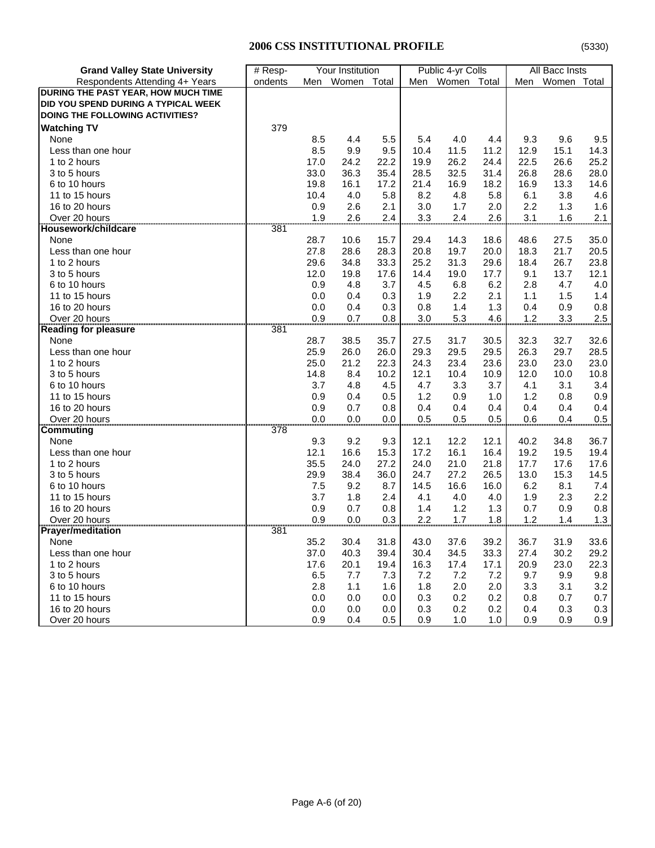| <b>Grand Valley State University</b>   | # Resp- |      | Your Institution |       |      | Public 4-yr Colls |       | All Bacc Insts |             |         |
|----------------------------------------|---------|------|------------------|-------|------|-------------------|-------|----------------|-------------|---------|
| Respondents Attending 4+ Years         | ondents |      | Men Women        | Total | Men  | Women             | Total | Men            | Women Total |         |
| DURING THE PAST YEAR, HOW MUCH TIME    |         |      |                  |       |      |                   |       |                |             |         |
| DID YOU SPEND DURING A TYPICAL WEEK    |         |      |                  |       |      |                   |       |                |             |         |
| <b>DOING THE FOLLOWING ACTIVITIES?</b> |         |      |                  |       |      |                   |       |                |             |         |
| <b>Watching TV</b>                     | 379     |      |                  |       |      |                   |       |                |             |         |
| None                                   |         | 8.5  | 4.4              | 5.5   | 5.4  | 4.0               | 4.4   | 9.3            | 9.6         | 9.5     |
| Less than one hour                     |         | 8.5  | 9.9              | 9.5   | 10.4 | 11.5              | 11.2  | 12.9           | 15.1        | 14.3    |
| 1 to 2 hours                           |         | 17.0 | 24.2             | 22.2  | 19.9 | 26.2              | 24.4  | 22.5           | 26.6        | 25.2    |
| 3 to 5 hours                           |         | 33.0 | 36.3             | 35.4  | 28.5 | 32.5              | 31.4  | 26.8           | 28.6        | 28.0    |
| 6 to 10 hours                          |         | 19.8 | 16.1             | 17.2  | 21.4 | 16.9              | 18.2  | 16.9           | 13.3        | 14.6    |
| 11 to 15 hours                         |         | 10.4 | 4.0              | 5.8   | 8.2  | 4.8               | 5.8   | 6.1            | 3.8         | 4.6     |
| 16 to 20 hours                         |         | 0.9  | 2.6              | 2.1   | 3.0  | 1.7               | 2.0   | 2.2            | 1.3         | 1.6     |
| Over 20 hours                          |         | 1.9  | 2.6              | 2.4   | 3.3  | 2.4               | 2.6   | 3.1            | 1.6         | 2.1     |
| Housework/childcare                    | 381     |      |                  |       |      |                   |       |                |             |         |
| None                                   |         | 28.7 | 10.6             | 15.7  | 29.4 | 14.3              | 18.6  | 48.6           | 27.5        | 35.0    |
| Less than one hour                     |         | 27.8 | 28.6             | 28.3  | 20.8 | 19.7              | 20.0  | 18.3           | 21.7        | 20.5    |
| 1 to 2 hours                           |         | 29.6 | 34.8             | 33.3  | 25.2 | 31.3              | 29.6  | 18.4           | 26.7        | 23.8    |
| 3 to 5 hours                           |         | 12.0 | 19.8             | 17.6  | 14.4 | 19.0              | 17.7  | 9.1            | 13.7        | 12.1    |
| 6 to 10 hours                          |         | 0.9  | 4.8              | 3.7   | 4.5  | 6.8               | 6.2   | 2.8            | 4.7         | 4.0     |
| 11 to 15 hours                         |         | 0.0  | 0.4              | 0.3   | 1.9  | 2.2               | 2.1   | 1.1            | 1.5         | 1.4     |
| 16 to 20 hours                         |         | 0.0  | 0.4              | 0.3   | 0.8  | 1.4               | 1.3   | 0.4            | 0.9         | 0.8     |
| Over 20 hours                          |         | 0.9  | 0.7              | 0.8   | 3.0  | 5.3               | 4.6   | 1.2            | 3.3         | $2.5\,$ |
| <b>Reading for pleasure</b>            | 381     |      |                  |       |      |                   |       |                |             |         |
| None                                   |         | 28.7 | 38.5             | 35.7  | 27.5 | 31.7              | 30.5  | 32.3           | 32.7        | 32.6    |
| Less than one hour                     |         | 25.9 | 26.0             | 26.0  | 29.3 | 29.5              | 29.5  | 26.3           | 29.7        | 28.5    |
| 1 to 2 hours                           |         | 25.0 | 21.2             | 22.3  | 24.3 | 23.4              | 23.6  | 23.0           | 23.0        | 23.0    |
| 3 to 5 hours                           |         | 14.8 | 8.4              | 10.2  | 12.1 | 10.4              | 10.9  | 12.0           | 10.0        | 10.8    |
| 6 to 10 hours                          |         | 3.7  | 4.8              | 4.5   | 4.7  | 3.3               | 3.7   | 4.1            | 3.1         | 3.4     |
| 11 to 15 hours                         |         | 0.9  | 0.4              | 0.5   | 1.2  | 0.9               | 1.0   | 1.2            | 0.8         | 0.9     |
| 16 to 20 hours                         |         | 0.9  | 0.7              | 0.8   | 0.4  | 0.4               | 0.4   | 0.4            | 0.4         | 0.4     |
| Over 20 hours                          |         | 0.0  | 0.0              | 0.0   | 0.5  | 0.5               | 0.5   | 0.6            | 0.4         | 0.5     |
| Commuting                              | 378     |      |                  |       |      |                   |       |                |             |         |
| None                                   |         | 9.3  | 9.2              | 9.3   | 12.1 | 12.2              | 12.1  | 40.2           | 34.8        | 36.7    |
| Less than one hour                     |         | 12.1 | 16.6             | 15.3  | 17.2 | 16.1              | 16.4  | 19.2           | 19.5        | 19.4    |
| 1 to 2 hours                           |         | 35.5 | 24.0             | 27.2  | 24.0 | 21.0              | 21.8  | 17.7           | 17.6        | 17.6    |
| 3 to 5 hours                           |         | 29.9 | 38.4             | 36.0  | 24.7 | 27.2              | 26.5  | 13.0           | 15.3        | 14.5    |
| 6 to 10 hours                          |         | 7.5  | 9.2              | 8.7   | 14.5 | 16.6              | 16.0  | 6.2            | 8.1         | 7.4     |
| 11 to 15 hours                         |         | 3.7  | 1.8              | 2.4   | 4.1  | 4.0               | 4.0   | 1.9            | 2.3         | 2.2     |
| 16 to 20 hours                         |         | 0.9  | 0.7              | 0.8   | 1.4  | 1.2               | 1.3   | 0.7            | 0.9         | 0.8     |
| Over 20 hours                          |         | 0.9  | 0.0              | 0.3   | 2.2  | 1.7               | 1.8   | 1.2            | 1.4         | 1.3     |
| <b>Prayer/meditation</b>               |         |      |                  |       |      |                   |       |                |             |         |
| None                                   |         | 35.2 | 30.4             | 31.8  | 43.0 | 37.6              | 39.2  | 36.7           | 31.9        | 33.6    |
| Less than one hour                     |         | 37.0 | 40.3             | 39.4  | 30.4 | 34.5              | 33.3  | 27.4           | 30.2        | 29.2    |
| 1 to 2 hours                           |         | 17.6 | 20.1             | 19.4  | 16.3 | 17.4              | 17.1  | 20.9           | 23.0        | 22.3    |
| 3 to 5 hours                           |         | 6.5  | 7.7              | 7.3   | 7.2  | 7.2               | 7.2   | 9.7            | 9.9         | $9.8\,$ |
| 6 to 10 hours                          |         | 2.8  | 1.1              | 1.6   | 1.8  | 2.0               | 2.0   | 3.3            | 3.1         | 3.2     |
| 11 to 15 hours                         |         | 0.0  | 0.0              | 0.0   | 0.3  | 0.2               | 0.2   | 0.8            | 0.7         | 0.7     |
| 16 to 20 hours                         |         | 0.0  | 0.0              | 0.0   | 0.3  | 0.2               | 0.2   | 0.4            | 0.3         | 0.3     |
| Over 20 hours                          |         | 0.9  | 0.4              | 0.5   | 0.9  | 1.0               | 1.0   | 0.9            | 0.9         | 0.9     |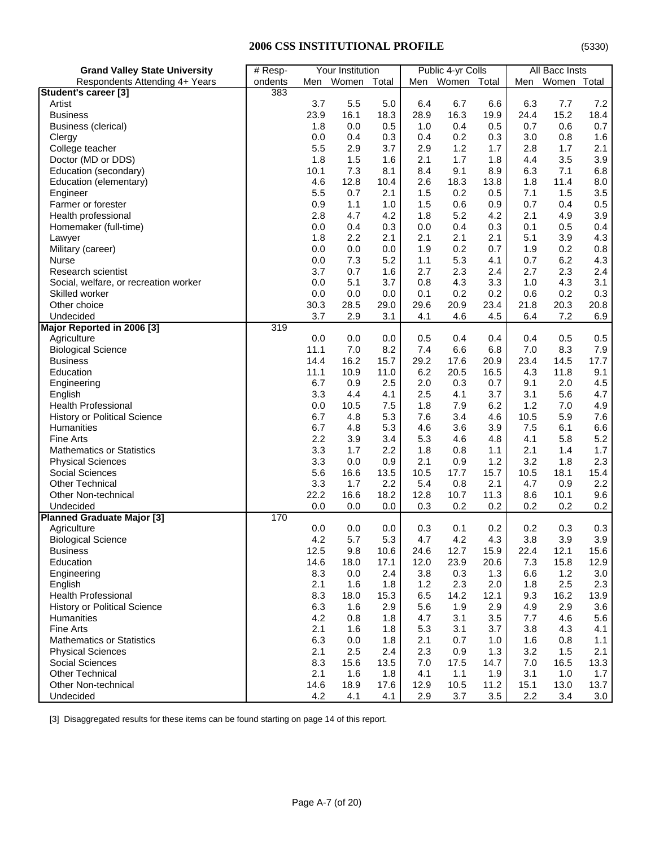# **2006 CSS INSTITUTIONAL PROFILE**

| <b>Grand Valley State University</b>  | # Resp- |      | Your Institution |       |      | Public 4-yr Colls |      |      | All Bacc Insts |      |
|---------------------------------------|---------|------|------------------|-------|------|-------------------|------|------|----------------|------|
| Respondents Attending 4+ Years        | ondents |      | Men Women        | Total |      | Men Women Total   |      | Men  | Women Total    |      |
| Student's career [3]                  | 383     |      |                  |       |      |                   |      |      |                |      |
| Artist                                |         | 3.7  | 5.5              | 5.0   | 6.4  | 6.7               | 6.6  | 6.3  | 7.7            | 7.2  |
| <b>Business</b>                       |         | 23.9 | 16.1             | 18.3  | 28.9 | 16.3              | 19.9 | 24.4 | 15.2           | 18.4 |
| Business (clerical)                   |         | 1.8  | 0.0              | 0.5   | 1.0  | 0.4               | 0.5  | 0.7  | 0.6            | 0.7  |
| Clergy                                |         | 0.0  | 0.4              | 0.3   | 0.4  | 0.2               | 0.3  | 3.0  | 0.8            | 1.6  |
| College teacher                       |         | 5.5  | 2.9              | 3.7   | 2.9  | 1.2               | 1.7  | 2.8  | 1.7            | 2.1  |
| Doctor (MD or DDS)                    |         | 1.8  | 1.5              | 1.6   | 2.1  | 1.7               | 1.8  | 4.4  | 3.5            | 3.9  |
| Education (secondary)                 |         | 10.1 | 7.3              | 8.1   | 8.4  | 9.1               | 8.9  | 6.3  | 7.1            | 6.8  |
| Education (elementary)                |         | 4.6  | 12.8             | 10.4  | 2.6  | 18.3              | 13.8 | 1.8  | 11.4           | 8.0  |
| Engineer                              |         | 5.5  | 0.7              | 2.1   | 1.5  | 0.2               | 0.5  | 7.1  | 1.5            | 3.5  |
| Farmer or forester                    |         | 0.9  | 1.1              | 1.0   | 1.5  | 0.6               | 0.9  | 0.7  | 0.4            | 0.5  |
| Health professional                   |         | 2.8  | 4.7              | 4.2   | 1.8  | 5.2               | 4.2  | 2.1  | 4.9            | 3.9  |
| Homemaker (full-time)                 |         | 0.0  | 0.4              | 0.3   | 0.0  | 0.4               | 0.3  | 0.1  | 0.5            | 0.4  |
| Lawyer                                |         | 1.8  | 2.2              | 2.1   | 2.1  | 2.1               | 2.1  | 5.1  | 3.9            | 4.3  |
| Military (career)                     |         | 0.0  | 0.0              | 0.0   | 1.9  | 0.2               | 0.7  | 1.9  | 0.2            | 0.8  |
| <b>Nurse</b>                          |         | 0.0  | 7.3              | 5.2   | 1.1  | 5.3               | 4.1  | 0.7  | 6.2            | 4.3  |
| <b>Research scientist</b>             |         | 3.7  | 0.7              | 1.6   | 2.7  | 2.3               | 2.4  | 2.7  | 2.3            | 2.4  |
| Social, welfare, or recreation worker |         | 0.0  | 5.1              | 3.7   | 0.8  | 4.3               | 3.3  | 1.0  | 4.3            | 3.1  |
| Skilled worker                        |         | 0.0  | 0.0              | 0.0   | 0.1  | 0.2               | 0.2  | 0.6  | 0.2            | 0.3  |
| Other choice                          |         | 30.3 | 28.5             |       | 29.6 | 20.9              | 23.4 | 21.8 | 20.3           | 20.8 |
|                                       |         |      |                  | 29.0  |      |                   |      |      |                |      |
| Undecided                             |         | 3.7  | 2.9              | 3.1   | 4.1  | 4.6               | 4.5  | 6.4  | 7.2            | 6.9  |
| Major Reported in 2006 [3]            | 319     |      |                  |       |      |                   |      |      |                |      |
| Agriculture                           |         | 0.0  | 0.0              | 0.0   | 0.5  | 0.4               | 0.4  | 0.4  | 0.5            | 0.5  |
| <b>Biological Science</b>             |         | 11.1 | 7.0              | 8.2   | 7.4  | 6.6               | 6.8  | 7.0  | 8.3            | 7.9  |
| <b>Business</b>                       |         | 14.4 | 16.2             | 15.7  | 29.2 | 17.6              | 20.9 | 23.4 | 14.5           | 17.7 |
| Education                             |         | 11.1 | 10.9             | 11.0  | 6.2  | 20.5              | 16.5 | 4.3  | 11.8           | 9.1  |
| Engineering                           |         | 6.7  | 0.9              | 2.5   | 2.0  | 0.3               | 0.7  | 9.1  | 2.0            | 4.5  |
| English                               |         | 3.3  | 4.4              | 4.1   | 2.5  | 4.1               | 3.7  | 3.1  | 5.6            | 4.7  |
| <b>Health Professional</b>            |         | 0.0  | 10.5             | 7.5   | 1.8  | 7.9               | 6.2  | 1.2  | 7.0            | 4.9  |
| <b>History or Political Science</b>   |         | 6.7  | 4.8              | 5.3   | 7.6  | 3.4               | 4.6  | 10.5 | 5.9            | 7.6  |
| Humanities                            |         | 6.7  | 4.8              | 5.3   | 4.6  | 3.6               | 3.9  | 7.5  | 6.1            | 6.6  |
| <b>Fine Arts</b>                      |         | 2.2  | 3.9              | 3.4   | 5.3  | 4.6               | 4.8  | 4.1  | 5.8            | 5.2  |
| <b>Mathematics or Statistics</b>      |         | 3.3  | 1.7              | 2.2   | 1.8  | 0.8               | 1.1  | 2.1  | 1.4            | 1.7  |
| <b>Physical Sciences</b>              |         | 3.3  | 0.0              | 0.9   | 2.1  | 0.9               | 1.2  | 3.2  | 1.8            | 2.3  |
| <b>Social Sciences</b>                |         | 5.6  | 16.6             | 13.5  | 10.5 | 17.7              | 15.7 | 10.5 | 18.1           | 15.4 |
| Other Technical                       |         | 3.3  | 1.7              | 2.2   | 5.4  | 0.8               | 2.1  | 4.7  | 0.9            | 2.2  |
| Other Non-technical                   |         | 22.2 | 16.6             | 18.2  | 12.8 | 10.7              | 11.3 | 8.6  | 10.1           | 9.6  |
| Undecided                             |         | 0.0  | 0.0              | 0.0   | 0.3  | 0.2               | 0.2  | 0.2  | 0.2            | 0.2  |
| <b>Planned Graduate Major [3]</b>     | 170     |      |                  |       |      |                   |      |      |                |      |
| Agriculture                           |         | 0.0  | 0.0              | 0.0   | 0.3  | 0.1               | 0.2  | 0.2  | 0.3            | 0.3  |
| <b>Biological Science</b>             |         | 4.2  | 5.7              | 5.3   | 4.7  | 4.2               | 4.3  | 3.8  | 3.9            | 3.9  |
| <b>Business</b>                       |         | 12.5 | 9.8              | 10.6  | 24.6 | 12.7              | 15.9 | 22.4 | 12.1           | 15.6 |
| Education                             |         | 14.6 | 18.0             | 17.1  | 12.0 | 23.9              | 20.6 | 7.3  | 15.8           | 12.9 |
| Engineering                           |         | 8.3  | 0.0              | 2.4   | 3.8  | 0.3               | 1.3  | 6.6  | 1.2            | 3.0  |
| English                               |         | 2.1  | 1.6              | 1.8   | 1.2  | 2.3               | 2.0  | 1.8  | 2.5            | 2.3  |
| <b>Health Professional</b>            |         | 8.3  | 18.0             | 15.3  | 6.5  | 14.2              | 12.1 | 9.3  | 16.2           | 13.9 |
| <b>History or Political Science</b>   |         | 6.3  | 1.6              | 2.9   | 5.6  | 1.9               | 2.9  | 4.9  | 2.9            | 3.6  |
| <b>Humanities</b>                     |         | 4.2  | 0.8              | 1.8   | 4.7  | 3.1               | 3.5  | 7.7  | 4.6            | 5.6  |
| <b>Fine Arts</b>                      |         | 2.1  | 1.6              | 1.8   | 5.3  | 3.1               | 3.7  | 3.8  | 4.3            | 4.1  |
| <b>Mathematics or Statistics</b>      |         | 6.3  | 0.0              | 1.8   | 2.1  | 0.7               | 1.0  | 1.6  | 0.8            | 1.1  |
| <b>Physical Sciences</b>              |         | 2.1  | 2.5              | 2.4   | 2.3  | 0.9               | 1.3  | 3.2  | 1.5            | 2.1  |
| Social Sciences                       |         | 8.3  | 15.6             | 13.5  | 7.0  | 17.5              | 14.7 | 7.0  | 16.5           | 13.3 |
| Other Technical                       |         | 2.1  | 1.6              | 1.8   | 4.1  | 1.1               | 1.9  | 3.1  | 1.0            | 1.7  |
| Other Non-technical                   |         | 14.6 | 18.9             | 17.6  | 12.9 | 10.5              | 11.2 | 15.1 | 13.0           | 13.7 |
| Undecided                             |         | 4.2  | 4.1              | 4.1   | 2.9  | 3.7               | 3.5  | 2.2  | 3.4            | 3.0  |

[3] Disaggregated results for these items can be found starting on page 14 of this report.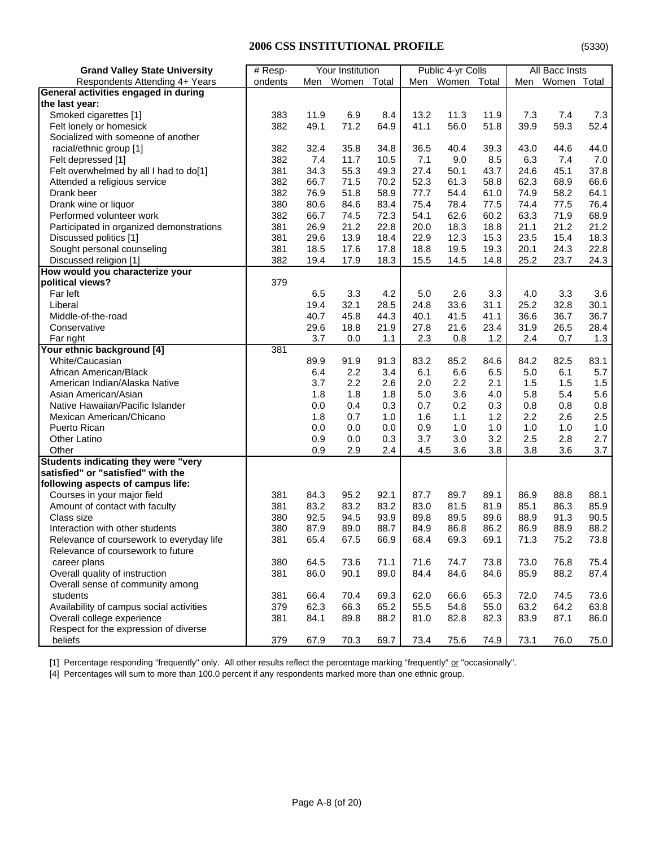| <b>Grand Valley State University</b>       | Your Institution<br>$#$ Resp- |      |           | Public 4-yr Colls |      | All Bacc Insts |      |      |             |       |
|--------------------------------------------|-------------------------------|------|-----------|-------------------|------|----------------|------|------|-------------|-------|
| Respondents Attending 4+ Years             | ondents                       |      | Men Women | Total             | Men  | Women Total    |      | Men  | Women Total |       |
| General activities engaged in during       |                               |      |           |                   |      |                |      |      |             |       |
| the last year:                             |                               |      |           |                   |      |                |      |      |             |       |
| Smoked cigarettes [1]                      | 383                           | 11.9 | 6.9       | 8.4               | 13.2 | 11.3           | 11.9 | 7.3  | 7.4         | 7.3   |
| Felt lonely or homesick                    | 382                           | 49.1 | 71.2      | 64.9              | 41.1 | 56.0           | 51.8 | 39.9 | 59.3        | 52.4  |
| Socialized with someone of another         |                               |      |           |                   |      |                |      |      |             |       |
| racial/ethnic group [1]                    | 382                           | 32.4 | 35.8      | 34.8              | 36.5 | 40.4           | 39.3 | 43.0 | 44.6        | 44.0  |
| Felt depressed [1]                         | 382                           | 7.4  | 11.7      | 10.5              | 7.1  | 9.0            | 8.5  | 6.3  | 7.4         | 7.0   |
| Felt overwhelmed by all I had to do[1]     | 381                           | 34.3 | 55.3      | 49.3              | 27.4 | 50.1           | 43.7 | 24.6 | 45.1        | 37.8  |
| Attended a religious service               | 382                           | 66.7 | 71.5      | 70.2              | 52.3 | 61.3           | 58.8 | 62.3 | 68.9        | 66.6  |
| Drank beer                                 | 382                           | 76.9 | 51.8      | 58.9              | 77.7 | 54.4           | 61.0 | 74.9 | 58.2        | 64.1  |
| Drank wine or liquor                       | 380                           | 80.6 | 84.6      | 83.4              | 75.4 | 78.4           | 77.5 | 74.4 | 77.5        | 76.4  |
| Performed volunteer work                   | 382                           | 66.7 | 74.5      | 72.3              | 54.1 | 62.6           | 60.2 | 63.3 | 71.9        | 68.9  |
| Participated in organized demonstrations   | 381                           | 26.9 | 21.2      | 22.8              | 20.0 | 18.3           | 18.8 | 21.1 | 21.2        | 21.2  |
| Discussed politics [1]                     | 381                           | 29.6 | 13.9      | 18.4              | 22.9 | 12.3           | 15.3 | 23.5 | 15.4        | 18.3  |
| Sought personal counseling                 | 381                           | 18.5 | 17.6      | 17.8              | 18.8 | 19.5           | 19.3 | 20.1 | 24.3        | 22.8  |
| Discussed religion [1]                     | 382                           | 19.4 | 17.9      | 18.3              | 15.5 | 14.5           | 14.8 | 25.2 | 23.7        | 24.3  |
| How would you characterize your            |                               |      |           |                   |      |                |      |      |             |       |
| political views?                           | 379                           |      |           |                   |      |                |      |      |             |       |
| Far left                                   |                               | 6.5  | 3.3       | 4.2               | 5.0  | 2.6            | 3.3  | 4.0  | 3.3         | 3.6   |
| Liberal                                    |                               | 19.4 | 32.1      | 28.5              | 24.8 | 33.6           | 31.1 | 25.2 | 32.8        | 30.1  |
| Middle-of-the-road                         |                               | 40.7 | 45.8      | 44.3              | 40.1 | 41.5           | 41.1 | 36.6 | 36.7        | 36.7  |
| Conservative                               |                               | 29.6 | 18.8      | 21.9              | 27.8 | 21.6           | 23.4 | 31.9 | 26.5        | 28.4  |
| Far right                                  |                               | 3.7  | 0.0       | 1.1               | 2.3  | 0.8            | 1.2  | 2.4  | 0.7         | 1.3   |
| Your ethnic background [4]                 | 381                           |      |           |                   |      |                |      |      |             |       |
| White/Caucasian                            |                               | 89.9 | 91.9      | 91.3              | 83.2 | 85.2           | 84.6 | 84.2 | 82.5        | 83.1  |
| African American/Black                     |                               | 6.4  | 2.2       | 3.4               | 6.1  | 6.6            | 6.5  | 5.0  | 6.1         | 5.7   |
| American Indian/Alaska Native              |                               | 3.7  | 2.2       | 2.6               | 2.0  | 2.2            | 2.1  | 1.5  | 1.5         | 1.5   |
| Asian American/Asian                       |                               | 1.8  | 1.8       | 1.8               | 5.0  | 3.6            | 4.0  | 5.8  | 5.4         | 5.6   |
| Native Hawaiian/Pacific Islander           |                               | 0.0  | 0.4       | 0.3               | 0.7  | 0.2            | 0.3  | 0.8  | 0.8         | 0.8   |
| Mexican American/Chicano                   |                               | 1.8  | 0.7       | 1.0               | 1.6  | 1.1            | 1.2  | 2.2  | 2.6         | 2.5   |
| Puerto Rican                               |                               | 0.0  | 0.0       | 0.0               | 0.9  | 1.0            | 1.0  | 1.0  | 1.0         | $1.0$ |
| <b>Other Latino</b>                        |                               | 0.9  | 0.0       | 0.3               | 3.7  | 3.0            | 3.2  | 2.5  | 2.8         | 2.7   |
| Other                                      |                               | 0.9  | 2.9       | 2.4               | 4.5  | 3.6            | 3.8  | 3.8  | 3.6         | 3.7   |
| <b>Students indicating they were "very</b> |                               |      |           |                   |      |                |      |      |             |       |
| satisfied" or "satisfied" with the         |                               |      |           |                   |      |                |      |      |             |       |
| following aspects of campus life:          |                               |      |           |                   |      |                |      |      |             |       |
| Courses in your major field                | 381                           | 84.3 | 95.2      | 92.1              | 87.7 | 89.7           | 89.1 | 86.9 | 88.8        | 88.1  |
| Amount of contact with faculty             | 381                           | 83.2 | 83.2      | 83.2              | 83.0 | 81.5           | 81.9 | 85.1 | 86.3        | 85.9  |
| Class size                                 | 380                           | 92.5 | 94.5      | 93.9              | 89.8 | 89.5           | 89.6 | 88.9 | 91.3        | 90.5  |
| Interaction with other students            | 380                           | 87.9 | 89.0      | 88.7              | 84.9 | 86.8           | 86.2 | 86.9 | 88.9        | 88.2  |
| Relevance of coursework to everyday life   | 381                           | 65.4 | 67.5      | 66.9              | 68.4 | 69.3           | 69.1 | 71.3 | 75.2        | 73.8  |
| Relevance of coursework to future          |                               |      |           |                   |      |                |      |      |             |       |
| career plans                               | 380                           | 64.5 | 73.6      | 71.1              | 71.6 | 74.7           | 73.8 | 73.0 | 76.8        | 75.4  |
| Overall quality of instruction             | 381                           | 86.0 | 90.1      | 89.0              | 84.4 | 84.6           | 84.6 | 85.9 | 88.2        | 87.4  |
| Overall sense of community among           |                               |      |           |                   |      |                |      |      |             |       |
| students                                   | 381                           | 66.4 | 70.4      | 69.3              | 62.0 | 66.6           | 65.3 | 72.0 | 74.5        | 73.6  |
| Availability of campus social activities   | 379                           | 62.3 | 66.3      | 65.2              | 55.5 | 54.8           | 55.0 | 63.2 | 64.2        | 63.8  |
| Overall college experience                 | 381                           | 84.1 | 89.8      | 88.2              | 81.0 | 82.8           | 82.3 | 83.9 | 87.1        | 86.0  |
| Respect for the expression of diverse      |                               |      |           |                   |      |                |      |      |             |       |
| beliefs                                    | 379                           | 67.9 | 70.3      | 69.7              | 73.4 | 75.6           | 74.9 | 73.1 | 76.0        | 75.0  |

[1] Percentage responding "frequently" only. All other results reflect the percentage marking "frequently" or "occasionally".

[4] Percentages will sum to more than 100.0 percent if any respondents marked more than one ethnic group.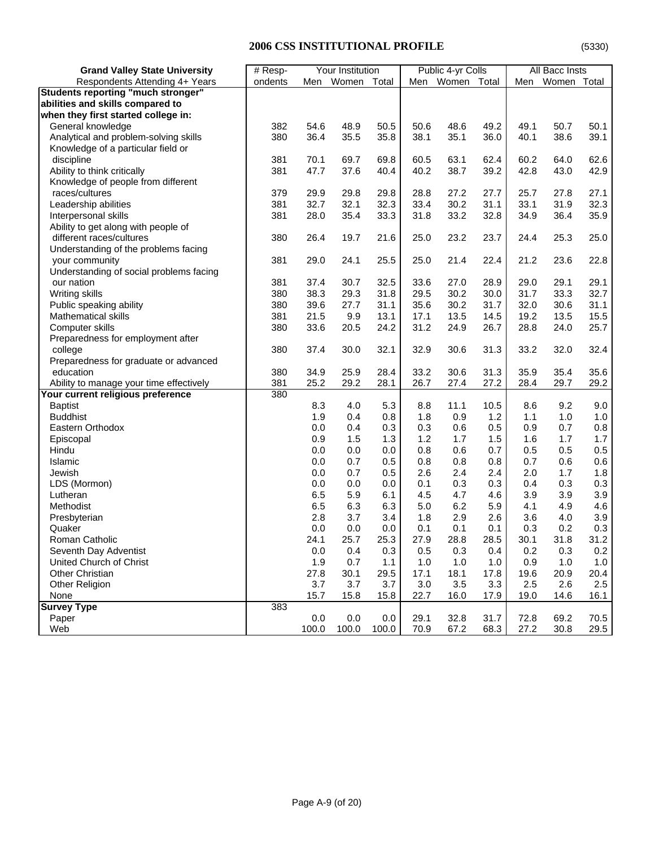| <b>Grand Valley State University</b>                                         | $#$ Resp- | Your Institution |              |              | Public 4-yr Colls |                 | All Bacc Insts |            |             |         |
|------------------------------------------------------------------------------|-----------|------------------|--------------|--------------|-------------------|-----------------|----------------|------------|-------------|---------|
| Respondents Attending 4+ Years                                               | ondents   |                  | Men Women    | Total        |                   | Men Women Total |                | Men        | Women Total |         |
| <b>Students reporting "much stronger"</b>                                    |           |                  |              |              |                   |                 |                |            |             |         |
| abilities and skills compared to                                             |           |                  |              |              |                   |                 |                |            |             |         |
| when they first started college in:                                          |           |                  |              |              |                   |                 |                |            |             |         |
| General knowledge                                                            | 382       | 54.6             | 48.9         | 50.5         | 50.6              | 48.6            | 49.2           | 49.1       | 50.7        | 50.1    |
| Analytical and problem-solving skills                                        | 380       | 36.4             | 35.5         | 35.8         | 38.1              | 35.1            | 36.0           | 40.1       | 38.6        | 39.1    |
| Knowledge of a particular field or                                           |           |                  |              |              |                   |                 |                |            |             |         |
| discipline                                                                   | 381       | 70.1             | 69.7         | 69.8         | 60.5              | 63.1            | 62.4           | 60.2       | 64.0        | 62.6    |
| Ability to think critically                                                  | 381       | 47.7             | 37.6         | 40.4         | 40.2              | 38.7            | 39.2           | 42.8       | 43.0        | 42.9    |
| Knowledge of people from different                                           |           |                  |              |              |                   |                 |                |            |             |         |
| races/cultures                                                               | 379       | 29.9             | 29.8         | 29.8         | 28.8              | 27.2            | 27.7           | 25.7       | 27.8        | 27.1    |
| Leadership abilities                                                         | 381       | 32.7             | 32.1         | 32.3         | 33.4              | 30.2            | 31.1           | 33.1       | 31.9        | 32.3    |
| Interpersonal skills                                                         | 381       | 28.0             | 35.4         | 33.3         | 31.8              | 33.2            | 32.8           | 34.9       | 36.4        | 35.9    |
| Ability to get along with people of                                          |           |                  |              |              |                   |                 |                |            |             |         |
| different races/cultures                                                     | 380       | 26.4             | 19.7         | 21.6         | 25.0              | 23.2            | 23.7           | 24.4       | 25.3        | 25.0    |
| Understanding of the problems facing                                         |           |                  |              |              |                   |                 |                |            |             |         |
| your community                                                               | 381       | 29.0             | 24.1         | 25.5         | 25.0              | 21.4            | 22.4           | 21.2       | 23.6        | 22.8    |
| Understanding of social problems facing                                      |           |                  |              |              |                   |                 |                |            |             |         |
| our nation                                                                   | 381       | 37.4             | 30.7         | 32.5         | 33.6              | 27.0            | 28.9           | 29.0       | 29.1        | 29.1    |
| Writing skills                                                               | 380       | 38.3             | 29.3         | 31.8         | 29.5              | 30.2            | 30.0           | 31.7       | 33.3        | 32.7    |
| Public speaking ability                                                      | 380       | 39.6             | 27.7         | 31.1         | 35.6              | 30.2            | 31.7           | 32.0       | 30.6        | 31.1    |
| Mathematical skills                                                          | 381       | 21.5             | 9.9          | 13.1         | 17.1              | 13.5            | 14.5           | 19.2       | 13.5        | 15.5    |
| Computer skills                                                              | 380       | 33.6             | 20.5         | 24.2         | 31.2              | 24.9            | 26.7           | 28.8       | 24.0        | 25.7    |
| Preparedness for employment after                                            |           |                  |              |              |                   |                 |                |            |             |         |
| college                                                                      | 380       | 37.4             | 30.0         | 32.1         | 32.9              | 30.6            | 31.3           | 33.2       | 32.0        | 32.4    |
| Preparedness for graduate or advanced                                        |           |                  |              |              |                   |                 |                |            |             |         |
| education                                                                    | 380       |                  |              |              | 33.2              | 30.6            | 31.3           | 35.9       | 35.4        | 35.6    |
|                                                                              | 381       | 34.9<br>25.2     | 25.9<br>29.2 | 28.4<br>28.1 | 26.7              |                 | 27.2           | 28.4       | 29.7        |         |
| Ability to manage your time effectively<br>Your current religious preference | 380       |                  |              |              |                   | 27.4            |                |            |             | 29.2    |
|                                                                              |           |                  | 4.0          | 5.3          |                   | 11.1            |                |            | 9.2         | 9.0     |
| <b>Baptist</b><br><b>Buddhist</b>                                            |           | 8.3<br>1.9       | 0.4          | 0.8          | 8.8<br>1.8        |                 | 10.5<br>1.2    | 8.6<br>1.1 | 1.0         | 1.0     |
|                                                                              |           |                  |              |              |                   | 0.9             |                |            |             |         |
| Eastern Orthodox                                                             |           | 0.0              | 0.4          | 0.3          | 0.3               | 0.6             | 0.5            | 0.9        | 0.7         | 0.8     |
| Episcopal                                                                    |           | 0.9              | 1.5          | 1.3          | 1.2               | 1.7             | 1.5            | 1.6        | 1.7         | 1.7     |
| Hindu                                                                        |           | 0.0              | 0.0          | 0.0          | 0.8               | 0.6             | 0.7            | 0.5        | 0.5         | $0.5\,$ |
| Islamic                                                                      |           | 0.0              | 0.7          | 0.5          | 0.8               | 0.8             | 0.8            | 0.7        | 0.6         | 0.6     |
| Jewish                                                                       |           | 0.0              | 0.7          | 0.5          | 2.6               | 2.4             | 2.4            | 2.0        | 1.7         | 1.8     |
| LDS (Mormon)                                                                 |           | 0.0              | 0.0          | 0.0          | 0.1               | 0.3             | 0.3            | 0.4        | 0.3         | 0.3     |
| Lutheran                                                                     |           | 6.5              | 5.9          | 6.1          | 4.5               | 4.7             | 4.6            | 3.9        | 3.9         | 3.9     |
| Methodist                                                                    |           | 6.5              | 6.3          | 6.3          | 5.0               | 6.2             | 5.9            | 4.1        | 4.9         | 4.6     |
| Presbyterian                                                                 |           | 2.8              | 3.7          | 3.4          | 1.8               | 2.9             | 2.6            | 3.6        | 4.0         | 3.9     |
| Quaker                                                                       |           | 0.0              | 0.0          | 0.0          | 0.1               | 0.1             | 0.1            | 0.3        | 0.2         | 0.3     |
| Roman Catholic                                                               |           | 24.1             | 25.7         | 25.3         | 27.9              | 28.8            | 28.5           | 30.1       | 31.8        | 31.2    |
| Seventh Day Adventist                                                        |           | 0.0              | 0.4          | 0.3          | 0.5               | 0.3             | 0.4            | 0.2        | 0.3         | 0.2     |
| United Church of Christ                                                      |           | 1.9              | 0.7          | 1.1          | 1.0               | 1.0             | 1.0            | 0.9        | 1.0         | 1.0     |
| Other Christian                                                              |           | 27.8             | 30.1         | 29.5         | 17.1              | 18.1            | 17.8           | 19.6       | 20.9        | 20.4    |
| Other Religion                                                               |           | 3.7              | 3.7          | 3.7          | 3.0               | 3.5             | 3.3            | 2.5        | 2.6         | 2.5     |
| None                                                                         |           | 15.7             | 15.8         | 15.8         | 22.7              | 16.0            | 17.9           | 19.0       | 14.6        | 16.1    |
| <b>Survey Type</b>                                                           | 383       |                  |              |              |                   |                 |                |            |             |         |
| Paper                                                                        |           | 0.0              | 0.0          | 0.0          | 29.1              | 32.8            | 31.7           | 72.8       | 69.2        | 70.5    |
| Web                                                                          |           | 100.0            | 100.0        | 100.0        | 70.9              | 67.2            | 68.3           | 27.2       | 30.8        | 29.5    |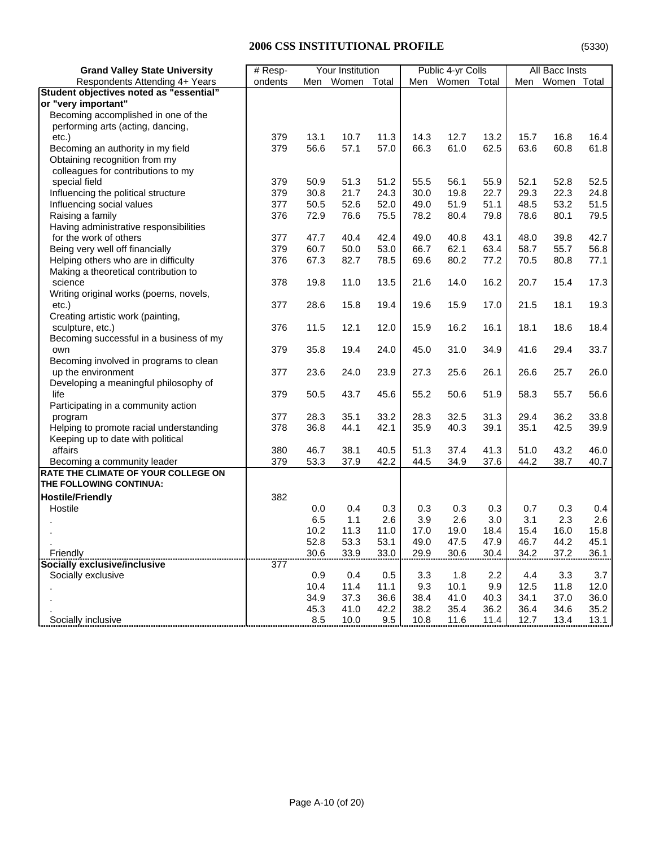| <b>Grand Valley State University</b>    | # Resp- | Your Institution |       |       | Public 4-yr Colls |             | All Bacc Insts |      |             |      |
|-----------------------------------------|---------|------------------|-------|-------|-------------------|-------------|----------------|------|-------------|------|
| Respondents Attending 4+ Years          | ondents | Men              | Women | Total | Men               | Women Total |                | Men  | Women Total |      |
| Student objectives noted as "essential" |         |                  |       |       |                   |             |                |      |             |      |
| or "very important"                     |         |                  |       |       |                   |             |                |      |             |      |
| Becoming accomplished in one of the     |         |                  |       |       |                   |             |                |      |             |      |
| performing arts (acting, dancing,       |         |                  |       |       |                   |             |                |      |             |      |
| $etc.$ )                                | 379     | 13.1             | 10.7  | 11.3  | 14.3              | 12.7        | 13.2           | 15.7 | 16.8        | 16.4 |
| Becoming an authority in my field       | 379     | 56.6             | 57.1  | 57.0  | 66.3              | 61.0        | 62.5           | 63.6 | 60.8        | 61.8 |
| Obtaining recognition from my           |         |                  |       |       |                   |             |                |      |             |      |
| colleagues for contributions to my      |         |                  |       |       |                   |             |                |      |             |      |
| special field                           | 379     | 50.9             | 51.3  | 51.2  | 55.5              | 56.1        | 55.9           | 52.1 | 52.8        | 52.5 |
| Influencing the political structure     | 379     | 30.8             | 21.7  | 24.3  | 30.0              | 19.8        | 22.7           | 29.3 | 22.3        | 24.8 |
| Influencing social values               | 377     | 50.5             | 52.6  | 52.0  | 49.0              | 51.9        | 51.1           | 48.5 | 53.2        | 51.5 |
| Raising a family                        | 376     | 72.9             | 76.6  | 75.5  | 78.2              | 80.4        | 79.8           | 78.6 | 80.1        | 79.5 |
| Having administrative responsibilities  |         |                  |       |       |                   |             |                |      |             |      |
| for the work of others                  | 377     | 47.7             | 40.4  | 42.4  | 49.0              | 40.8        | 43.1           | 48.0 | 39.8        | 42.7 |
| Being very well off financially         | 379     | 60.7             | 50.0  | 53.0  | 66.7              | 62.1        | 63.4           | 58.7 | 55.7        | 56.8 |
| Helping others who are in difficulty    | 376     | 67.3             | 82.7  | 78.5  | 69.6              | 80.2        | 77.2           | 70.5 | 80.8        | 77.1 |
| Making a theoretical contribution to    |         |                  |       |       |                   |             |                |      |             |      |
| science                                 | 378     | 19.8             | 11.0  | 13.5  | 21.6              | 14.0        | 16.2           | 20.7 | 15.4        | 17.3 |
| Writing original works (poems, novels,  |         |                  |       |       |                   |             |                |      |             |      |
| $etc.$ )                                | 377     | 28.6             | 15.8  | 19.4  | 19.6              | 15.9        | 17.0           | 21.5 | 18.1        | 19.3 |
| Creating artistic work (painting,       |         |                  |       |       |                   |             |                |      |             |      |
| sculpture, etc.)                        | 376     | 11.5             | 12.1  | 12.0  | 15.9              | 16.2        | 16.1           | 18.1 | 18.6        | 18.4 |
| Becoming successful in a business of my |         |                  |       |       |                   |             |                |      |             |      |
| own                                     | 379     | 35.8             | 19.4  | 24.0  | 45.0              | 31.0        | 34.9           | 41.6 | 29.4        | 33.7 |
| Becoming involved in programs to clean  |         |                  |       |       |                   |             |                |      |             |      |
| up the environment                      | 377     | 23.6             | 24.0  | 23.9  | 27.3              | 25.6        | 26.1           | 26.6 | 25.7        | 26.0 |
| Developing a meaningful philosophy of   |         |                  |       |       |                   |             |                |      |             |      |
| life                                    | 379     | 50.5             | 43.7  | 45.6  | 55.2              | 50.6        | 51.9           | 58.3 | 55.7        | 56.6 |
| Participating in a community action     |         |                  |       |       |                   |             |                |      |             |      |
| program                                 | 377     | 28.3             | 35.1  | 33.2  | 28.3              | 32.5        | 31.3           | 29.4 | 36.2        | 33.8 |
| Helping to promote racial understanding | 378     | 36.8             | 44.1  | 42.1  | 35.9              | 40.3        | 39.1           | 35.1 | 42.5        | 39.9 |
| Keeping up to date with political       |         |                  |       |       |                   |             |                |      |             |      |
| affairs                                 | 380     | 46.7             | 38.1  | 40.5  | 51.3              | 37.4        | 41.3           | 51.0 | 43.2        | 46.0 |
| Becoming a community leader             | 379     | 53.3             | 37.9  | 42.2  | 44.5              | 34.9        | 37.6           | 44.2 | 38.7        | 40.7 |
| RATE THE CLIMATE OF YOUR COLLEGE ON     |         |                  |       |       |                   |             |                |      |             |      |
| THE FOLLOWING CONTINUA:                 |         |                  |       |       |                   |             |                |      |             |      |
| <b>Hostile/Friendly</b>                 | 382     |                  |       |       |                   |             |                |      |             |      |
| Hostile                                 |         | 0.0              | 0.4   | 0.3   | 0.3               | 0.3         | 0.3            | 0.7  | 0.3         | 0.4  |
|                                         |         | 6.5              | 1.1   | 2.6   | 3.9               | 2.6         | 3.0            | 3.1  | 2.3         | 2.6  |
|                                         |         | 10.2             | 11.3  | 11.0  | 17.0              | 19.0        | 18.4           | 15.4 | 16.0        | 15.8 |
|                                         |         | 52.8             | 53.3  | 53.1  | 49.0              | 47.5        | 47.9           | 46.7 | 44.2        | 45.1 |
| Friendly                                |         | 30.6             | 33.9  | 33.0  | 29.9              | 30.6        | 30.4           | 34.2 | 37.2        | 36.1 |
| Socially exclusive/inclusive            | 377     |                  |       |       |                   |             |                |      |             |      |
| Socially exclusive                      |         | 0.9              | 0.4   | 0.5   | 3.3               | 1.8         | 2.2            | 4.4  | 3.3         | 3.7  |
|                                         |         | 10.4             | 11.4  | 11.1  | 9.3               | 10.1        | 9.9            | 12.5 | 11.8        | 12.0 |
|                                         |         | 34.9             | 37.3  | 36.6  | 38.4              | 41.0        | 40.3           | 34.1 | 37.0        | 36.0 |
|                                         |         | 45.3             | 41.0  | 42.2  | 38.2              | 35.4        | 36.2           | 36.4 | 34.6        | 35.2 |
| Socially inclusive                      |         | 8.5              | 10.0  | 9.5   | 10.8              | 11.6        | 11.4           | 12.7 | 13.4        | 13.1 |
|                                         |         |                  |       |       |                   |             |                |      |             |      |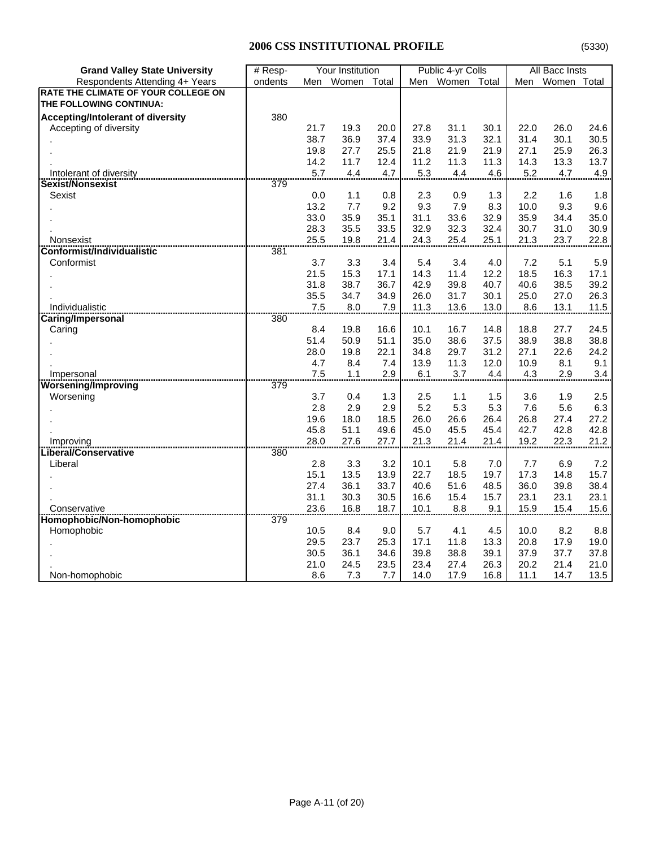| <b>Grand Valley State University</b>     | # Resp- |            | Your Institution |            |            | Public 4-yr Colls |             |            | All Bacc Insts |            |
|------------------------------------------|---------|------------|------------------|------------|------------|-------------------|-------------|------------|----------------|------------|
| Respondents Attending 4+ Years           | ondents | Men        | Women            | Total      |            | Men Women Total   |             | Men        | Women Total    |            |
| RATE THE CLIMATE OF YOUR COLLEGE ON      |         |            |                  |            |            |                   |             |            |                |            |
| THE FOLLOWING CONTINUA:                  |         |            |                  |            |            |                   |             |            |                |            |
| <b>Accepting/Intolerant of diversity</b> | 380     |            |                  |            |            |                   |             |            |                |            |
| Accepting of diversity                   |         | 21.7       | 19.3             | 20.0       | 27.8       | 31.1              | 30.1        | 22.0       | 26.0           | 24.6       |
|                                          |         | 38.7       | 36.9             | 37.4       | 33.9       | 31.3              | 32.1        | 31.4       | 30.1           | 30.5       |
|                                          |         | 19.8       | 27.7             | 25.5       | 21.8       | 21.9              | 21.9        | 27.1       | 25.9           | 26.3       |
|                                          |         | 14.2       | 11.7             | 12.4       | 11.2       | 11.3              | 11.3        | 14.3       | 13.3           | 13.7       |
|                                          |         | 5.7        | 4.4              | 4.7        | 5.3        | 4.4               | 4.6         | 5.2        | 4.7            | 4.9        |
| <b>Sexist/Nonsexist</b>                  |         |            |                  |            |            |                   |             |            |                |            |
| Sexist                                   |         | 0.0        | 1.1              | 0.8        | 2.3        | 0.9               | 1.3         | 2.2        | 1.6            | 1.8        |
|                                          |         | 13.2       | 7.7              | 9.2        | 9.3        | 7.9               | 8.3         | 10.0       | 9.3            | 9.6        |
|                                          |         | 33.0       | 35.9             | 35.1       | 31.1       | 33.6              | 32.9        | 35.9       | 34.4           | 35.0       |
|                                          |         | 28.3       | 35.5             | 33.5       | 32.9       | 32.3              | 32.4        | 30.7       | 31.0           | 30.9       |
| Nonsexist                                |         | 25.5       | 19.8             | 21.4       | 24.3       | 25.4              | 25.1        | 21.3       | 23.7           | 22.8       |
| Conformist/Individualistic               |         |            |                  |            |            |                   |             |            |                |            |
| Conformist                               |         | 3.7        | 3.3              | 3.4        | 5.4        | 3.4               | 4.0         | 7.2        | 5.1            | 5.9        |
|                                          |         | 21.5       | 15.3             | 17.1       | 14.3       | 11.4              | 12.2        | 18.5       | 16.3           | 17.1       |
|                                          |         | 31.8       | 38.7             | 36.7       | 42.9       | 39.8              | 40.7        | 40.6       | 38.5           | 39.2       |
|                                          |         | 35.5       | 34.7             | 34.9       | 26.0       | 31.7              | 30.1        | 25.0       | 27.0           | 26.3       |
| Individualistic                          |         | 7.5        | 8.0              | 7.9        | 11.3       | 13.6              | 13.0        | 8.6        | 13.1           | 11.5       |
| Caring/Impersonal                        | 380     |            |                  |            |            |                   |             |            |                |            |
| Caring                                   |         | 8.4        | 19.8             | 16.6       | 10.1       | 16.7              | 14.8        | 18.8       | 27.7           | 24.5       |
|                                          |         | 51.4       | 50.9             | 51.1       | 35.0       | 38.6              | 37.5        | 38.9       | 38.8           | 38.8       |
|                                          |         | 28.0       | 19.8             | 22.1       | 34.8       | 29.7              | 31.2        | 27.1       | 22.6           | 24.2       |
|                                          |         | 4.7        | 8.4              | 7.4<br>2.9 | 13.9       | 11.3              | 12.0<br>4.4 | 10.9       | 8.1            | 9.1        |
| Impersonal                               |         | 7.5        | 1.1              |            | 6.1        | 3.7               |             | 4.3        | 2.9            | 3.4        |
| <b>Worsening/Improving</b>               |         |            |                  |            |            |                   |             |            |                |            |
| Worsening                                |         | 3.7<br>2.8 | 0.4<br>2.9       | 1.3<br>2.9 | 2.5<br>5.2 | 1.1<br>5.3        | 1.5<br>5.3  | 3.6<br>7.6 | 1.9<br>5.6     | 2.5<br>6.3 |
|                                          |         | 19.6       | 18.0             | 18.5       | 26.0       | 26.6              | 26.4        | 26.8       | 27.4           | 27.2       |
|                                          |         | 45.8       | 51.1             | 49.6       | 45.0       | 45.5              | 45.4        | 42.7       | 42.8           | 42.8       |
| Improving                                |         | 28.0       | 27.6             | 27.7       | 21.3       | 21.4              | 21.4        | 19.2       | 22.3           | 21.2       |
| .iberal/Conservative                     |         |            |                  |            |            |                   |             |            |                |            |
| Liberal                                  |         | 2.8        | 3.3              | 3.2        | 10.1       | 5.8               | 7.0         | 7.7        | 6.9            | 7.2        |
|                                          |         | 15.1       | 13.5             | 13.9       | 22.7       | 18.5              | 19.7        | 17.3       | 14.8           | 15.7       |
|                                          |         | 27.4       | 36.1             | 33.7       | 40.6       | 51.6              | 48.5        | 36.0       | 39.8           | 38.4       |
|                                          |         | 31.1       | 30.3             | 30.5       | 16.6       | 15.4              | 15.7        | 23.1       | 23.1           | 23.1       |
| Conservative                             |         | 23.6       | 16.8             | 18.7       | 10.1       | 8.8               | 9.1         | 15.9       | 15.4           | 15.6       |
| Homophobic/Non-homophobic                | 379     |            |                  |            |            |                   |             |            |                |            |
| Homophobic                               |         | 10.5       | 8.4              | 9.0        | 5.7        | 4.1               | 4.5         | 10.0       | 8.2            | 8.8        |
|                                          |         | 29.5       | 23.7             | 25.3       | 17.1       | 11.8              | 13.3        | 20.8       | 17.9           | 19.0       |
|                                          |         | 30.5       | 36.1             | 34.6       | 39.8       | 38.8              | 39.1        | 37.9       | 37.7           | 37.8       |
|                                          |         | 21.0       | 24.5             | 23.5       | 23.4       | 27.4              | 26.3        | 20.2       | 21.4           | 21.0       |
| Non-homophobic                           |         | 8.6        | 7.3              | 7.7        | 14.0       | 17.9              | 16.8        | 11.1       | 14.7           | 13.5       |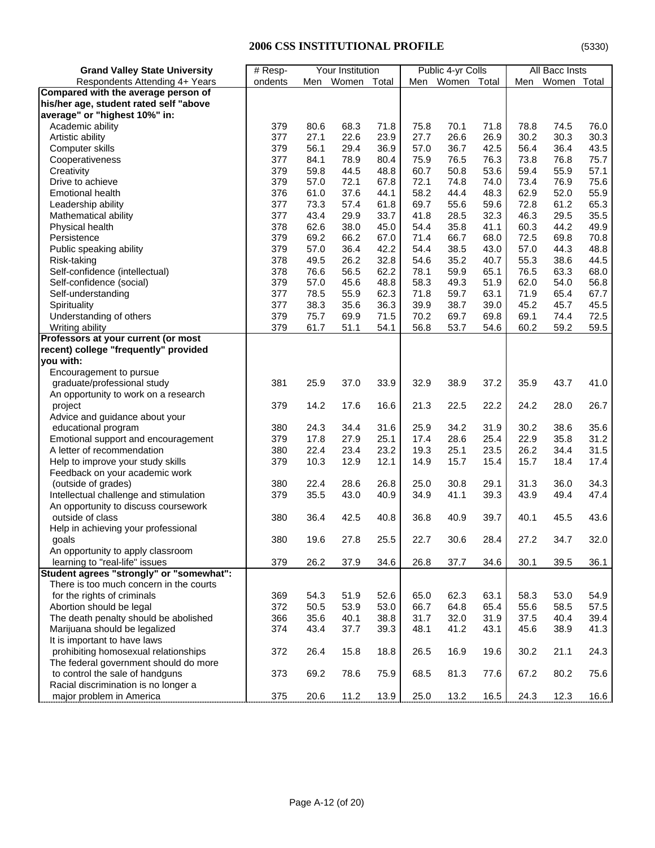| <b>Grand Valley State University</b>     | $#$ Resp- |      | Your Institution                  |       |      | Public 4-yr Colls |      |      | All Bacc Insts |      |
|------------------------------------------|-----------|------|-----------------------------------|-------|------|-------------------|------|------|----------------|------|
| Respondents Attending 4+ Years           | ondents   |      | Men Women                         | Total | Men  | Women Total       |      | Men  | Women Total    |      |
| Compared with the average person of      |           |      |                                   |       |      |                   |      |      |                |      |
| his/her age, student rated self "above   |           |      |                                   |       |      |                   |      |      |                |      |
| average" or "highest 10%" in:            |           |      |                                   |       |      |                   |      |      |                |      |
| Academic ability                         | 379       | 80.6 | 68.3                              | 71.8  | 75.8 | 70.1              | 71.8 | 78.8 | 74.5           | 76.0 |
| Artistic ability                         | 377       | 27.1 | 22.6                              | 23.9  | 27.7 | 26.6              | 26.9 | 30.2 | 30.3           | 30.3 |
| Computer skills                          | 379       | 56.1 | 29.4                              | 36.9  | 57.0 | 36.7              | 42.5 | 56.4 | 36.4           | 43.5 |
| Cooperativeness                          | 377       | 84.1 | 78.9                              | 80.4  | 75.9 | 76.5              | 76.3 | 73.8 | 76.8           | 75.7 |
| Creativity                               | 379       | 59.8 | 44.5                              | 48.8  | 60.7 | 50.8              | 53.6 | 59.4 | 55.9           | 57.1 |
| Drive to achieve                         | 379       | 57.0 | 72.1                              | 67.8  | 72.1 | 74.8              | 74.0 | 73.4 | 76.9           | 75.6 |
| <b>Emotional health</b>                  | 376       | 61.0 | 37.6                              | 44.1  | 58.2 | 44.4              | 48.3 | 62.9 | 52.0           | 55.9 |
| Leadership ability                       | 377       | 73.3 | 57.4                              | 61.8  | 69.7 | 55.6              | 59.6 | 72.8 | 61.2           | 65.3 |
| Mathematical ability                     | 377       | 43.4 | 29.9                              | 33.7  | 41.8 | 28.5              | 32.3 | 46.3 | 29.5           | 35.5 |
| Physical health                          | 378       | 62.6 | 38.0                              | 45.0  | 54.4 | 35.8              | 41.1 | 60.3 | 44.2           | 49.9 |
| Persistence                              | 379       | 69.2 | 66.2                              | 67.0  | 71.4 | 66.7              | 68.0 | 72.5 | 69.8           | 70.8 |
| Public speaking ability                  | 379       | 57.0 | 36.4                              | 42.2  | 54.4 | 38.5              | 43.0 | 57.0 | 44.3           | 48.8 |
| Risk-taking                              | 378       | 49.5 | 26.2                              | 32.8  | 54.6 | 35.2              | 40.7 | 55.3 | 38.6           | 44.5 |
| Self-confidence (intellectual)           | 378       | 76.6 | 56.5                              | 62.2  | 78.1 | 59.9              | 65.1 | 76.5 | 63.3           | 68.0 |
| Self-confidence (social)                 | 379       | 57.0 | 45.6                              | 48.8  | 58.3 | 49.3              | 51.9 | 62.0 | 54.0           | 56.8 |
| Self-understanding                       | 377       | 78.5 | 55.9                              | 62.3  | 71.8 | 59.7              | 63.1 | 71.9 | 65.4           | 67.7 |
| Spirituality                             | 377       | 38.3 | 35.6                              | 36.3  | 39.9 | 38.7              | 39.0 | 45.2 | 45.7           | 45.5 |
| Understanding of others                  | 379       | 75.7 | 69.9                              | 71.5  | 70.2 | 69.7              | 69.8 | 69.1 | 74.4           | 72.5 |
| Writing ability                          | 379       | 61.7 | 51.1                              | 54.1  | 56.8 | 53.7              | 54.6 | 60.2 | 59.2           | 59.5 |
| Professors at your current (or most      |           |      |                                   |       |      |                   |      |      |                |      |
| recent) college "frequently" provided    |           |      |                                   |       |      |                   |      |      |                |      |
| you with:                                |           |      |                                   |       |      |                   |      |      |                |      |
| Encouragement to pursue                  |           |      |                                   |       |      |                   |      |      |                |      |
| graduate/professional study              | 381       | 25.9 | 37.0                              | 33.9  | 32.9 | 38.9              | 37.2 | 35.9 | 43.7           | 41.0 |
| An opportunity to work on a research     |           |      |                                   |       |      |                   |      |      |                |      |
| project                                  | 379       | 14.2 | 17.6                              | 16.6  | 21.3 | 22.5              | 22.2 | 24.2 | 28.0           | 26.7 |
| Advice and guidance about your           |           |      |                                   |       |      |                   |      |      |                |      |
| educational program                      | 380       | 24.3 | 34.4                              | 31.6  | 25.9 | 34.2              | 31.9 | 30.2 | 38.6           | 35.6 |
| Emotional support and encouragement      | 379       | 17.8 | 27.9                              | 25.1  | 17.4 | 28.6              | 25.4 | 22.9 | 35.8           | 31.2 |
| A letter of recommendation               | 380       | 22.4 | 23.4                              | 23.2  | 19.3 | 25.1              | 23.5 | 26.2 | 34.4           | 31.5 |
| Help to improve your study skills        | 379       | 10.3 | 12.9                              | 12.1  | 14.9 | 15.7              | 15.4 | 15.7 | 18.4           | 17.4 |
| Feedback on your academic work           |           |      |                                   |       |      |                   |      |      |                |      |
| (outside of grades)                      | 380       | 22.4 | 28.6                              | 26.8  | 25.0 | 30.8              | 29.1 | 31.3 | 36.0           | 34.3 |
| Intellectual challenge and stimulation   | 379       | 35.5 | 43.0                              | 40.9  | 34.9 | 41.1              | 39.3 | 43.9 | 49.4           | 47.4 |
| An opportunity to discuss coursework     |           |      |                                   |       |      |                   |      |      |                |      |
| outside of class                         | 380       | 36.4 | 42.5                              | 40.8  | 36.8 | 40.9              | 39.7 | 40.1 | 45.5           | 43.6 |
| Help in achieving your professional      |           |      |                                   |       |      |                   |      |      |                |      |
| qoals                                    | 380       | 19.6 | 27.8                              | 25.5  | 22.7 | 30.6              | 28.4 | 27.2 | 34.7           | 32.0 |
| An opportunity to apply classroom        |           |      |                                   |       |      |                   |      |      |                |      |
| learning to "real-life" issues           | 379       | 26.2 | 37.9                              | 34.6  | 26.8 | 37.7              | 34.6 | 30.1 | 39.5           | 36.1 |
| Student agrees "strongly" or "somewhat": |           |      |                                   |       |      |                   |      |      |                |      |
| There is too much concern in the courts  |           |      |                                   |       |      |                   |      |      |                |      |
| for the rights of criminals              | 369       | 54.3 | 51.9                              | 52.6  | 65.0 | 62.3              | 63.1 | 58.3 | 53.0           | 54.9 |
| Abortion should be legal                 | 372       | 50.5 | 53.9                              | 53.0  | 66.7 | 64.8              | 65.4 | 55.6 | 58.5           | 57.5 |
| The death penalty should be abolished    | 366       | 35.6 | 40.1                              | 38.8  | 31.7 | 32.0              | 31.9 | 37.5 | 40.4           | 39.4 |
| Marijuana should be legalized            | 374       | 43.4 | 37.7                              | 39.3  | 48.1 | 41.2              | 43.1 | 45.6 | 38.9           | 41.3 |
| It is important to have laws             |           |      |                                   |       |      |                   |      |      |                |      |
| prohibiting homosexual relationships     | 372       | 26.4 | 15.8                              | 18.8  | 26.5 | 16.9              | 19.6 | 30.2 | 21.1           | 24.3 |
| The federal government should do more    |           |      |                                   |       |      |                   |      |      |                |      |
| to control the sale of handguns          | 373       | 69.2 | 78.6                              | 75.9  | 68.5 | 81.3              | 77.6 | 67.2 | 80.2           | 75.6 |
| Racial discrimination is no longer a     |           |      |                                   |       |      |                   |      |      |                |      |
| major problem in America                 | 375       |      | <u>.20.6 11.2 13.9 25.0 13.2 </u> |       |      |                   | 16.5 | 24.3 |                |      |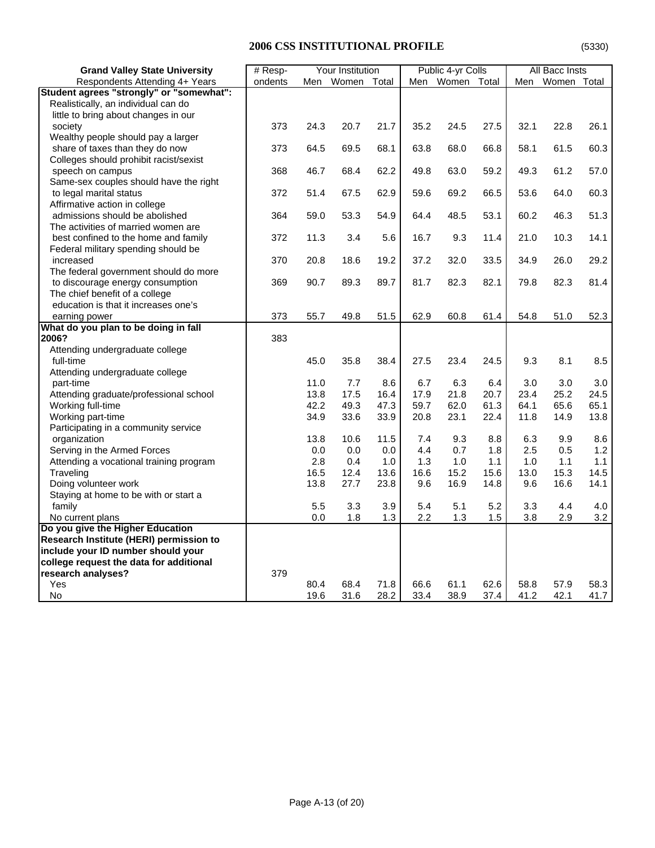| <b>Grand Valley State University</b>     | # Resp-<br>Your Institution |      |           |       | Public 4-yr Colls |                 | All Bacc Insts |      |             |      |
|------------------------------------------|-----------------------------|------|-----------|-------|-------------------|-----------------|----------------|------|-------------|------|
| Respondents Attending 4+ Years           | ondents                     |      | Men Women | Total |                   | Men Women Total |                | Men  | Women Total |      |
| Student agrees "strongly" or "somewhat": |                             |      |           |       |                   |                 |                |      |             |      |
| Realistically, an individual can do      |                             |      |           |       |                   |                 |                |      |             |      |
| little to bring about changes in our     |                             |      |           |       |                   |                 |                |      |             |      |
| society                                  | 373                         | 24.3 | 20.7      | 21.7  | 35.2              | 24.5            | 27.5           | 32.1 | 22.8        | 26.1 |
| Wealthy people should pay a larger       |                             |      |           |       |                   |                 |                |      |             |      |
| share of taxes than they do now          | 373                         | 64.5 | 69.5      | 68.1  | 63.8              | 68.0            | 66.8           | 58.1 | 61.5        | 60.3 |
| Colleges should prohibit racist/sexist   |                             |      |           |       |                   |                 |                |      |             |      |
| speech on campus                         | 368                         | 46.7 | 68.4      | 62.2  | 49.8              | 63.0            | 59.2           | 49.3 | 61.2        | 57.0 |
| Same-sex couples should have the right   |                             |      |           |       |                   |                 |                |      |             |      |
| to legal marital status                  | 372                         | 51.4 | 67.5      | 62.9  | 59.6              | 69.2            | 66.5           | 53.6 | 64.0        | 60.3 |
| Affirmative action in college            |                             |      |           |       |                   |                 |                |      |             |      |
| admissions should be abolished           | 364                         | 59.0 | 53.3      | 54.9  | 64.4              | 48.5            | 53.1           | 60.2 | 46.3        | 51.3 |
| The activities of married women are      |                             |      |           |       |                   |                 |                |      |             |      |
| best confined to the home and family     | 372                         | 11.3 | 3.4       | 5.6   | 16.7              | 9.3             | 11.4           | 21.0 | 10.3        | 14.1 |
| Federal military spending should be      |                             |      |           |       |                   |                 |                |      |             |      |
| increased                                | 370                         | 20.8 | 18.6      | 19.2  | 37.2              | 32.0            | 33.5           | 34.9 | 26.0        | 29.2 |
| The federal government should do more    |                             |      |           |       |                   |                 |                |      |             |      |
| to discourage energy consumption         | 369                         | 90.7 | 89.3      | 89.7  | 81.7              | 82.3            | 82.1           | 79.8 | 82.3        | 81.4 |
| The chief benefit of a college           |                             |      |           |       |                   |                 |                |      |             |      |
| education is that it increases one's     |                             |      |           |       |                   |                 |                |      |             |      |
| earning power                            | 373                         | 55.7 | 49.8      | 51.5  | 62.9              | 60.8            | 61.4           | 54.8 | 51.0        | 52.3 |
| What do you plan to be doing in fall     |                             |      |           |       |                   |                 |                |      |             |      |
| 2006?                                    | 383                         |      |           |       |                   |                 |                |      |             |      |
| Attending undergraduate college          |                             |      |           |       |                   |                 |                |      |             |      |
| full-time                                |                             | 45.0 | 35.8      | 38.4  | 27.5              | 23.4            | 24.5           | 9.3  | 8.1         | 8.5  |
| Attending undergraduate college          |                             |      |           |       |                   |                 |                |      |             |      |
| part-time                                |                             | 11.0 | 7.7       | 8.6   | 6.7               | 6.3             | 6.4            | 3.0  | 3.0         | 3.0  |
| Attending graduate/professional school   |                             | 13.8 | 17.5      | 16.4  | 17.9              | 21.8            | 20.7           | 23.4 | 25.2        | 24.5 |
| Working full-time                        |                             | 42.2 | 49.3      | 47.3  | 59.7              | 62.0            | 61.3           | 64.1 | 65.6        | 65.1 |
| Working part-time                        |                             | 34.9 | 33.6      | 33.9  | 20.8              | 23.1            | 22.4           | 11.8 | 14.9        | 13.8 |
| Participating in a community service     |                             |      |           |       |                   |                 |                |      |             |      |
| organization                             |                             | 13.8 | 10.6      | 11.5  | 7.4               | 9.3             | 8.8            | 6.3  | 9.9         | 8.6  |
| Serving in the Armed Forces              |                             | 0.0  | 0.0       | 0.0   | 4.4               | 0.7             | 1.8            | 2.5  | 0.5         | 1.2  |
| Attending a vocational training program  |                             | 2.8  | 0.4       | 1.0   | 1.3               | 1.0             | 1.1            | 1.0  | 1.1         | 1.1  |
| Traveling                                |                             | 16.5 | 12.4      | 13.6  | 16.6              | 15.2            | 15.6           | 13.0 | 15.3        | 14.5 |
| Doing volunteer work                     |                             | 13.8 | 27.7      | 23.8  | 9.6               | 16.9            | 14.8           | 9.6  | 16.6        | 14.1 |
| Staying at home to be with or start a    |                             |      |           |       |                   |                 |                |      |             |      |
| family                                   |                             | 5.5  | 3.3       | 3.9   | 5.4               | 5.1             | 5.2            | 3.3  | 4.4         | 4.0  |
| No current plans                         |                             | 0.0  | 1.8       | 1.3   | 2.2               | 1.3             | 1.5            | 3.8  | 2.9         | 3.2  |
| Do you give the Higher Education         |                             |      |           |       |                   |                 |                |      |             |      |
| Research Institute (HERI) permission to  |                             |      |           |       |                   |                 |                |      |             |      |
| include your ID number should your       |                             |      |           |       |                   |                 |                |      |             |      |
| college request the data for additional  |                             |      |           |       |                   |                 |                |      |             |      |
| research analyses?                       | 379                         |      |           |       |                   |                 |                |      |             |      |
| Yes                                      |                             | 80.4 | 68.4      | 71.8  | 66.6              | 61.1            | 62.6           | 58.8 | 57.9        | 58.3 |
| No                                       |                             | 19.6 | 31.6      | 28.2  | 33.4              | 38.9            | 37.4           | 41.2 | 42.1        | 41.7 |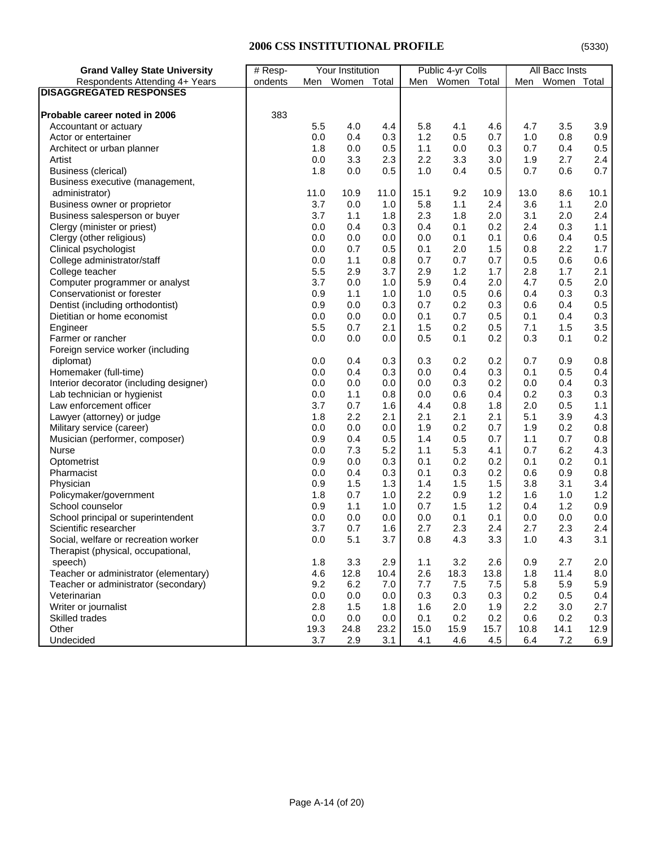| Respondents Attending 4+ Years<br>Men Women Total<br>Men Women Total<br>Women Total<br>ondents<br>Men<br><b>DISAGGREGATED RESPONSES</b><br>383<br>Probable career noted in 2006<br>5.8<br>4.1<br>4.6<br>3.5<br>5.5<br>4.0<br>4.4<br>4.7<br>3.9<br>Accountant or actuary<br>0.0<br>0.4<br>0.3<br>1.2<br>0.5<br>0.7<br>0.8<br>0.9<br>1.0<br>Actor or entertainer<br>0.0<br>1.1<br>0.0<br>0.3<br>0.4<br>0.5<br>1.8<br>0.5<br>0.7<br>Architect or urban planner<br>$2.4\,$<br>3.3<br>2.3<br>2.2<br>3.3<br>3.0<br>1.9<br>2.7<br>Artist<br>0.0<br>0.7<br>0.0<br>1.0<br>0.4<br>0.5<br>0.7<br>Business (clerical)<br>1.8<br>0.5<br>0.6<br>Business executive (management,<br>9.2<br>11.0<br>10.9<br>11.0<br>15.1<br>10.9<br>13.0<br>8.6<br>10.1<br>administrator)<br>3.7<br>0.0<br>5.8<br>2.4<br>3.6<br>2.0<br>Business owner or proprietor<br>1.0<br>1.1<br>1.1<br>1.8<br>2.4<br>Business salesperson or buyer<br>3.7<br>1.1<br>1.8<br>2.3<br>2.0<br>3.1<br>2.0<br>0.4<br>0.3<br>0.1<br>2.4<br>0.3<br>1.1<br>Clergy (minister or priest)<br>0.0<br>0.4<br>0.2<br>0.0<br>0.1<br>0.6<br>0.4<br>0.5<br>Clergy (other religious)<br>0.0<br>0.0<br>0.0<br>0.1<br>0.7<br>0.5<br>2.0<br>1.5<br>0.8<br>2.2<br>1.7<br>Clinical psychologist<br>0.0<br>0.1<br>1.1<br>0.7<br>0.5<br>0.6<br>0.6<br>College administrator/staff<br>0.0<br>0.8<br>0.7<br>0.7<br>2.9<br>3.7<br>2.9<br>1.2<br>1.7<br>2.8<br>1.7<br>2.1<br>College teacher<br>5.5<br>3.7<br>0.0<br>5.9<br>0.4<br>2.0<br>4.7<br>0.5<br>2.0<br>Computer programmer or analyst<br>1.0<br>0.3<br>Conservationist or forester<br>0.9<br>1.1<br>1.0<br>0.5<br>0.6<br>0.3<br>1.0<br>0.4<br>0.5<br>0.0<br>0.2<br>0.3<br>Dentist (including orthodontist)<br>0.9<br>0.3<br>0.7<br>0.6<br>0.4<br>0.3<br>0.0<br>0.0<br>0.1<br>0.7<br>0.5<br>0.1<br>0.4<br>Dietitian or home economist<br>0.0<br>3.5<br>5.5<br>0.7<br>2.1<br>1.5<br>0.2<br>0.5<br>7.1<br>1.5<br>Engineer<br>0.2<br>0.0<br>0.0<br>0.5<br>0.1<br>0.2<br>0.3<br>0.1<br>Farmer or rancher<br>0.0<br>Foreign service worker (including<br>0.3<br>0.3<br>0.2<br>0.2<br>0.9<br>0.8<br>0.0<br>0.4<br>0.7<br>diplomat)<br>0.4<br>0.3<br>0.0<br>0.4<br>0.3<br>0.5<br>0.4<br>Homemaker (full-time)<br>0.0<br>0.1<br>0.3<br>0.0<br>0.0<br>0.3<br>0.2<br>0.4<br>Interior decorator (including designer)<br>0.0<br>0.0<br>0.0<br>1.1<br>0.6<br>0.4<br>0.2<br>0.3<br>Lab technician or hygienist<br>0.0<br>0.8<br>0.0<br>0.3<br>3.7<br>0.7<br>1.6<br>0.8<br>1.8<br>2.0<br>0.5<br>1.1<br>Law enforcement officer<br>4.4<br>4.3<br>2.2<br>2.1<br>2.1<br>2.1<br>2.1<br>3.9<br>Lawyer (attorney) or judge<br>1.8<br>5.1<br>0.8<br>0.0<br>0.2<br>0.2<br>Military service (career)<br>0.0<br>0.0<br>1.9<br>0.7<br>1.9<br>0.8<br>0.9<br>0.4<br>0.5<br>1.4<br>0.5<br>0.7<br>0.7<br>Musician (performer, composer)<br>1.1<br>5.3<br>4.3<br>7.3<br>5.2<br>1.1<br>4.1<br>0.7<br>6.2<br>0.0<br>Nurse<br>0.9<br>0.0<br>0.3<br>0.2<br>0.2<br>0.2<br>0.1<br>Optometrist<br>0.1<br>0.1<br>0.4<br>0.3<br>0.3<br>0.2<br>0.9<br>0.8<br>Pharmacist<br>0.0<br>0.1<br>0.6<br>1.5<br>1.5<br>1.5<br>3.8<br>3.4<br>0.9<br>1.3<br>1.4<br>3.1<br>Physician<br>0.7<br>1.0<br>2.2<br>0.9<br>1.2<br>1.6<br>1.2<br>Policymaker/government<br>1.8<br>1.0<br>0.9<br>1.1<br>0.7<br>1.5<br>1.2<br>1.2<br>School counselor<br>0.9<br>1.0<br>0.4<br>0.0<br>School principal or superintendent<br>0.0<br>0.0<br>0.0<br>0.0<br>0.1<br>0.1<br>0.0<br>0.0<br>2.4<br>Scientific researcher<br>3.7<br>0.7<br>1.6<br>2.7<br>2.3<br>2.4<br>2.7<br>2.3<br>5.1<br>3.1<br>0.0<br>3.7<br>0.8<br>4.3<br>3.3<br>1.0<br>4.3<br>Social, welfare or recreation worker<br>Therapist (physical, occupational,<br>2.6<br>3.3<br>2.9<br>3.2<br>2.7<br>2.0<br>speech)<br>1.8<br>1.1<br>0.9<br>11.4<br>Teacher or administrator (elementary)<br>4.6<br>12.8<br>10.4<br>2.6<br>18.3<br>13.8<br>1.8<br>8.0<br>5.8<br>5.9<br>Teacher or administrator (secondary)<br>9.2<br>6.2<br>7.0<br>7.7<br>7.5<br>7.5<br>5.9 | <b>Grand Valley State University</b> | Your Institution<br>$#$ Resp- |     |     | Public 4-yr Colls |     |     | All Bacc Insts |     |     |     |
|----------------------------------------------------------------------------------------------------------------------------------------------------------------------------------------------------------------------------------------------------------------------------------------------------------------------------------------------------------------------------------------------------------------------------------------------------------------------------------------------------------------------------------------------------------------------------------------------------------------------------------------------------------------------------------------------------------------------------------------------------------------------------------------------------------------------------------------------------------------------------------------------------------------------------------------------------------------------------------------------------------------------------------------------------------------------------------------------------------------------------------------------------------------------------------------------------------------------------------------------------------------------------------------------------------------------------------------------------------------------------------------------------------------------------------------------------------------------------------------------------------------------------------------------------------------------------------------------------------------------------------------------------------------------------------------------------------------------------------------------------------------------------------------------------------------------------------------------------------------------------------------------------------------------------------------------------------------------------------------------------------------------------------------------------------------------------------------------------------------------------------------------------------------------------------------------------------------------------------------------------------------------------------------------------------------------------------------------------------------------------------------------------------------------------------------------------------------------------------------------------------------------------------------------------------------------------------------------------------------------------------------------------------------------------------------------------------------------------------------------------------------------------------------------------------------------------------------------------------------------------------------------------------------------------------------------------------------------------------------------------------------------------------------------------------------------------------------------------------------------------------------------------------------------------------------------------------------------------------------------------------------------------------------------------------------------------------------------------------------------------------------------------------------------------------------------------------------------------------------------------------------------------------------------------------------------------------------------------------------------------------------------------------------------------------------------------------------------------------------------------------------------------------------------------------------------------------------------------------------------------------------------------------------------------------|--------------------------------------|-------------------------------|-----|-----|-------------------|-----|-----|----------------|-----|-----|-----|
|                                                                                                                                                                                                                                                                                                                                                                                                                                                                                                                                                                                                                                                                                                                                                                                                                                                                                                                                                                                                                                                                                                                                                                                                                                                                                                                                                                                                                                                                                                                                                                                                                                                                                                                                                                                                                                                                                                                                                                                                                                                                                                                                                                                                                                                                                                                                                                                                                                                                                                                                                                                                                                                                                                                                                                                                                                                                                                                                                                                                                                                                                                                                                                                                                                                                                                                                                                                                                                                                                                                                                                                                                                                                                                                                                                                                                                                                                                                                  |                                      |                               |     |     |                   |     |     |                |     |     |     |
|                                                                                                                                                                                                                                                                                                                                                                                                                                                                                                                                                                                                                                                                                                                                                                                                                                                                                                                                                                                                                                                                                                                                                                                                                                                                                                                                                                                                                                                                                                                                                                                                                                                                                                                                                                                                                                                                                                                                                                                                                                                                                                                                                                                                                                                                                                                                                                                                                                                                                                                                                                                                                                                                                                                                                                                                                                                                                                                                                                                                                                                                                                                                                                                                                                                                                                                                                                                                                                                                                                                                                                                                                                                                                                                                                                                                                                                                                                                                  |                                      |                               |     |     |                   |     |     |                |     |     |     |
|                                                                                                                                                                                                                                                                                                                                                                                                                                                                                                                                                                                                                                                                                                                                                                                                                                                                                                                                                                                                                                                                                                                                                                                                                                                                                                                                                                                                                                                                                                                                                                                                                                                                                                                                                                                                                                                                                                                                                                                                                                                                                                                                                                                                                                                                                                                                                                                                                                                                                                                                                                                                                                                                                                                                                                                                                                                                                                                                                                                                                                                                                                                                                                                                                                                                                                                                                                                                                                                                                                                                                                                                                                                                                                                                                                                                                                                                                                                                  |                                      |                               |     |     |                   |     |     |                |     |     |     |
|                                                                                                                                                                                                                                                                                                                                                                                                                                                                                                                                                                                                                                                                                                                                                                                                                                                                                                                                                                                                                                                                                                                                                                                                                                                                                                                                                                                                                                                                                                                                                                                                                                                                                                                                                                                                                                                                                                                                                                                                                                                                                                                                                                                                                                                                                                                                                                                                                                                                                                                                                                                                                                                                                                                                                                                                                                                                                                                                                                                                                                                                                                                                                                                                                                                                                                                                                                                                                                                                                                                                                                                                                                                                                                                                                                                                                                                                                                                                  |                                      |                               |     |     |                   |     |     |                |     |     |     |
|                                                                                                                                                                                                                                                                                                                                                                                                                                                                                                                                                                                                                                                                                                                                                                                                                                                                                                                                                                                                                                                                                                                                                                                                                                                                                                                                                                                                                                                                                                                                                                                                                                                                                                                                                                                                                                                                                                                                                                                                                                                                                                                                                                                                                                                                                                                                                                                                                                                                                                                                                                                                                                                                                                                                                                                                                                                                                                                                                                                                                                                                                                                                                                                                                                                                                                                                                                                                                                                                                                                                                                                                                                                                                                                                                                                                                                                                                                                                  |                                      |                               |     |     |                   |     |     |                |     |     |     |
|                                                                                                                                                                                                                                                                                                                                                                                                                                                                                                                                                                                                                                                                                                                                                                                                                                                                                                                                                                                                                                                                                                                                                                                                                                                                                                                                                                                                                                                                                                                                                                                                                                                                                                                                                                                                                                                                                                                                                                                                                                                                                                                                                                                                                                                                                                                                                                                                                                                                                                                                                                                                                                                                                                                                                                                                                                                                                                                                                                                                                                                                                                                                                                                                                                                                                                                                                                                                                                                                                                                                                                                                                                                                                                                                                                                                                                                                                                                                  |                                      |                               |     |     |                   |     |     |                |     |     |     |
|                                                                                                                                                                                                                                                                                                                                                                                                                                                                                                                                                                                                                                                                                                                                                                                                                                                                                                                                                                                                                                                                                                                                                                                                                                                                                                                                                                                                                                                                                                                                                                                                                                                                                                                                                                                                                                                                                                                                                                                                                                                                                                                                                                                                                                                                                                                                                                                                                                                                                                                                                                                                                                                                                                                                                                                                                                                                                                                                                                                                                                                                                                                                                                                                                                                                                                                                                                                                                                                                                                                                                                                                                                                                                                                                                                                                                                                                                                                                  |                                      |                               |     |     |                   |     |     |                |     |     |     |
|                                                                                                                                                                                                                                                                                                                                                                                                                                                                                                                                                                                                                                                                                                                                                                                                                                                                                                                                                                                                                                                                                                                                                                                                                                                                                                                                                                                                                                                                                                                                                                                                                                                                                                                                                                                                                                                                                                                                                                                                                                                                                                                                                                                                                                                                                                                                                                                                                                                                                                                                                                                                                                                                                                                                                                                                                                                                                                                                                                                                                                                                                                                                                                                                                                                                                                                                                                                                                                                                                                                                                                                                                                                                                                                                                                                                                                                                                                                                  |                                      |                               |     |     |                   |     |     |                |     |     |     |
|                                                                                                                                                                                                                                                                                                                                                                                                                                                                                                                                                                                                                                                                                                                                                                                                                                                                                                                                                                                                                                                                                                                                                                                                                                                                                                                                                                                                                                                                                                                                                                                                                                                                                                                                                                                                                                                                                                                                                                                                                                                                                                                                                                                                                                                                                                                                                                                                                                                                                                                                                                                                                                                                                                                                                                                                                                                                                                                                                                                                                                                                                                                                                                                                                                                                                                                                                                                                                                                                                                                                                                                                                                                                                                                                                                                                                                                                                                                                  |                                      |                               |     |     |                   |     |     |                |     |     |     |
|                                                                                                                                                                                                                                                                                                                                                                                                                                                                                                                                                                                                                                                                                                                                                                                                                                                                                                                                                                                                                                                                                                                                                                                                                                                                                                                                                                                                                                                                                                                                                                                                                                                                                                                                                                                                                                                                                                                                                                                                                                                                                                                                                                                                                                                                                                                                                                                                                                                                                                                                                                                                                                                                                                                                                                                                                                                                                                                                                                                                                                                                                                                                                                                                                                                                                                                                                                                                                                                                                                                                                                                                                                                                                                                                                                                                                                                                                                                                  |                                      |                               |     |     |                   |     |     |                |     |     |     |
|                                                                                                                                                                                                                                                                                                                                                                                                                                                                                                                                                                                                                                                                                                                                                                                                                                                                                                                                                                                                                                                                                                                                                                                                                                                                                                                                                                                                                                                                                                                                                                                                                                                                                                                                                                                                                                                                                                                                                                                                                                                                                                                                                                                                                                                                                                                                                                                                                                                                                                                                                                                                                                                                                                                                                                                                                                                                                                                                                                                                                                                                                                                                                                                                                                                                                                                                                                                                                                                                                                                                                                                                                                                                                                                                                                                                                                                                                                                                  |                                      |                               |     |     |                   |     |     |                |     |     |     |
|                                                                                                                                                                                                                                                                                                                                                                                                                                                                                                                                                                                                                                                                                                                                                                                                                                                                                                                                                                                                                                                                                                                                                                                                                                                                                                                                                                                                                                                                                                                                                                                                                                                                                                                                                                                                                                                                                                                                                                                                                                                                                                                                                                                                                                                                                                                                                                                                                                                                                                                                                                                                                                                                                                                                                                                                                                                                                                                                                                                                                                                                                                                                                                                                                                                                                                                                                                                                                                                                                                                                                                                                                                                                                                                                                                                                                                                                                                                                  |                                      |                               |     |     |                   |     |     |                |     |     |     |
|                                                                                                                                                                                                                                                                                                                                                                                                                                                                                                                                                                                                                                                                                                                                                                                                                                                                                                                                                                                                                                                                                                                                                                                                                                                                                                                                                                                                                                                                                                                                                                                                                                                                                                                                                                                                                                                                                                                                                                                                                                                                                                                                                                                                                                                                                                                                                                                                                                                                                                                                                                                                                                                                                                                                                                                                                                                                                                                                                                                                                                                                                                                                                                                                                                                                                                                                                                                                                                                                                                                                                                                                                                                                                                                                                                                                                                                                                                                                  |                                      |                               |     |     |                   |     |     |                |     |     |     |
|                                                                                                                                                                                                                                                                                                                                                                                                                                                                                                                                                                                                                                                                                                                                                                                                                                                                                                                                                                                                                                                                                                                                                                                                                                                                                                                                                                                                                                                                                                                                                                                                                                                                                                                                                                                                                                                                                                                                                                                                                                                                                                                                                                                                                                                                                                                                                                                                                                                                                                                                                                                                                                                                                                                                                                                                                                                                                                                                                                                                                                                                                                                                                                                                                                                                                                                                                                                                                                                                                                                                                                                                                                                                                                                                                                                                                                                                                                                                  |                                      |                               |     |     |                   |     |     |                |     |     |     |
|                                                                                                                                                                                                                                                                                                                                                                                                                                                                                                                                                                                                                                                                                                                                                                                                                                                                                                                                                                                                                                                                                                                                                                                                                                                                                                                                                                                                                                                                                                                                                                                                                                                                                                                                                                                                                                                                                                                                                                                                                                                                                                                                                                                                                                                                                                                                                                                                                                                                                                                                                                                                                                                                                                                                                                                                                                                                                                                                                                                                                                                                                                                                                                                                                                                                                                                                                                                                                                                                                                                                                                                                                                                                                                                                                                                                                                                                                                                                  |                                      |                               |     |     |                   |     |     |                |     |     |     |
|                                                                                                                                                                                                                                                                                                                                                                                                                                                                                                                                                                                                                                                                                                                                                                                                                                                                                                                                                                                                                                                                                                                                                                                                                                                                                                                                                                                                                                                                                                                                                                                                                                                                                                                                                                                                                                                                                                                                                                                                                                                                                                                                                                                                                                                                                                                                                                                                                                                                                                                                                                                                                                                                                                                                                                                                                                                                                                                                                                                                                                                                                                                                                                                                                                                                                                                                                                                                                                                                                                                                                                                                                                                                                                                                                                                                                                                                                                                                  |                                      |                               |     |     |                   |     |     |                |     |     |     |
|                                                                                                                                                                                                                                                                                                                                                                                                                                                                                                                                                                                                                                                                                                                                                                                                                                                                                                                                                                                                                                                                                                                                                                                                                                                                                                                                                                                                                                                                                                                                                                                                                                                                                                                                                                                                                                                                                                                                                                                                                                                                                                                                                                                                                                                                                                                                                                                                                                                                                                                                                                                                                                                                                                                                                                                                                                                                                                                                                                                                                                                                                                                                                                                                                                                                                                                                                                                                                                                                                                                                                                                                                                                                                                                                                                                                                                                                                                                                  |                                      |                               |     |     |                   |     |     |                |     |     |     |
|                                                                                                                                                                                                                                                                                                                                                                                                                                                                                                                                                                                                                                                                                                                                                                                                                                                                                                                                                                                                                                                                                                                                                                                                                                                                                                                                                                                                                                                                                                                                                                                                                                                                                                                                                                                                                                                                                                                                                                                                                                                                                                                                                                                                                                                                                                                                                                                                                                                                                                                                                                                                                                                                                                                                                                                                                                                                                                                                                                                                                                                                                                                                                                                                                                                                                                                                                                                                                                                                                                                                                                                                                                                                                                                                                                                                                                                                                                                                  |                                      |                               |     |     |                   |     |     |                |     |     |     |
|                                                                                                                                                                                                                                                                                                                                                                                                                                                                                                                                                                                                                                                                                                                                                                                                                                                                                                                                                                                                                                                                                                                                                                                                                                                                                                                                                                                                                                                                                                                                                                                                                                                                                                                                                                                                                                                                                                                                                                                                                                                                                                                                                                                                                                                                                                                                                                                                                                                                                                                                                                                                                                                                                                                                                                                                                                                                                                                                                                                                                                                                                                                                                                                                                                                                                                                                                                                                                                                                                                                                                                                                                                                                                                                                                                                                                                                                                                                                  |                                      |                               |     |     |                   |     |     |                |     |     |     |
|                                                                                                                                                                                                                                                                                                                                                                                                                                                                                                                                                                                                                                                                                                                                                                                                                                                                                                                                                                                                                                                                                                                                                                                                                                                                                                                                                                                                                                                                                                                                                                                                                                                                                                                                                                                                                                                                                                                                                                                                                                                                                                                                                                                                                                                                                                                                                                                                                                                                                                                                                                                                                                                                                                                                                                                                                                                                                                                                                                                                                                                                                                                                                                                                                                                                                                                                                                                                                                                                                                                                                                                                                                                                                                                                                                                                                                                                                                                                  |                                      |                               |     |     |                   |     |     |                |     |     |     |
|                                                                                                                                                                                                                                                                                                                                                                                                                                                                                                                                                                                                                                                                                                                                                                                                                                                                                                                                                                                                                                                                                                                                                                                                                                                                                                                                                                                                                                                                                                                                                                                                                                                                                                                                                                                                                                                                                                                                                                                                                                                                                                                                                                                                                                                                                                                                                                                                                                                                                                                                                                                                                                                                                                                                                                                                                                                                                                                                                                                                                                                                                                                                                                                                                                                                                                                                                                                                                                                                                                                                                                                                                                                                                                                                                                                                                                                                                                                                  |                                      |                               |     |     |                   |     |     |                |     |     |     |
|                                                                                                                                                                                                                                                                                                                                                                                                                                                                                                                                                                                                                                                                                                                                                                                                                                                                                                                                                                                                                                                                                                                                                                                                                                                                                                                                                                                                                                                                                                                                                                                                                                                                                                                                                                                                                                                                                                                                                                                                                                                                                                                                                                                                                                                                                                                                                                                                                                                                                                                                                                                                                                                                                                                                                                                                                                                                                                                                                                                                                                                                                                                                                                                                                                                                                                                                                                                                                                                                                                                                                                                                                                                                                                                                                                                                                                                                                                                                  |                                      |                               |     |     |                   |     |     |                |     |     |     |
|                                                                                                                                                                                                                                                                                                                                                                                                                                                                                                                                                                                                                                                                                                                                                                                                                                                                                                                                                                                                                                                                                                                                                                                                                                                                                                                                                                                                                                                                                                                                                                                                                                                                                                                                                                                                                                                                                                                                                                                                                                                                                                                                                                                                                                                                                                                                                                                                                                                                                                                                                                                                                                                                                                                                                                                                                                                                                                                                                                                                                                                                                                                                                                                                                                                                                                                                                                                                                                                                                                                                                                                                                                                                                                                                                                                                                                                                                                                                  |                                      |                               |     |     |                   |     |     |                |     |     |     |
|                                                                                                                                                                                                                                                                                                                                                                                                                                                                                                                                                                                                                                                                                                                                                                                                                                                                                                                                                                                                                                                                                                                                                                                                                                                                                                                                                                                                                                                                                                                                                                                                                                                                                                                                                                                                                                                                                                                                                                                                                                                                                                                                                                                                                                                                                                                                                                                                                                                                                                                                                                                                                                                                                                                                                                                                                                                                                                                                                                                                                                                                                                                                                                                                                                                                                                                                                                                                                                                                                                                                                                                                                                                                                                                                                                                                                                                                                                                                  |                                      |                               |     |     |                   |     |     |                |     |     |     |
|                                                                                                                                                                                                                                                                                                                                                                                                                                                                                                                                                                                                                                                                                                                                                                                                                                                                                                                                                                                                                                                                                                                                                                                                                                                                                                                                                                                                                                                                                                                                                                                                                                                                                                                                                                                                                                                                                                                                                                                                                                                                                                                                                                                                                                                                                                                                                                                                                                                                                                                                                                                                                                                                                                                                                                                                                                                                                                                                                                                                                                                                                                                                                                                                                                                                                                                                                                                                                                                                                                                                                                                                                                                                                                                                                                                                                                                                                                                                  |                                      |                               |     |     |                   |     |     |                |     |     |     |
|                                                                                                                                                                                                                                                                                                                                                                                                                                                                                                                                                                                                                                                                                                                                                                                                                                                                                                                                                                                                                                                                                                                                                                                                                                                                                                                                                                                                                                                                                                                                                                                                                                                                                                                                                                                                                                                                                                                                                                                                                                                                                                                                                                                                                                                                                                                                                                                                                                                                                                                                                                                                                                                                                                                                                                                                                                                                                                                                                                                                                                                                                                                                                                                                                                                                                                                                                                                                                                                                                                                                                                                                                                                                                                                                                                                                                                                                                                                                  |                                      |                               |     |     |                   |     |     |                |     |     |     |
|                                                                                                                                                                                                                                                                                                                                                                                                                                                                                                                                                                                                                                                                                                                                                                                                                                                                                                                                                                                                                                                                                                                                                                                                                                                                                                                                                                                                                                                                                                                                                                                                                                                                                                                                                                                                                                                                                                                                                                                                                                                                                                                                                                                                                                                                                                                                                                                                                                                                                                                                                                                                                                                                                                                                                                                                                                                                                                                                                                                                                                                                                                                                                                                                                                                                                                                                                                                                                                                                                                                                                                                                                                                                                                                                                                                                                                                                                                                                  |                                      |                               |     |     |                   |     |     |                |     |     |     |
|                                                                                                                                                                                                                                                                                                                                                                                                                                                                                                                                                                                                                                                                                                                                                                                                                                                                                                                                                                                                                                                                                                                                                                                                                                                                                                                                                                                                                                                                                                                                                                                                                                                                                                                                                                                                                                                                                                                                                                                                                                                                                                                                                                                                                                                                                                                                                                                                                                                                                                                                                                                                                                                                                                                                                                                                                                                                                                                                                                                                                                                                                                                                                                                                                                                                                                                                                                                                                                                                                                                                                                                                                                                                                                                                                                                                                                                                                                                                  |                                      |                               |     |     |                   |     |     |                |     |     |     |
|                                                                                                                                                                                                                                                                                                                                                                                                                                                                                                                                                                                                                                                                                                                                                                                                                                                                                                                                                                                                                                                                                                                                                                                                                                                                                                                                                                                                                                                                                                                                                                                                                                                                                                                                                                                                                                                                                                                                                                                                                                                                                                                                                                                                                                                                                                                                                                                                                                                                                                                                                                                                                                                                                                                                                                                                                                                                                                                                                                                                                                                                                                                                                                                                                                                                                                                                                                                                                                                                                                                                                                                                                                                                                                                                                                                                                                                                                                                                  |                                      |                               |     |     |                   |     |     |                |     |     |     |
|                                                                                                                                                                                                                                                                                                                                                                                                                                                                                                                                                                                                                                                                                                                                                                                                                                                                                                                                                                                                                                                                                                                                                                                                                                                                                                                                                                                                                                                                                                                                                                                                                                                                                                                                                                                                                                                                                                                                                                                                                                                                                                                                                                                                                                                                                                                                                                                                                                                                                                                                                                                                                                                                                                                                                                                                                                                                                                                                                                                                                                                                                                                                                                                                                                                                                                                                                                                                                                                                                                                                                                                                                                                                                                                                                                                                                                                                                                                                  |                                      |                               |     |     |                   |     |     |                |     |     |     |
|                                                                                                                                                                                                                                                                                                                                                                                                                                                                                                                                                                                                                                                                                                                                                                                                                                                                                                                                                                                                                                                                                                                                                                                                                                                                                                                                                                                                                                                                                                                                                                                                                                                                                                                                                                                                                                                                                                                                                                                                                                                                                                                                                                                                                                                                                                                                                                                                                                                                                                                                                                                                                                                                                                                                                                                                                                                                                                                                                                                                                                                                                                                                                                                                                                                                                                                                                                                                                                                                                                                                                                                                                                                                                                                                                                                                                                                                                                                                  |                                      |                               |     |     |                   |     |     |                |     |     |     |
|                                                                                                                                                                                                                                                                                                                                                                                                                                                                                                                                                                                                                                                                                                                                                                                                                                                                                                                                                                                                                                                                                                                                                                                                                                                                                                                                                                                                                                                                                                                                                                                                                                                                                                                                                                                                                                                                                                                                                                                                                                                                                                                                                                                                                                                                                                                                                                                                                                                                                                                                                                                                                                                                                                                                                                                                                                                                                                                                                                                                                                                                                                                                                                                                                                                                                                                                                                                                                                                                                                                                                                                                                                                                                                                                                                                                                                                                                                                                  |                                      |                               |     |     |                   |     |     |                |     |     |     |
|                                                                                                                                                                                                                                                                                                                                                                                                                                                                                                                                                                                                                                                                                                                                                                                                                                                                                                                                                                                                                                                                                                                                                                                                                                                                                                                                                                                                                                                                                                                                                                                                                                                                                                                                                                                                                                                                                                                                                                                                                                                                                                                                                                                                                                                                                                                                                                                                                                                                                                                                                                                                                                                                                                                                                                                                                                                                                                                                                                                                                                                                                                                                                                                                                                                                                                                                                                                                                                                                                                                                                                                                                                                                                                                                                                                                                                                                                                                                  |                                      |                               |     |     |                   |     |     |                |     |     |     |
|                                                                                                                                                                                                                                                                                                                                                                                                                                                                                                                                                                                                                                                                                                                                                                                                                                                                                                                                                                                                                                                                                                                                                                                                                                                                                                                                                                                                                                                                                                                                                                                                                                                                                                                                                                                                                                                                                                                                                                                                                                                                                                                                                                                                                                                                                                                                                                                                                                                                                                                                                                                                                                                                                                                                                                                                                                                                                                                                                                                                                                                                                                                                                                                                                                                                                                                                                                                                                                                                                                                                                                                                                                                                                                                                                                                                                                                                                                                                  |                                      |                               |     |     |                   |     |     |                |     |     |     |
|                                                                                                                                                                                                                                                                                                                                                                                                                                                                                                                                                                                                                                                                                                                                                                                                                                                                                                                                                                                                                                                                                                                                                                                                                                                                                                                                                                                                                                                                                                                                                                                                                                                                                                                                                                                                                                                                                                                                                                                                                                                                                                                                                                                                                                                                                                                                                                                                                                                                                                                                                                                                                                                                                                                                                                                                                                                                                                                                                                                                                                                                                                                                                                                                                                                                                                                                                                                                                                                                                                                                                                                                                                                                                                                                                                                                                                                                                                                                  |                                      |                               |     |     |                   |     |     |                |     |     |     |
|                                                                                                                                                                                                                                                                                                                                                                                                                                                                                                                                                                                                                                                                                                                                                                                                                                                                                                                                                                                                                                                                                                                                                                                                                                                                                                                                                                                                                                                                                                                                                                                                                                                                                                                                                                                                                                                                                                                                                                                                                                                                                                                                                                                                                                                                                                                                                                                                                                                                                                                                                                                                                                                                                                                                                                                                                                                                                                                                                                                                                                                                                                                                                                                                                                                                                                                                                                                                                                                                                                                                                                                                                                                                                                                                                                                                                                                                                                                                  |                                      |                               |     |     |                   |     |     |                |     |     |     |
|                                                                                                                                                                                                                                                                                                                                                                                                                                                                                                                                                                                                                                                                                                                                                                                                                                                                                                                                                                                                                                                                                                                                                                                                                                                                                                                                                                                                                                                                                                                                                                                                                                                                                                                                                                                                                                                                                                                                                                                                                                                                                                                                                                                                                                                                                                                                                                                                                                                                                                                                                                                                                                                                                                                                                                                                                                                                                                                                                                                                                                                                                                                                                                                                                                                                                                                                                                                                                                                                                                                                                                                                                                                                                                                                                                                                                                                                                                                                  |                                      |                               |     |     |                   |     |     |                |     |     |     |
|                                                                                                                                                                                                                                                                                                                                                                                                                                                                                                                                                                                                                                                                                                                                                                                                                                                                                                                                                                                                                                                                                                                                                                                                                                                                                                                                                                                                                                                                                                                                                                                                                                                                                                                                                                                                                                                                                                                                                                                                                                                                                                                                                                                                                                                                                                                                                                                                                                                                                                                                                                                                                                                                                                                                                                                                                                                                                                                                                                                                                                                                                                                                                                                                                                                                                                                                                                                                                                                                                                                                                                                                                                                                                                                                                                                                                                                                                                                                  |                                      |                               |     |     |                   |     |     |                |     |     |     |
|                                                                                                                                                                                                                                                                                                                                                                                                                                                                                                                                                                                                                                                                                                                                                                                                                                                                                                                                                                                                                                                                                                                                                                                                                                                                                                                                                                                                                                                                                                                                                                                                                                                                                                                                                                                                                                                                                                                                                                                                                                                                                                                                                                                                                                                                                                                                                                                                                                                                                                                                                                                                                                                                                                                                                                                                                                                                                                                                                                                                                                                                                                                                                                                                                                                                                                                                                                                                                                                                                                                                                                                                                                                                                                                                                                                                                                                                                                                                  |                                      |                               |     |     |                   |     |     |                |     |     |     |
|                                                                                                                                                                                                                                                                                                                                                                                                                                                                                                                                                                                                                                                                                                                                                                                                                                                                                                                                                                                                                                                                                                                                                                                                                                                                                                                                                                                                                                                                                                                                                                                                                                                                                                                                                                                                                                                                                                                                                                                                                                                                                                                                                                                                                                                                                                                                                                                                                                                                                                                                                                                                                                                                                                                                                                                                                                                                                                                                                                                                                                                                                                                                                                                                                                                                                                                                                                                                                                                                                                                                                                                                                                                                                                                                                                                                                                                                                                                                  |                                      |                               |     |     |                   |     |     |                |     |     |     |
|                                                                                                                                                                                                                                                                                                                                                                                                                                                                                                                                                                                                                                                                                                                                                                                                                                                                                                                                                                                                                                                                                                                                                                                                                                                                                                                                                                                                                                                                                                                                                                                                                                                                                                                                                                                                                                                                                                                                                                                                                                                                                                                                                                                                                                                                                                                                                                                                                                                                                                                                                                                                                                                                                                                                                                                                                                                                                                                                                                                                                                                                                                                                                                                                                                                                                                                                                                                                                                                                                                                                                                                                                                                                                                                                                                                                                                                                                                                                  |                                      |                               |     |     |                   |     |     |                |     |     |     |
|                                                                                                                                                                                                                                                                                                                                                                                                                                                                                                                                                                                                                                                                                                                                                                                                                                                                                                                                                                                                                                                                                                                                                                                                                                                                                                                                                                                                                                                                                                                                                                                                                                                                                                                                                                                                                                                                                                                                                                                                                                                                                                                                                                                                                                                                                                                                                                                                                                                                                                                                                                                                                                                                                                                                                                                                                                                                                                                                                                                                                                                                                                                                                                                                                                                                                                                                                                                                                                                                                                                                                                                                                                                                                                                                                                                                                                                                                                                                  |                                      |                               |     |     |                   |     |     |                |     |     |     |
|                                                                                                                                                                                                                                                                                                                                                                                                                                                                                                                                                                                                                                                                                                                                                                                                                                                                                                                                                                                                                                                                                                                                                                                                                                                                                                                                                                                                                                                                                                                                                                                                                                                                                                                                                                                                                                                                                                                                                                                                                                                                                                                                                                                                                                                                                                                                                                                                                                                                                                                                                                                                                                                                                                                                                                                                                                                                                                                                                                                                                                                                                                                                                                                                                                                                                                                                                                                                                                                                                                                                                                                                                                                                                                                                                                                                                                                                                                                                  |                                      |                               |     |     |                   |     |     |                |     |     |     |
|                                                                                                                                                                                                                                                                                                                                                                                                                                                                                                                                                                                                                                                                                                                                                                                                                                                                                                                                                                                                                                                                                                                                                                                                                                                                                                                                                                                                                                                                                                                                                                                                                                                                                                                                                                                                                                                                                                                                                                                                                                                                                                                                                                                                                                                                                                                                                                                                                                                                                                                                                                                                                                                                                                                                                                                                                                                                                                                                                                                                                                                                                                                                                                                                                                                                                                                                                                                                                                                                                                                                                                                                                                                                                                                                                                                                                                                                                                                                  |                                      |                               |     |     |                   |     |     |                |     |     |     |
|                                                                                                                                                                                                                                                                                                                                                                                                                                                                                                                                                                                                                                                                                                                                                                                                                                                                                                                                                                                                                                                                                                                                                                                                                                                                                                                                                                                                                                                                                                                                                                                                                                                                                                                                                                                                                                                                                                                                                                                                                                                                                                                                                                                                                                                                                                                                                                                                                                                                                                                                                                                                                                                                                                                                                                                                                                                                                                                                                                                                                                                                                                                                                                                                                                                                                                                                                                                                                                                                                                                                                                                                                                                                                                                                                                                                                                                                                                                                  |                                      |                               |     |     |                   |     |     |                |     |     |     |
|                                                                                                                                                                                                                                                                                                                                                                                                                                                                                                                                                                                                                                                                                                                                                                                                                                                                                                                                                                                                                                                                                                                                                                                                                                                                                                                                                                                                                                                                                                                                                                                                                                                                                                                                                                                                                                                                                                                                                                                                                                                                                                                                                                                                                                                                                                                                                                                                                                                                                                                                                                                                                                                                                                                                                                                                                                                                                                                                                                                                                                                                                                                                                                                                                                                                                                                                                                                                                                                                                                                                                                                                                                                                                                                                                                                                                                                                                                                                  |                                      |                               |     |     |                   |     |     |                |     |     |     |
|                                                                                                                                                                                                                                                                                                                                                                                                                                                                                                                                                                                                                                                                                                                                                                                                                                                                                                                                                                                                                                                                                                                                                                                                                                                                                                                                                                                                                                                                                                                                                                                                                                                                                                                                                                                                                                                                                                                                                                                                                                                                                                                                                                                                                                                                                                                                                                                                                                                                                                                                                                                                                                                                                                                                                                                                                                                                                                                                                                                                                                                                                                                                                                                                                                                                                                                                                                                                                                                                                                                                                                                                                                                                                                                                                                                                                                                                                                                                  | Veterinarian                         |                               | 0.0 | 0.0 | 0.0               | 0.3 | 0.3 | 0.3            | 0.2 | 0.5 | 0.4 |
| Writer or journalist<br>1.5<br>2.2<br>2.7<br>2.8<br>1.8<br>1.6<br>2.0<br>1.9<br>3.0                                                                                                                                                                                                                                                                                                                                                                                                                                                                                                                                                                                                                                                                                                                                                                                                                                                                                                                                                                                                                                                                                                                                                                                                                                                                                                                                                                                                                                                                                                                                                                                                                                                                                                                                                                                                                                                                                                                                                                                                                                                                                                                                                                                                                                                                                                                                                                                                                                                                                                                                                                                                                                                                                                                                                                                                                                                                                                                                                                                                                                                                                                                                                                                                                                                                                                                                                                                                                                                                                                                                                                                                                                                                                                                                                                                                                                              |                                      |                               |     |     |                   |     |     |                |     |     |     |
| Skilled trades<br>0.0<br>0.0<br>0.0<br>0.1<br>0.2<br>0.2<br>0.6<br>0.2<br>0.3                                                                                                                                                                                                                                                                                                                                                                                                                                                                                                                                                                                                                                                                                                                                                                                                                                                                                                                                                                                                                                                                                                                                                                                                                                                                                                                                                                                                                                                                                                                                                                                                                                                                                                                                                                                                                                                                                                                                                                                                                                                                                                                                                                                                                                                                                                                                                                                                                                                                                                                                                                                                                                                                                                                                                                                                                                                                                                                                                                                                                                                                                                                                                                                                                                                                                                                                                                                                                                                                                                                                                                                                                                                                                                                                                                                                                                                    |                                      |                               |     |     |                   |     |     |                |     |     |     |
| 12.9<br>Other<br>19.3<br>24.8<br>23.2<br>15.0<br>15.9<br>15.7<br>10.8<br>14.1                                                                                                                                                                                                                                                                                                                                                                                                                                                                                                                                                                                                                                                                                                                                                                                                                                                                                                                                                                                                                                                                                                                                                                                                                                                                                                                                                                                                                                                                                                                                                                                                                                                                                                                                                                                                                                                                                                                                                                                                                                                                                                                                                                                                                                                                                                                                                                                                                                                                                                                                                                                                                                                                                                                                                                                                                                                                                                                                                                                                                                                                                                                                                                                                                                                                                                                                                                                                                                                                                                                                                                                                                                                                                                                                                                                                                                                    |                                      |                               |     |     |                   |     |     |                |     |     |     |
| Undecided<br>3.7<br>2.9<br>3.1<br>4.5<br>6.4<br>6.9<br>4.1<br>4.6<br>7.2                                                                                                                                                                                                                                                                                                                                                                                                                                                                                                                                                                                                                                                                                                                                                                                                                                                                                                                                                                                                                                                                                                                                                                                                                                                                                                                                                                                                                                                                                                                                                                                                                                                                                                                                                                                                                                                                                                                                                                                                                                                                                                                                                                                                                                                                                                                                                                                                                                                                                                                                                                                                                                                                                                                                                                                                                                                                                                                                                                                                                                                                                                                                                                                                                                                                                                                                                                                                                                                                                                                                                                                                                                                                                                                                                                                                                                                         |                                      |                               |     |     |                   |     |     |                |     |     |     |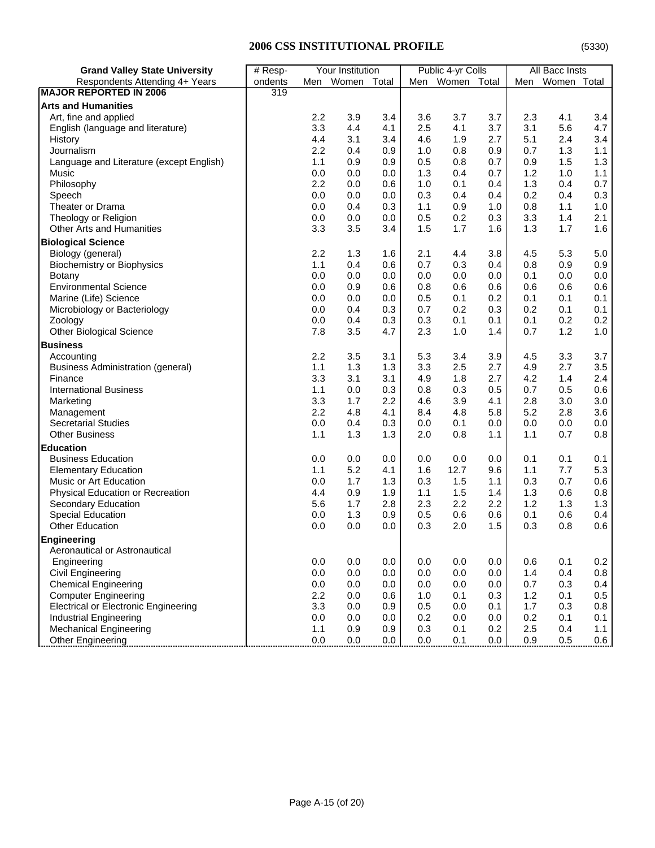|  |  | (53) |
|--|--|------|
|  |  |      |

| <b>Grand Valley State University</b>        | Your Institution<br># Resp- |     |                 | Public 4-yr Colls |     |             | <b>All Bacc Insts</b> |     |             |         |
|---------------------------------------------|-----------------------------|-----|-----------------|-------------------|-----|-------------|-----------------------|-----|-------------|---------|
| Respondents Attending 4+ Years              | ondents                     |     | Men Women Total |                   | Men | Women Total |                       | Men | Women Total |         |
| MAJOR REPORTED IN 2006                      | 319                         |     |                 |                   |     |             |                       |     |             |         |
| <b>Arts and Humanities</b>                  |                             |     |                 |                   |     |             |                       |     |             |         |
| Art, fine and applied                       |                             | 2.2 | 3.9             | 3.4               | 3.6 | 3.7         | 3.7                   | 2.3 | 4.1         | 3.4     |
| English (language and literature)           |                             | 3.3 | 4.4             | 4.1               | 2.5 | 4.1         | 3.7                   | 3.1 | 5.6         | 4.7     |
| History                                     |                             | 4.4 | 3.1             | 3.4               | 4.6 | 1.9         | 2.7                   | 5.1 | 2.4         | 3.4     |
| Journalism                                  |                             | 2.2 | 0.4             | 0.9               | 1.0 | 0.8         | 0.9                   | 0.7 | 1.3         | 1.1     |
| Language and Literature (except English)    |                             | 1.1 | 0.9             | 0.9               | 0.5 | 0.8         | 0.7                   | 0.9 | 1.5         | 1.3     |
| Music                                       |                             | 0.0 | 0.0             | 0.0               | 1.3 | 0.4         | 0.7                   | 1.2 | 1.0         | 1.1     |
| Philosophy                                  |                             | 2.2 | 0.0             | 0.6               | 1.0 | 0.1         | 0.4                   | 1.3 | 0.4         | 0.7     |
| Speech                                      |                             | 0.0 | 0.0             | 0.0               | 0.3 | 0.4         | 0.4                   | 0.2 | 0.4         | 0.3     |
| Theater or Drama                            |                             | 0.0 | 0.4             | 0.3               | 1.1 | 0.9         | 1.0                   | 0.8 | 1.1         | 1.0     |
| Theology or Religion                        |                             | 0.0 | 0.0             | 0.0               | 0.5 | 0.2         | 0.3                   | 3.3 | 1.4         | 2.1     |
| <b>Other Arts and Humanities</b>            |                             | 3.3 | 3.5             | 3.4               | 1.5 | 1.7         | 1.6                   | 1.3 | 1.7         | 1.6     |
| <b>Biological Science</b>                   |                             |     |                 |                   |     |             |                       |     |             |         |
| Biology (general)                           |                             | 2.2 | 1.3             | 1.6               | 2.1 | 4.4         | 3.8                   | 4.5 | 5.3         | $5.0\,$ |
| <b>Biochemistry or Biophysics</b>           |                             | 1.1 | 0.4             | 0.6               | 0.7 | 0.3         | 0.4                   | 0.8 | 0.9         | 0.9     |
| Botany                                      |                             | 0.0 | 0.0             | 0.0               | 0.0 | 0.0         | 0.0                   | 0.1 | 0.0         | 0.0     |
| <b>Environmental Science</b>                |                             | 0.0 | 0.9             | 0.6               | 0.8 | 0.6         | 0.6                   | 0.6 | 0.6         | 0.6     |
| Marine (Life) Science                       |                             | 0.0 | 0.0             | 0.0               | 0.5 | 0.1         | 0.2                   | 0.1 | 0.1         | 0.1     |
| Microbiology or Bacteriology                |                             | 0.0 | 0.4             | 0.3               | 0.7 | 0.2         | 0.3                   | 0.2 | 0.1         | 0.1     |
| Zoology                                     |                             | 0.0 | 0.4             | 0.3               | 0.3 | 0.1         | 0.1                   | 0.1 | 0.2         | 0.2     |
| <b>Other Biological Science</b>             |                             | 7.8 | 3.5             | 4.7               | 2.3 | 1.0         | 1.4                   | 0.7 | 1.2         | 1.0     |
| <b>Business</b>                             |                             |     |                 |                   |     |             |                       |     |             |         |
| Accounting                                  |                             | 2.2 | 3.5             | 3.1               | 5.3 | 3.4         | 3.9                   | 4.5 | 3.3         | 3.7     |
| <b>Business Administration (general)</b>    |                             | 1.1 | 1.3             | 1.3               | 3.3 | 2.5         | 2.7                   | 4.9 | 2.7         | 3.5     |
| Finance                                     |                             | 3.3 | 3.1             | 3.1               | 4.9 | 1.8         | 2.7                   | 4.2 | 1.4         | 2.4     |
| <b>International Business</b>               |                             | 1.1 | 0.0             | 0.3               | 0.8 | 0.3         | 0.5                   | 0.7 | 0.5         | 0.6     |
| Marketing                                   |                             | 3.3 | 1.7             | 2.2               | 4.6 | 3.9         | 4.1                   | 2.8 | 3.0         | 3.0     |
| Management                                  |                             | 2.2 | 4.8             | 4.1               | 8.4 | 4.8         | 5.8                   | 5.2 | 2.8         | 3.6     |
| <b>Secretarial Studies</b>                  |                             | 0.0 | 0.4             | 0.3               | 0.0 | 0.1         | 0.0                   | 0.0 | 0.0         | 0.0     |
| <b>Other Business</b>                       |                             | 1.1 | 1.3             | 1.3               | 2.0 | 0.8         | 1.1                   | 1.1 | 0.7         | $0.8\,$ |
| <b>Education</b>                            |                             |     |                 |                   |     |             |                       |     |             |         |
| <b>Business Education</b>                   |                             | 0.0 | 0.0             | 0.0               | 0.0 | 0.0         | 0.0                   | 0.1 | 0.1         | 0.1     |
| <b>Elementary Education</b>                 |                             | 1.1 | 5.2             | 4.1               | 1.6 | 12.7        | 9.6                   | 1.1 | 7.7         | 5.3     |
| Music or Art Education                      |                             | 0.0 | 1.7             | 1.3               | 0.3 | 1.5         | 1.1                   | 0.3 | 0.7         | 0.6     |
| Physical Education or Recreation            |                             | 4.4 | 0.9             | 1.9               | 1.1 | 1.5         | 1.4                   | 1.3 | 0.6         | 0.8     |
| Secondary Education                         |                             | 5.6 | 1.7             | 2.8               | 2.3 | 2.2         | 2.2                   | 1.2 | 1.3         | 1.3     |
| <b>Special Education</b>                    |                             | 0.0 | 1.3             | 0.9               | 0.5 | 0.6         | 0.6                   | 0.1 | 0.6         | 0.4     |
| <b>Other Education</b>                      |                             | 0.0 | 0.0             | 0.0               | 0.3 | 2.0         | 1.5                   | 0.3 | 0.8         | 0.6     |
| Engineering                                 |                             |     |                 |                   |     |             |                       |     |             |         |
| Aeronautical or Astronautical               |                             |     |                 |                   |     |             |                       |     |             |         |
| Engineering                                 |                             | 0.0 | 0.0             | 0.0               | 0.0 | 0.0         | 0.0                   | 0.6 | 0.1         | 0.2     |
| Civil Engineering                           |                             | 0.0 | 0.0             | 0.0               | 0.0 | 0.0         | 0.0                   | 1.4 | 0.4         | $0.8\,$ |
| <b>Chemical Engineering</b>                 |                             | 0.0 | 0.0             | 0.0               | 0.0 | 0.0         | 0.0                   | 0.7 | 0.3         | 0.4     |
| <b>Computer Engineering</b>                 |                             | 2.2 | 0.0             | 0.6               | 1.0 | 0.1         | 0.3                   | 1.2 | 0.1         | 0.5     |
| <b>Electrical or Electronic Engineering</b> |                             | 3.3 | 0.0             | 0.9               | 0.5 | 0.0         | 0.1                   | 1.7 | 0.3         | 0.8     |
| Industrial Engineering                      |                             | 0.0 | 0.0             | 0.0               | 0.2 | 0.0         | 0.0                   | 0.2 | 0.1         | 0.1     |
| <b>Mechanical Engineering</b>               |                             | 1.1 | 0.9             | 0.9               | 0.3 | 0.1         | 0.2                   | 2.5 | 0.4         | 1.1     |
| Other Engineering                           |                             | 0.0 | 0.0             | 0.0               | 0.0 | 0.1         | 0.0                   | 0.9 | 0.5         | 0.6     |
|                                             |                             |     |                 |                   |     |             |                       |     |             |         |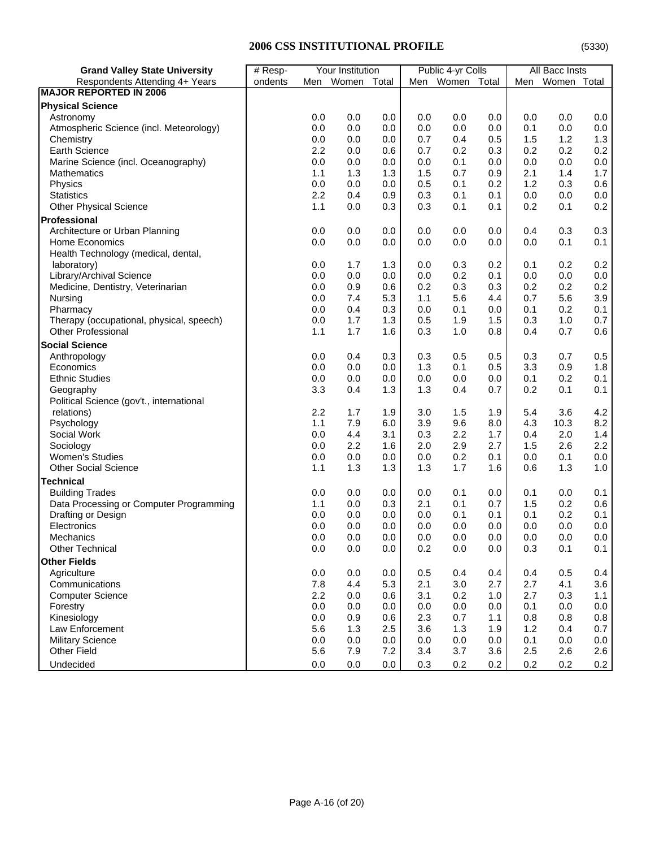# **2006 CSS INSTITUTIONAL PROFILE**

|--|

| <b>Grand Valley State University</b>     | # Resp- |     | Your Institution |         |     | Public 4-yr Colls |     |     | All Bacc Insts |         |
|------------------------------------------|---------|-----|------------------|---------|-----|-------------------|-----|-----|----------------|---------|
| Respondents Attending 4+ Years           | ondents |     | Men Women Total  |         |     | Men Women Total   |     | Men | Women Total    |         |
| <b>MAJOR REPORTED IN 2006</b>            |         |     |                  |         |     |                   |     |     |                |         |
| <b>Physical Science</b>                  |         |     |                  |         |     |                   |     |     |                |         |
| Astronomy                                |         | 0.0 | 0.0              | 0.0     | 0.0 | 0.0               | 0.0 | 0.0 | 0.0            | $0.0\,$ |
| Atmospheric Science (incl. Meteorology)  |         | 0.0 | 0.0              | 0.0     | 0.0 | 0.0               | 0.0 | 0.1 | 0.0            | 0.0     |
| Chemistry                                |         | 0.0 | 0.0              | 0.0     | 0.7 | 0.4               | 0.5 | 1.5 | 1.2            | 1.3     |
| <b>Earth Science</b>                     |         | 2.2 | 0.0              | 0.6     | 0.7 | 0.2               | 0.3 | 0.2 | 0.2            | 0.2     |
| Marine Science (incl. Oceanography)      |         | 0.0 | 0.0              | 0.0     | 0.0 | 0.1               | 0.0 | 0.0 | 0.0            | 0.0     |
| <b>Mathematics</b>                       |         | 1.1 | 1.3              | 1.3     | 1.5 | 0.7               | 0.9 | 2.1 | 1.4            | 1.7     |
| Physics                                  |         | 0.0 | 0.0              | 0.0     | 0.5 | 0.1               | 0.2 | 1.2 | 0.3            | 0.6     |
| <b>Statistics</b>                        |         | 2.2 | 0.4              | 0.9     | 0.3 | 0.1               | 0.1 | 0.0 | 0.0            | $0.0\,$ |
| <b>Other Physical Science</b>            |         | 1.1 | 0.0              | 0.3     | 0.3 | 0.1               | 0.1 | 0.2 | 0.1            | 0.2     |
| Professional                             |         |     |                  |         |     |                   |     |     |                |         |
| Architecture or Urban Planning           |         | 0.0 | 0.0              | 0.0     | 0.0 | 0.0               | 0.0 | 0.4 | 0.3            | 0.3     |
| <b>Home Economics</b>                    |         | 0.0 | 0.0              | 0.0     | 0.0 | 0.0               | 0.0 | 0.0 | 0.1            | 0.1     |
| Health Technology (medical, dental,      |         |     |                  |         |     |                   |     |     |                |         |
| laboratory)                              |         | 0.0 | 1.7              | 1.3     | 0.0 | 0.3               | 0.2 | 0.1 | 0.2            | 0.2     |
| Library/Archival Science                 |         | 0.0 | 0.0              | 0.0     | 0.0 | 0.2               | 0.1 | 0.0 | 0.0            | $0.0\,$ |
| Medicine, Dentistry, Veterinarian        |         | 0.0 | 0.9              | 0.6     | 0.2 | 0.3               | 0.3 | 0.2 | 0.2            | 0.2     |
| Nursing                                  |         | 0.0 | 7.4              | 5.3     | 1.1 | 5.6               | 4.4 | 0.7 | 5.6            | 3.9     |
| Pharmacy                                 |         | 0.0 | 0.4              | 0.3     | 0.0 | 0.1               | 0.0 | 0.1 | 0.2            | 0.1     |
| Therapy (occupational, physical, speech) |         | 0.0 | 1.7              | 1.3     | 0.5 | 1.9               | 1.5 | 0.3 | 1.0            | 0.7     |
| <b>Other Professional</b>                |         | 1.1 | 1.7              | 1.6     | 0.3 | 1.0               | 0.8 | 0.4 | 0.7            | 0.6     |
| <b>Social Science</b>                    |         |     |                  |         |     |                   |     |     |                |         |
| Anthropology                             |         | 0.0 | 0.4              | 0.3     | 0.3 | 0.5               | 0.5 | 0.3 | 0.7            | 0.5     |
| Economics                                |         | 0.0 | 0.0              | 0.0     | 1.3 | 0.1               | 0.5 | 3.3 | 0.9            | 1.8     |
| <b>Ethnic Studies</b>                    |         | 0.0 | 0.0              | 0.0     | 0.0 | 0.0               | 0.0 | 0.1 | 0.2            | 0.1     |
| Geography                                |         | 3.3 | 0.4              | 1.3     | 1.3 | 0.4               | 0.7 | 0.2 | 0.1            | 0.1     |
| Political Science (gov't., international |         |     |                  |         |     |                   |     |     |                |         |
| relations)                               |         | 2.2 | 1.7              | 1.9     | 3.0 | 1.5               | 1.9 | 5.4 | 3.6            | 4.2     |
| Psychology                               |         | 1.1 | 7.9              | 6.0     | 3.9 | 9.6               | 8.0 | 4.3 | 10.3           | 8.2     |
| Social Work                              |         | 0.0 | 4.4              | 3.1     | 0.3 | 2.2               | 1.7 | 0.4 | 2.0            | 1.4     |
| Sociology                                |         | 0.0 | 2.2              | 1.6     | 2.0 | 2.9               | 2.7 | 1.5 | 2.6            | $2.2\,$ |
| <b>Women's Studies</b>                   |         | 0.0 | 0.0              | 0.0     | 0.0 | 0.2               | 0.1 | 0.0 | 0.1            | 0.0     |
| <b>Other Social Science</b>              |         | 1.1 | 1.3              | 1.3     | 1.3 | 1.7               | 1.6 | 0.6 | 1.3            | 1.0     |
| <b>Technical</b>                         |         |     |                  |         |     |                   |     |     |                |         |
| <b>Building Trades</b>                   |         | 0.0 | 0.0              | 0.0     | 0.0 | 0.1               | 0.0 | 0.1 | 0.0            | 0.1     |
| Data Processing or Computer Programming  |         | 1.1 | 0.0              | 0.3     | 2.1 | 0.1               | 0.7 | 1.5 | 0.2            | 0.6     |
| Drafting or Design                       |         | 0.0 | 0.0              | 0.0     | 0.0 | 0.1               | 0.1 | 0.1 | 0.2            | 0.1     |
| Electronics                              |         | 0.0 | 0.0              | 0.0     | 0.0 | 0.0               | 0.0 | 0.0 | 0.0            | $0.0\,$ |
| Mechanics                                |         | 0.0 | 0.0              | 0.0     | 0.0 | 0.0               | 0.0 | 0.0 | 0.0            | 0.0     |
| Other Technical                          |         | 0.0 | $0.0\,$          | $0.0\,$ | 0.2 | 0.0               | 0.0 | 0.3 | 0.1            | 0.1     |
| <b>Other Fields</b>                      |         |     |                  |         |     |                   |     |     |                |         |
| Agriculture                              |         | 0.0 | 0.0              | 0.0     | 0.5 | 0.4               | 0.4 | 0.4 | 0.5            | 0.4     |
| Communications                           |         | 7.8 | 4.4              | 5.3     | 2.1 | 3.0               | 2.7 | 2.7 | 4.1            | 3.6     |
| <b>Computer Science</b>                  |         | 2.2 | 0.0              | 0.6     | 3.1 | 0.2               | 1.0 | 2.7 | 0.3            | 1.1     |
| Forestry                                 |         | 0.0 | 0.0              | 0.0     | 0.0 | 0.0               | 0.0 | 0.1 | 0.0            | 0.0     |
| Kinesiology                              |         | 0.0 | 0.9              | 0.6     | 2.3 | 0.7               | 1.1 | 0.8 | 0.8            | 0.8     |
| Law Enforcement                          |         | 5.6 | 1.3              | 2.5     | 3.6 | 1.3               | 1.9 | 1.2 | 0.4            | 0.7     |
| <b>Military Science</b>                  |         | 0.0 | 0.0              | 0.0     | 0.0 | 0.0               | 0.0 | 0.1 | 0.0            | 0.0     |
| Other Field                              |         | 5.6 | 7.9              | 7.2     | 3.4 | 3.7               | 3.6 | 2.5 | 2.6            | 2.6     |
| Undecided                                |         | 0.0 | 0.0              | 0.0     | 0.3 | 0.2               | 0.2 | 0.2 | 0.2            | 0.2     |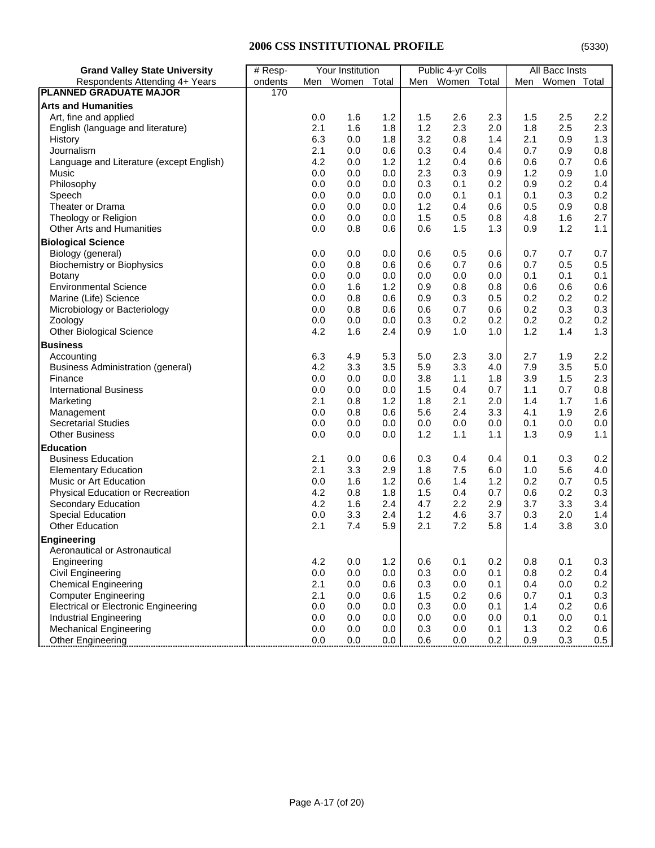| <b>Grand Valley State University</b>        | Your Institution<br># Resp- |     | Public 4-yr Colls |            | All Bacc Insts |            |       |     |       |         |
|---------------------------------------------|-----------------------------|-----|-------------------|------------|----------------|------------|-------|-----|-------|---------|
| Respondents Attending 4+ Years              | ondents                     | Men | Women             | Total      | Men            | Women      | Total | Men | Women | Total   |
| <b>PLANNED GRADUATE MAJOR</b>               | 170                         |     |                   |            |                |            |       |     |       |         |
| <b>Arts and Humanities</b>                  |                             |     |                   |            |                |            |       |     |       |         |
| Art, fine and applied                       |                             | 0.0 | 1.6               | 1.2        | 1.5            | 2.6        | 2.3   | 1.5 | 2.5   | 2.2     |
| English (language and literature)           |                             | 2.1 | 1.6               | 1.8        | 1.2            | 2.3        | 2.0   | 1.8 | 2.5   | $2.3\,$ |
| History                                     |                             | 6.3 | 0.0               | 1.8        | 3.2            | 0.8        | 1.4   | 2.1 | 0.9   | 1.3     |
| Journalism                                  |                             | 2.1 | 0.0               | 0.6        | 0.3            | 0.4        | 0.4   | 0.7 | 0.9   | 0.8     |
| Language and Literature (except English)    |                             | 4.2 | 0.0               | 1.2        | 1.2            | 0.4        | 0.6   | 0.6 | 0.7   | 0.6     |
| Music                                       |                             | 0.0 | 0.0               | 0.0        | 2.3            | 0.3        | 0.9   | 1.2 | 0.9   | 1.0     |
| Philosophy                                  |                             | 0.0 | 0.0               | 0.0        | 0.3            | 0.1        | 0.2   | 0.9 | 0.2   | 0.4     |
| Speech                                      |                             | 0.0 | 0.0               | 0.0        | 0.0            | 0.1        | 0.1   | 0.1 | 0.3   | 0.2     |
| Theater or Drama                            |                             | 0.0 | 0.0               | 0.0        | 1.2            | 0.4        | 0.6   | 0.5 | 0.9   | 0.8     |
| Theology or Religion                        |                             | 0.0 | 0.0               | 0.0        | 1.5            | 0.5        | 0.8   | 4.8 | 1.6   | 2.7     |
| <b>Other Arts and Humanities</b>            |                             | 0.0 | 0.8               | 0.6        | 0.6            | 1.5        | 1.3   | 0.9 | 1.2   | 1.1     |
| <b>Biological Science</b>                   |                             |     |                   |            |                |            |       |     |       |         |
| Biology (general)                           |                             | 0.0 | 0.0               | 0.0        | 0.6            | 0.5        | 0.6   | 0.7 | 0.7   | $0.7\,$ |
|                                             |                             | 0.0 | 0.8               | 0.6        | 0.6            | 0.7        | 0.6   | 0.7 | 0.5   | 0.5     |
| Biochemistry or Biophysics<br>Botany        |                             | 0.0 | 0.0               | 0.0        | 0.0            | 0.0        | 0.0   | 0.1 | 0.1   | 0.1     |
| <b>Environmental Science</b>                |                             | 0.0 | 1.6               | 1.2        | 0.9            | 0.8        | 0.8   | 0.6 | 0.6   | 0.6     |
|                                             |                             |     |                   |            |                |            |       |     |       | 0.2     |
| Marine (Life) Science                       |                             | 0.0 | 0.8               | 0.6<br>0.6 | 0.9            | 0.3<br>0.7 | 0.5   | 0.2 | 0.2   | 0.3     |
| Microbiology or Bacteriology                |                             | 0.0 | 0.8               |            | 0.6            |            | 0.6   | 0.2 | 0.3   |         |
| Zoology                                     |                             | 0.0 | 0.0               | 0.0        | 0.3            | 0.2        | 0.2   | 0.2 | 0.2   | 0.2     |
| <b>Other Biological Science</b>             |                             | 4.2 | 1.6               | 2.4        | 0.9            | 1.0        | 1.0   | 1.2 | 1.4   | 1.3     |
| <b>Business</b>                             |                             |     |                   |            |                |            |       |     |       |         |
| Accounting                                  |                             | 6.3 | 4.9               | 5.3        | 5.0            | 2.3        | 3.0   | 2.7 | 1.9   | $2.2\,$ |
| Business Administration (general)           |                             | 4.2 | 3.3               | 3.5        | 5.9            | 3.3        | 4.0   | 7.9 | 3.5   | 5.0     |
| Finance                                     |                             | 0.0 | 0.0               | 0.0        | 3.8            | 1.1        | 1.8   | 3.9 | 1.5   | 2.3     |
| <b>International Business</b>               |                             | 0.0 | 0.0               | 0.0        | 1.5            | 0.4        | 0.7   | 1.1 | 0.7   | 0.8     |
| Marketing                                   |                             | 2.1 | 0.8               | 1.2        | 1.8            | 2.1        | 2.0   | 1.4 | 1.7   | 1.6     |
| Management                                  |                             | 0.0 | 0.8               | 0.6        | 5.6            | 2.4        | 3.3   | 4.1 | 1.9   | 2.6     |
| <b>Secretarial Studies</b>                  |                             | 0.0 | 0.0               | 0.0        | 0.0            | 0.0        | 0.0   | 0.1 | 0.0   | 0.0     |
| <b>Other Business</b>                       |                             | 0.0 | 0.0               | 0.0        | 1.2            | 1.1        | 1.1   | 1.3 | 0.9   | 1.1     |
| <b>Education</b>                            |                             |     |                   |            |                |            |       |     |       |         |
| <b>Business Education</b>                   |                             | 2.1 | 0.0               | 0.6        | 0.3            | 0.4        | 0.4   | 0.1 | 0.3   | 0.2     |
| <b>Elementary Education</b>                 |                             | 2.1 | 3.3               | 2.9        | 1.8            | 7.5        | 6.0   | 1.0 | 5.6   | 4.0     |
| Music or Art Education                      |                             | 0.0 | 1.6               | 1.2        | 0.6            | 1.4        | 1.2   | 0.2 | 0.7   | 0.5     |
| Physical Education or Recreation            |                             | 4.2 | 0.8               | 1.8        | 1.5            | 0.4        | 0.7   | 0.6 | 0.2   | 0.3     |
| Secondary Education                         |                             | 4.2 | 1.6               | 2.4        | 4.7            | 2.2        | 2.9   | 3.7 | 3.3   | 3.4     |
| <b>Special Education</b>                    |                             | 0.0 | 3.3               | 2.4        | 1.2            | 4.6        | 3.7   | 0.3 | 2.0   | 1.4     |
| <b>Other Education</b>                      |                             | 2.1 | 7.4               | 5.9        | 2.1            | 7.2        | 5.8   | 1.4 | 3.8   | 3.0     |
| <b>Engineering</b>                          |                             |     |                   |            |                |            |       |     |       |         |
| Aeronautical or Astronautical               |                             |     |                   |            |                |            |       |     |       |         |
| Engineering                                 |                             | 4.2 | 0.0               | 1.2        | 0.6            | 0.1        | 0.2   | 0.8 | 0.1   | 0.3     |
| Civil Engineering                           |                             | 0.0 | 0.0               | 0.0        | 0.3            | 0.0        | 0.1   | 0.8 | 0.2   | 0.4     |
| <b>Chemical Engineering</b>                 |                             | 2.1 | 0.0               | 0.6        | 0.3            | 0.0        | 0.1   | 0.4 | 0.0   | 0.2     |
| <b>Computer Engineering</b>                 |                             | 2.1 | 0.0               | 0.6        | 1.5            | 0.2        | 0.6   | 0.7 | 0.1   | 0.3     |
| <b>Electrical or Electronic Engineering</b> |                             | 0.0 | 0.0               | 0.0        | 0.3            | 0.0        | 0.1   | 1.4 | 0.2   | 0.6     |
| <b>Industrial Engineering</b>               |                             | 0.0 | 0.0               | 0.0        | 0.0            | 0.0        | 0.0   | 0.1 | 0.0   | 0.1     |
|                                             |                             |     |                   |            |                |            |       |     |       |         |

Industrial Engineering 0.0 0.0 0.0 0.0 0.0 0.0 0.1 0.0 0.1 Mechanical Engineering **1.3** 0.2 0.6 0.0 0.0 0.0 0.0 0.0 0.0 0.0 0.1 1.3 0.2 0.6 0.5 0.9 0.3 0.5 0.9 0.3 0.5

Other Engineering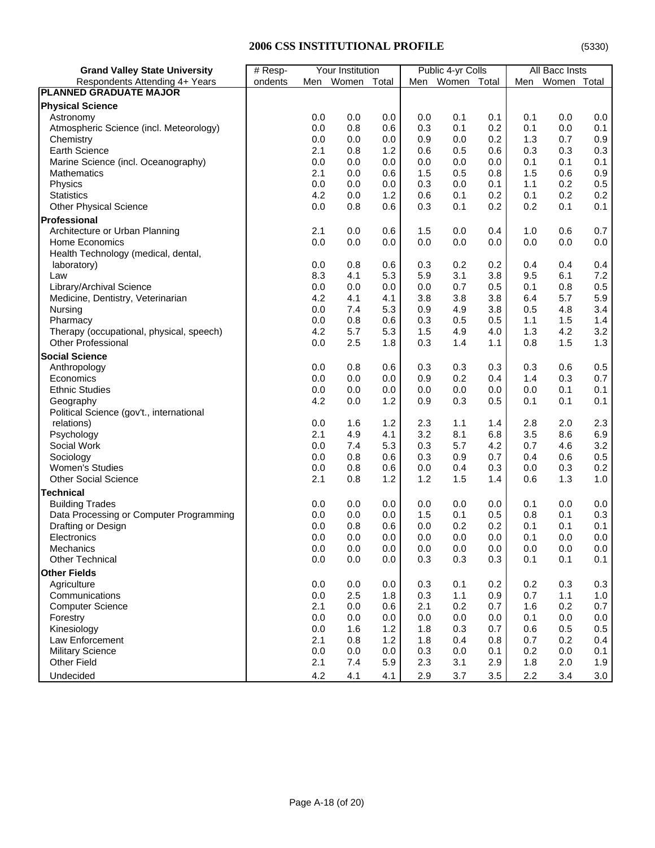# **2006 CSS INSTITUTIONAL PROFILE**

| <b>Grand Valley State University</b>                                  | # Resp- |            | Your Institution |         |            | Public 4-yr Colls |            |            | All Bacc Insts |         |
|-----------------------------------------------------------------------|---------|------------|------------------|---------|------------|-------------------|------------|------------|----------------|---------|
| Respondents Attending 4+ Years                                        | ondents |            | Men Women Total  |         |            | Men Women Total   |            | Men        | Women Total    |         |
| <b>PLANNED GRADUATE MAJOR</b>                                         |         |            |                  |         |            |                   |            |            |                |         |
| <b>Physical Science</b>                                               |         |            |                  |         |            |                   |            |            |                |         |
| Astronomy                                                             |         | 0.0        | 0.0              | $0.0\,$ | 0.0        | 0.1               | 0.1        | 0.1        | 0.0            | 0.0     |
| Atmospheric Science (incl. Meteorology)                               |         | 0.0        | 0.8              | 0.6     | 0.3        | 0.1               | 0.2        | 0.1        | 0.0            | 0.1     |
| Chemistry                                                             |         | 0.0        | 0.0              | 0.0     | 0.9        | 0.0               | 0.2        | 1.3        | 0.7            | 0.9     |
| <b>Earth Science</b>                                                  |         | 2.1        | 0.8              | 1.2     | 0.6        | 0.5               | 0.6        | 0.3        | 0.3            | 0.3     |
| Marine Science (incl. Oceanography)                                   |         | 0.0        | 0.0              | 0.0     | 0.0        | 0.0               | 0.0        | 0.1        | 0.1            | 0.1     |
| <b>Mathematics</b>                                                    |         | 2.1        | 0.0              | 0.6     | 1.5        | 0.5               | 0.8        | 1.5        | 0.6            | 0.9     |
| Physics                                                               |         | 0.0        | 0.0              | 0.0     | 0.3        | 0.0               | 0.1        | 1.1        | 0.2            | 0.5     |
| <b>Statistics</b>                                                     |         | 4.2        | 0.0              | 1.2     | 0.6        | 0.1               | 0.2        | 0.1        | 0.2            | 0.2     |
| <b>Other Physical Science</b>                                         |         | 0.0        | 0.8              | 0.6     | 0.3        | 0.1               | 0.2        | 0.2        | 0.1            | 0.1     |
| Professional                                                          |         |            |                  |         |            |                   |            |            |                |         |
| Architecture or Urban Planning                                        |         | 2.1        | 0.0              | 0.6     | 1.5        | 0.0               | 0.4        | 1.0        | 0.6            | 0.7     |
| Home Economics                                                        |         | 0.0        | 0.0              | 0.0     | 0.0        | 0.0               | 0.0        | 0.0        | 0.0            | $0.0\,$ |
| Health Technology (medical, dental,                                   |         |            |                  |         |            |                   |            |            |                |         |
| laboratory)                                                           |         | 0.0        | 0.8              | 0.6     | 0.3        | 0.2               | 0.2        | 0.4        | 0.4            | 0.4     |
| Law                                                                   |         | 8.3        | 4.1              | 5.3     | 5.9        | 3.1               | 3.8        | 9.5        | 6.1            | $7.2\,$ |
| Library/Archival Science                                              |         | 0.0        | 0.0              | 0.0     | 0.0        | 0.7               | 0.5        | 0.1        | 0.8            | 0.5     |
| Medicine, Dentistry, Veterinarian                                     |         | 4.2        | 4.1              | 4.1     | 3.8        | 3.8               | 3.8        | 6.4        | 5.7            | 5.9     |
| Nursing                                                               |         | 0.0        | 7.4              | 5.3     | 0.9        | 4.9               | 3.8        | 0.5        | 4.8            | 3.4     |
|                                                                       |         | 0.0        | 0.8              | 0.6     | 0.3        | 0.5               | 0.5        |            | 1.5            | 1.4     |
| Pharmacy                                                              |         |            | 5.7              | 5.3     |            |                   |            | 1.1        |                | 3.2     |
| Therapy (occupational, physical, speech)<br><b>Other Professional</b> |         | 4.2<br>0.0 | 2.5              | 1.8     | 1.5<br>0.3 | 4.9<br>1.4        | 4.0<br>1.1 | 1.3<br>0.8 | 4.2<br>1.5     | 1.3     |
|                                                                       |         |            |                  |         |            |                   |            |            |                |         |
| <b>Social Science</b>                                                 |         |            |                  |         |            |                   |            |            |                |         |
| Anthropology                                                          |         | 0.0        | 0.8              | 0.6     | 0.3        | 0.3               | 0.3        | 0.3        | 0.6            | 0.5     |
| Economics                                                             |         | 0.0        | 0.0              | 0.0     | 0.9        | 0.2               | 0.4        | 1.4        | 0.3            | 0.7     |
| <b>Ethnic Studies</b>                                                 |         | 0.0        | 0.0              | 0.0     | 0.0        | 0.0               | 0.0        | 0.0        | 0.1            | 0.1     |
| Geography                                                             |         | 4.2        | 0.0              | 1.2     | 0.9        | 0.3               | 0.5        | 0.1        | 0.1            | 0.1     |
| Political Science (gov't., international                              |         |            |                  |         |            |                   |            |            |                |         |
| relations)                                                            |         | 0.0        | 1.6              | 1.2     | 2.3        | 1.1               | 1.4        | 2.8        | 2.0            | $2.3\,$ |
| Psychology                                                            |         | 2.1        | 4.9              | 4.1     | 3.2        | 8.1               | 6.8        | 3.5        | 8.6            | 6.9     |
| Social Work                                                           |         | 0.0        | 7.4              | 5.3     | 0.3        | 5.7               | 4.2        | 0.7        | 4.6            | 3.2     |
| Sociology                                                             |         | 0.0        | 0.8              | 0.6     | 0.3        | 0.9               | 0.7        | 0.4        | 0.6            | 0.5     |
| <b>Women's Studies</b>                                                |         | 0.0        | 0.8              | 0.6     | 0.0        | 0.4               | 0.3        | 0.0        | 0.3            | $0.2\,$ |
| Other Social Science                                                  |         | 2.1        | 0.8              | 1.2     | 1.2        | 1.5               | 1.4        | 0.6        | 1.3            | 1.0     |
| <b>Technical</b>                                                      |         |            |                  |         |            |                   |            |            |                |         |
| <b>Building Trades</b>                                                |         | 0.0        | 0.0              | 0.0     | 0.0        | 0.0               | 0.0        | 0.1        | 0.0            | $0.0\,$ |
| Data Processing or Computer Programming                               |         | 0.0        | 0.0              | 0.0     | 1.5        | 0.1               | 0.5        | 0.8        | 0.1            | 0.3     |
| Drafting or Design                                                    |         | 0.0        | 0.8              | 0.6     | 0.0        | 0.2               | 0.2        | 0.1        | 0.1            | 0.1     |
| Electronics                                                           |         | 0.0        | 0.0              | 0.0     | 0.0        | 0.0               | 0.0        | 0.1        | 0.0            | 0.0     |
| Mechanics                                                             |         | 0.0        | 0.0              | 0.0     | 0.0        | 0.0               | 0.0        | 0.0        | 0.0            | 0.0     |
| Other Technical                                                       |         | 0.0        | 0.0              | 0.0     | 0.3        | 0.3               | 0.3        | 0.1        | 0.1            | 0.1     |
| <b>Other Fields</b>                                                   |         |            |                  |         |            |                   |            |            |                |         |
| Agriculture                                                           |         | 0.0        | 0.0              | 0.0     | 0.3        | 0.1               | 0.2        | 0.2        | 0.3            | 0.3     |
| Communications                                                        |         | 0.0        | 2.5              | 1.8     | 0.3        | 1.1               | 0.9        | 0.7        | 1.1            | 1.0     |
| <b>Computer Science</b>                                               |         | 2.1        | 0.0              | 0.6     | 2.1        | 0.2               | 0.7        | 1.6        | 0.2            | 0.7     |
| Forestry                                                              |         | 0.0        | 0.0              | 0.0     | 0.0        | 0.0               | 0.0        | 0.1        | 0.0            | 0.0     |
| Kinesiology                                                           |         | 0.0        | 1.6              | 1.2     | 1.8        | 0.3               | 0.7        | 0.6        | 0.5            | 0.5     |
| Law Enforcement                                                       |         | 2.1        | 0.8              | 1.2     | 1.8        | 0.4               | 0.8        | 0.7        | 0.2            | 0.4     |
| <b>Military Science</b>                                               |         | 0.0        | 0.0              | 0.0     | 0.3        | 0.0               | 0.1        | 0.2        | 0.0            | 0.1     |
| Other Field                                                           |         | 2.1        | 7.4              | 5.9     | 2.3        | 3.1               | 2.9        | 1.8        | 2.0            | 1.9     |
|                                                                       |         |            |                  |         |            |                   |            |            |                |         |
| Undecided                                                             |         | 4.2        | 4.1              | 4.1     | 2.9        | 3.7               | 3.5        | 2.2        | 3.4            | 3.0     |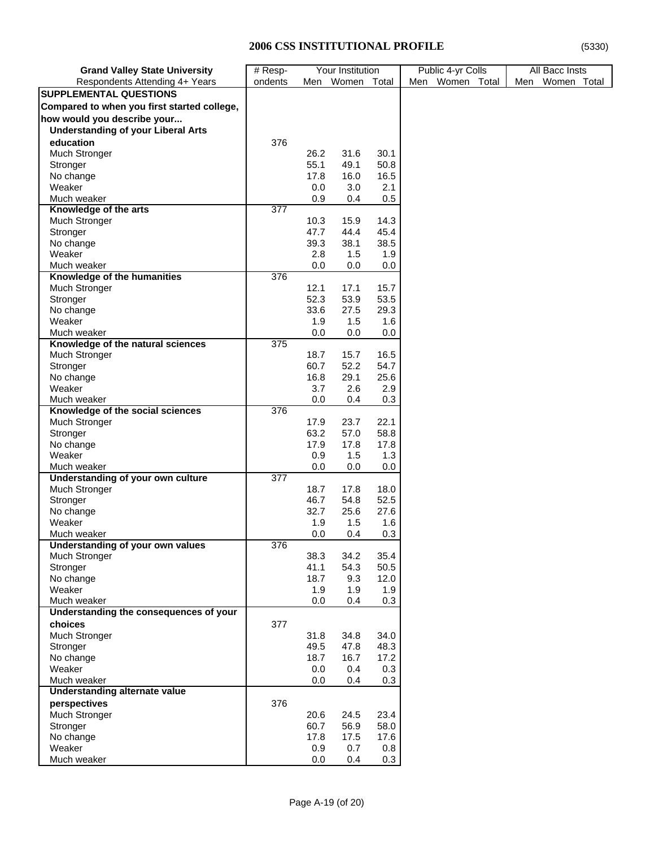| <b>Grand Valley State University</b>        | $#$ Resp- |      | Your Institution |      | Public 4-yr Colls |     | All Bacc Insts |  |
|---------------------------------------------|-----------|------|------------------|------|-------------------|-----|----------------|--|
| Respondents Attending 4+ Years              | ondents   |      | Men Women Total  |      | Men Women Total   | Men | Women Total    |  |
| SUPPLEMENTAL QUESTIONS                      |           |      |                  |      |                   |     |                |  |
| Compared to when you first started college, |           |      |                  |      |                   |     |                |  |
| how would you describe your                 |           |      |                  |      |                   |     |                |  |
| <b>Understanding of your Liberal Arts</b>   |           |      |                  |      |                   |     |                |  |
| education                                   | 376       |      |                  |      |                   |     |                |  |
| Much Stronger                               |           | 26.2 | 31.6             | 30.1 |                   |     |                |  |
|                                             |           | 55.1 | 49.1             | 50.8 |                   |     |                |  |
| Stronger                                    |           | 17.8 | 16.0             | 16.5 |                   |     |                |  |
| No change                                   |           |      |                  |      |                   |     |                |  |
| Weaker                                      |           | 0.0  | 3.0              | 2.1  |                   |     |                |  |
| Much weaker                                 |           | 0.9  | 0.4              | 0.5  |                   |     |                |  |
| Knowledge of the arts                       | 377       |      | 15.9             | 14.3 |                   |     |                |  |
| Much Stronger                               |           | 10.3 |                  |      |                   |     |                |  |
| Stronger                                    |           | 47.7 | 44.4             | 45.4 |                   |     |                |  |
| No change                                   |           | 39.3 | 38.1             | 38.5 |                   |     |                |  |
| Weaker                                      |           | 2.8  | 1.5              | 1.9  |                   |     |                |  |
| Much weaker                                 |           | 0.0  | 0.0              | 0.0  |                   |     |                |  |
| Knowledge of the humanities                 | 376       |      |                  |      |                   |     |                |  |
| Much Stronger                               |           | 12.1 | 17.1             | 15.7 |                   |     |                |  |
| Stronger                                    |           | 52.3 | 53.9             | 53.5 |                   |     |                |  |
| No change                                   |           | 33.6 | 27.5             | 29.3 |                   |     |                |  |
| Weaker                                      |           | 1.9  | 1.5              | 1.6  |                   |     |                |  |
| Much weaker                                 |           | 0.0  | 0.0              | 0.0  |                   |     |                |  |
| Knowledge of the natural sciences           | 375       |      |                  |      |                   |     |                |  |
| Much Stronger                               |           | 18.7 | 15.7             | 16.5 |                   |     |                |  |
| Stronger                                    |           | 60.7 | 52.2             | 54.7 |                   |     |                |  |
| No change                                   |           | 16.8 | 29.1             | 25.6 |                   |     |                |  |
| Weaker                                      |           | 3.7  | 2.6              | 2.9  |                   |     |                |  |
| Much weaker                                 |           | 0.0  | 0.4              | 0.3  |                   |     |                |  |
| Knowledge of the social sciences            | 376       |      |                  |      |                   |     |                |  |
| <b>Much Stronger</b>                        |           | 17.9 | 23.7             | 22.1 |                   |     |                |  |
| Stronger                                    |           | 63.2 | 57.0             | 58.8 |                   |     |                |  |
| No change                                   |           | 17.9 | 17.8             | 17.8 |                   |     |                |  |
| Weaker                                      |           | 0.9  | 1.5              | 1.3  |                   |     |                |  |
| Much weaker                                 |           | 0.0  | 0.0              | 0.0  |                   |     |                |  |
| Understanding of your own culture           | 377       |      |                  |      |                   |     |                |  |
| <b>Much Stronger</b>                        |           | 18.7 | 17.8             | 18.0 |                   |     |                |  |
| Stronger                                    |           | 46.7 | 54.8             | 52.5 |                   |     |                |  |
| No change                                   |           | 32.7 | 25.6             | 27.6 |                   |     |                |  |
| Weaker                                      |           | 1.9  | 1.5              | 1.6  |                   |     |                |  |
| Much weaker                                 |           | 0.0  | 0.4              | 0.3  |                   |     |                |  |
| Understanding of your own values            | 376       |      |                  |      |                   |     |                |  |
| <b>Much Stronger</b>                        |           | 38.3 | 34.2             | 35.4 |                   |     |                |  |
| Stronger                                    |           | 41.1 | 54.3             | 50.5 |                   |     |                |  |
| No change                                   |           | 18.7 | 9.3              | 12.0 |                   |     |                |  |
| Weaker                                      |           | 1.9  | 1.9              | 1.9  |                   |     |                |  |
| Much weaker                                 |           | 0.0  | 0.4              | 0.3  |                   |     |                |  |
| Understanding the consequences of your      |           |      |                  |      |                   |     |                |  |
| choices                                     | 377       |      |                  |      |                   |     |                |  |
| Much Stronger                               |           | 31.8 | 34.8             | 34.0 |                   |     |                |  |
| Stronger                                    |           | 49.5 | 47.8             | 48.3 |                   |     |                |  |
| No change                                   |           | 18.7 | 16.7             | 17.2 |                   |     |                |  |
| Weaker                                      |           | 0.0  | 0.4              | 0.3  |                   |     |                |  |
| Much weaker                                 |           | 0.0  | 0.4              | 0.3  |                   |     |                |  |
| Understanding alternate value               |           |      |                  |      |                   |     |                |  |
| perspectives                                | 376       |      |                  |      |                   |     |                |  |
| Much Stronger                               |           | 20.6 | 24.5             | 23.4 |                   |     |                |  |
| Stronger                                    |           | 60.7 | 56.9             | 58.0 |                   |     |                |  |
| No change                                   |           | 17.8 | 17.5             | 17.6 |                   |     |                |  |
| Weaker                                      |           | 0.9  | 0.7              | 0.8  |                   |     |                |  |
| Much weaker                                 |           | 0.0  | 0.4              | 0.3  |                   |     |                |  |